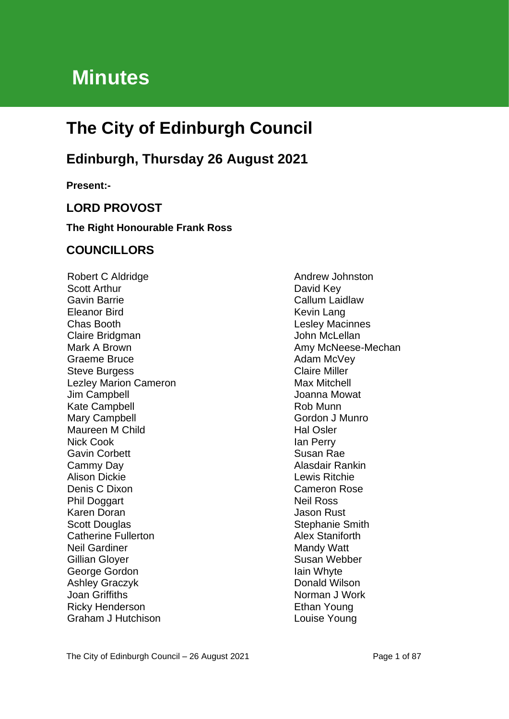# **Minutes**

# **The City of Edinburgh Council**

# **Edinburgh, Thursday 26 August 2021**

**Present:-**

# **LORD PROVOST**

#### **The Right Honourable Frank Ross**

# **COUNCILLORS**

Robert C Aldridge Scott Arthur Gavin Barrie Eleanor Bird Chas Booth Claire Bridgman Mark A Brown Graeme Bruce Steve Burgess Lezley Marion Cameron Jim Campbell Kate Campbell Mary Campbell Maureen M Child Nick Cook Gavin Corbett Cammy Day Alison Dickie Denis C Dixon Phil Doggart Karen Doran Scott Douglas Catherine Fullerton Neil Gardiner Gillian Gloyer George Gordon Ashley Graczyk Joan Griffiths Ricky Henderson Graham J Hutchison

Andrew Johnston David Key Callum Laidlaw Kevin Lang Lesley Macinnes John McLellan Amy McNeese-Mechan Adam McVey Claire Miller Max Mitchell Joanna Mowat Rob Munn Gordon J Munro Hal Osler Ian Perry Susan Rae Alasdair Rankin Lewis Ritchie Cameron Rose Neil Ross Jason Rust Stephanie Smith Alex Staniforth Mandy Watt Susan Webber Iain Whyte Donald Wilson Norman J Work Ethan Young Louise Young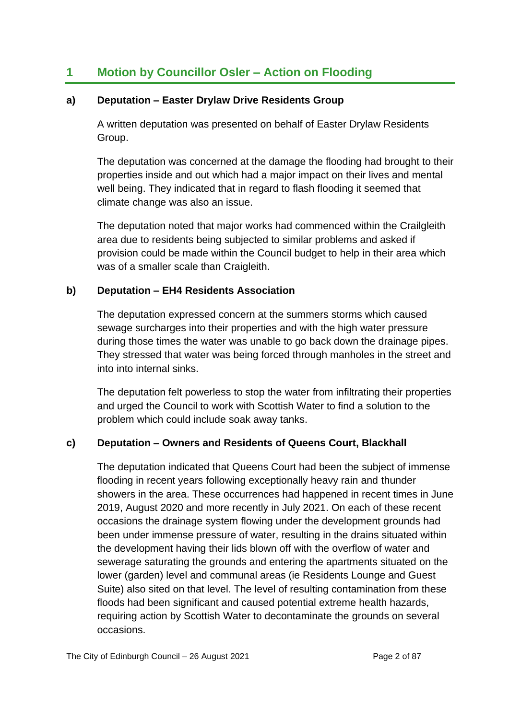# **1 Motion by Councillor Osler – Action on Flooding**

# **a) Deputation – Easter Drylaw Drive Residents Group**

A written deputation was presented on behalf of Easter Drylaw Residents Group.

The deputation was concerned at the damage the flooding had brought to their properties inside and out which had a major impact on their lives and mental well being. They indicated that in regard to flash flooding it seemed that climate change was also an issue.

The deputation noted that major works had commenced within the Crailgleith area due to residents being subjected to similar problems and asked if provision could be made within the Council budget to help in their area which was of a smaller scale than Craigleith.

# **b) Deputation – EH4 Residents Association**

The deputation expressed concern at the summers storms which caused sewage surcharges into their properties and with the high water pressure during those times the water was unable to go back down the drainage pipes. They stressed that water was being forced through manholes in the street and into into internal sinks.

The deputation felt powerless to stop the water from infiltrating their properties and urged the Council to work with Scottish Water to find a solution to the problem which could include soak away tanks.

# **c) Deputation – Owners and Residents of Queens Court, Blackhall**

The deputation indicated that Queens Court had been the subject of immense flooding in recent years following exceptionally heavy rain and thunder showers in the area. These occurrences had happened in recent times in June 2019, August 2020 and more recently in July 2021. On each of these recent occasions the drainage system flowing under the development grounds had been under immense pressure of water, resulting in the drains situated within the development having their lids blown off with the overflow of water and sewerage saturating the grounds and entering the apartments situated on the lower (garden) level and communal areas (ie Residents Lounge and Guest Suite) also sited on that level. The level of resulting contamination from these floods had been significant and caused potential extreme health hazards, requiring action by Scottish Water to decontaminate the grounds on several occasions.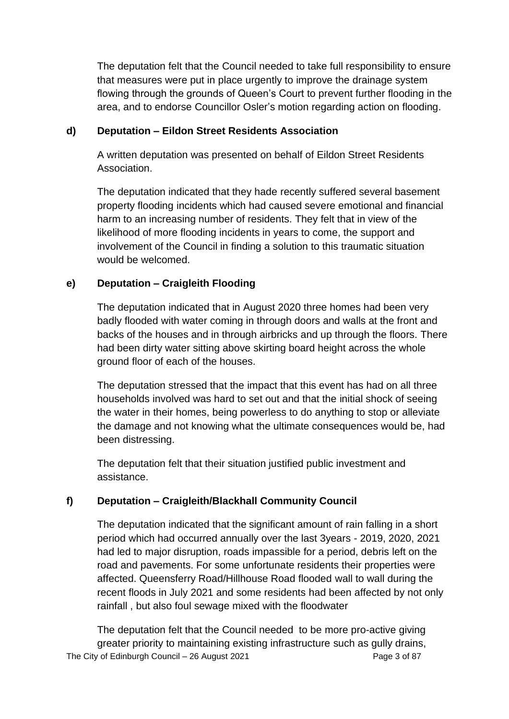The deputation felt that the Council needed to take full responsibility to ensure that measures were put in place urgently to improve the drainage system flowing through the grounds of Queen's Court to prevent further flooding in the area, and to endorse Councillor Osler's motion regarding action on flooding.

# **d) Deputation – Eildon Street Residents Association**

A written deputation was presented on behalf of Eildon Street Residents Association.

The deputation indicated that they hade recently suffered several basement property flooding incidents which had caused severe emotional and financial harm to an increasing number of residents. They felt that in view of the likelihood of more flooding incidents in years to come, the support and involvement of the Council in finding a solution to this traumatic situation would be welcomed.

# **e) Deputation – Craigleith Flooding**

The deputation indicated that in August 2020 three homes had been very badly flooded with water coming in through doors and walls at the front and backs of the houses and in through airbricks and up through the floors. There had been dirty water sitting above skirting board height across the whole ground floor of each of the houses.

The deputation stressed that the impact that this event has had on all three households involved was hard to set out and that the initial shock of seeing the water in their homes, being powerless to do anything to stop or alleviate the damage and not knowing what the ultimate consequences would be, had been distressing.

The deputation felt that their situation justified public investment and assistance.

# **f) Deputation – Craigleith/Blackhall Community Council**

The deputation indicated that the significant amount of rain falling in a short period which had occurred annually over the last 3years - 2019, 2020, 2021 had led to major disruption, roads impassible for a period, debris left on the road and pavements. For some unfortunate residents their properties were affected. Queensferry Road/Hillhouse Road flooded wall to wall during the recent floods in July 2021 and some residents had been affected by not only rainfall , but also foul sewage mixed with the floodwater

The City of Edinburgh Council – 26 August 2021 Page 3 of 87 The deputation felt that the Council needed to be more pro-active giving greater priority to maintaining existing infrastructure such as gully drains,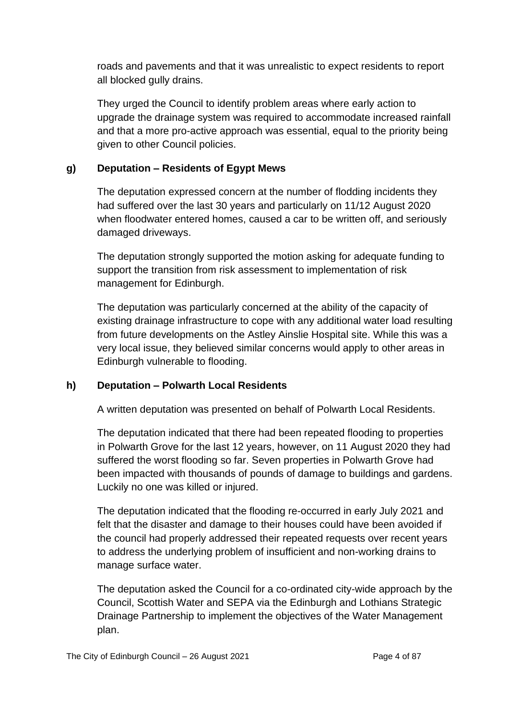roads and pavements and that it was unrealistic to expect residents to report all blocked gully drains.

They urged the Council to identify problem areas where early action to upgrade the drainage system was required to accommodate increased rainfall and that a more pro-active approach was essential, equal to the priority being given to other Council policies.

# **g) Deputation – Residents of Egypt Mews**

The deputation expressed concern at the number of flodding incidents they had suffered over the last 30 years and particularly on 11/12 August 2020 when floodwater entered homes, caused a car to be written off, and seriously damaged driveways.

The deputation strongly supported the motion asking for adequate funding to support the transition from risk assessment to implementation of risk management for Edinburgh.

The deputation was particularly concerned at the ability of the capacity of existing drainage infrastructure to cope with any additional water load resulting from future developments on the Astley Ainslie Hospital site. While this was a very local issue, they believed similar concerns would apply to other areas in Edinburgh vulnerable to flooding.

# **h) Deputation – Polwarth Local Residents**

A written deputation was presented on behalf of Polwarth Local Residents.

The deputation indicated that there had been repeated flooding to properties in Polwarth Grove for the last 12 years, however, on 11 August 2020 they had suffered the worst flooding so far. Seven properties in Polwarth Grove had been impacted with thousands of pounds of damage to buildings and gardens. Luckily no one was killed or injured.

The deputation indicated that the flooding re-occurred in early July 2021 and felt that the disaster and damage to their houses could have been avoided if the council had properly addressed their repeated requests over recent years to address the underlying problem of insufficient and non-working drains to manage surface water.

The deputation asked the Council for a co-ordinated city-wide approach by the Council, Scottish Water and SEPA via the Edinburgh and Lothians Strategic Drainage Partnership to implement the objectives of the Water Management plan.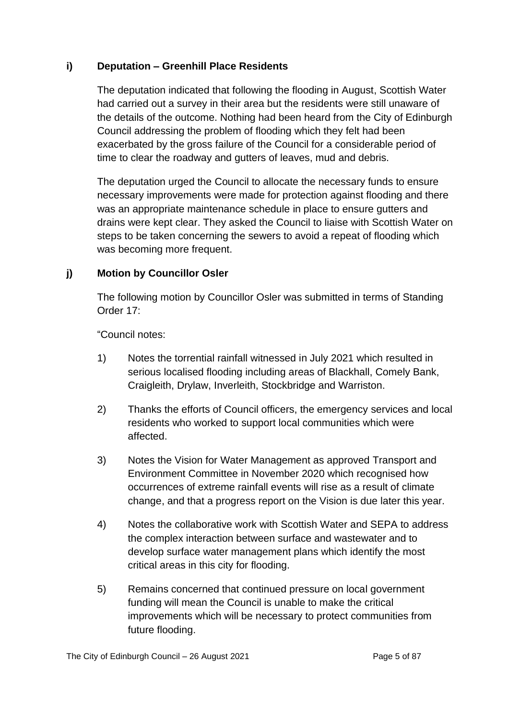# **i) Deputation – Greenhill Place Residents**

The deputation indicated that following the flooding in August, Scottish Water had carried out a survey in their area but the residents were still unaware of the details of the outcome. Nothing had been heard from the City of Edinburgh Council addressing the problem of flooding which they felt had been exacerbated by the gross failure of the Council for a considerable period of time to clear the roadway and gutters of leaves, mud and debris.

The deputation urged the Council to allocate the necessary funds to ensure necessary improvements were made for protection against flooding and there was an appropriate maintenance schedule in place to ensure gutters and drains were kept clear. They asked the Council to liaise with Scottish Water on steps to be taken concerning the sewers to avoid a repeat of flooding which was becoming more frequent.

# **j) Motion by Councillor Osler**

The following motion by Councillor Osler was submitted in terms of Standing Order 17:

"Council notes:

- 1) Notes the torrential rainfall witnessed in July 2021 which resulted in serious localised flooding including areas of Blackhall, Comely Bank, Craigleith, Drylaw, Inverleith, Stockbridge and Warriston.
- 2) Thanks the efforts of Council officers, the emergency services and local residents who worked to support local communities which were affected.
- 3) Notes the Vision for Water Management as approved Transport and Environment Committee in November 2020 which recognised how occurrences of extreme rainfall events will rise as a result of climate change, and that a progress report on the Vision is due later this year.
- 4) Notes the collaborative work with Scottish Water and SEPA to address the complex interaction between surface and wastewater and to develop surface water management plans which identify the most critical areas in this city for flooding.
- 5) Remains concerned that continued pressure on local government funding will mean the Council is unable to make the critical improvements which will be necessary to protect communities from future flooding.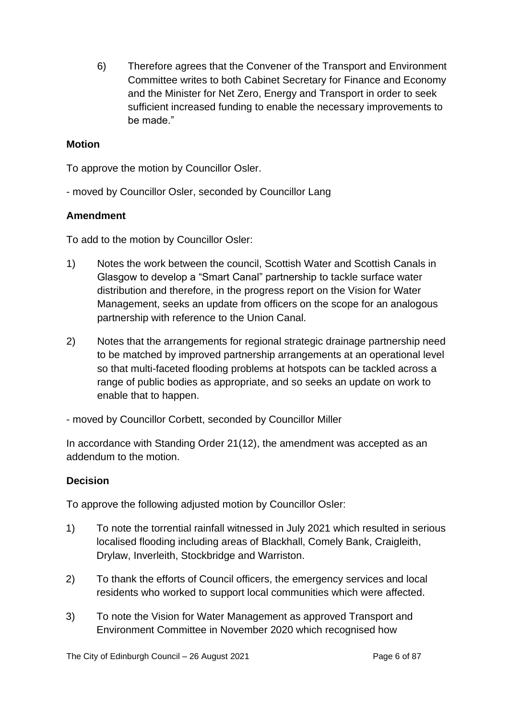6) Therefore agrees that the Convener of the Transport and Environment Committee writes to both Cabinet Secretary for Finance and Economy and the Minister for Net Zero, Energy and Transport in order to seek sufficient increased funding to enable the necessary improvements to be made."

#### **Motion**

To approve the motion by Councillor Osler.

- moved by Councillor Osler, seconded by Councillor Lang

# **Amendment**

To add to the motion by Councillor Osler:

- 1) Notes the work between the council, Scottish Water and Scottish Canals in Glasgow to develop a "Smart Canal" partnership to tackle surface water distribution and therefore, in the progress report on the Vision for Water Management, seeks an update from officers on the scope for an analogous partnership with reference to the Union Canal.
- 2) Notes that the arrangements for regional strategic drainage partnership need to be matched by improved partnership arrangements at an operational level so that multi-faceted flooding problems at hotspots can be tackled across a range of public bodies as appropriate, and so seeks an update on work to enable that to happen.

- moved by Councillor Corbett, seconded by Councillor Miller

In accordance with Standing Order 21(12), the amendment was accepted as an addendum to the motion.

# **Decision**

To approve the following adjusted motion by Councillor Osler:

- 1) To note the torrential rainfall witnessed in July 2021 which resulted in serious localised flooding including areas of Blackhall, Comely Bank, Craigleith, Drylaw, Inverleith, Stockbridge and Warriston.
- 2) To thank the efforts of Council officers, the emergency services and local residents who worked to support local communities which were affected.
- 3) To note the Vision for Water Management as approved Transport and Environment Committee in November 2020 which recognised how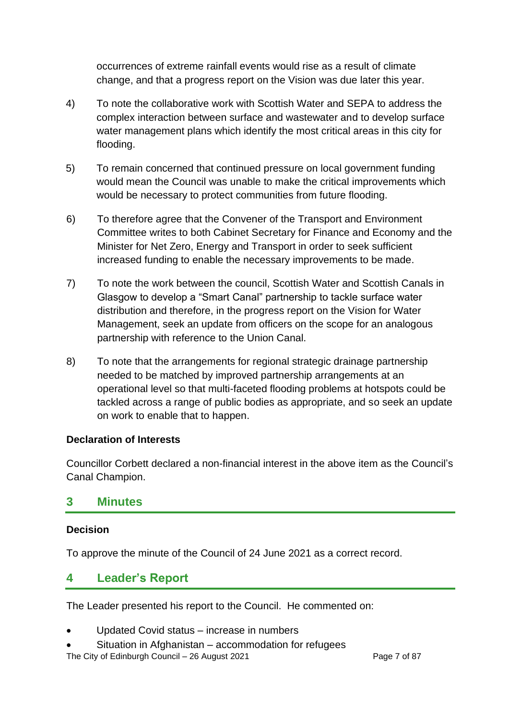occurrences of extreme rainfall events would rise as a result of climate change, and that a progress report on the Vision was due later this year.

- 4) To note the collaborative work with Scottish Water and SEPA to address the complex interaction between surface and wastewater and to develop surface water management plans which identify the most critical areas in this city for flooding.
- 5) To remain concerned that continued pressure on local government funding would mean the Council was unable to make the critical improvements which would be necessary to protect communities from future flooding.
- 6) To therefore agree that the Convener of the Transport and Environment Committee writes to both Cabinet Secretary for Finance and Economy and the Minister for Net Zero, Energy and Transport in order to seek sufficient increased funding to enable the necessary improvements to be made.
- 7) To note the work between the council, Scottish Water and Scottish Canals in Glasgow to develop a "Smart Canal" partnership to tackle surface water distribution and therefore, in the progress report on the Vision for Water Management, seek an update from officers on the scope for an analogous partnership with reference to the Union Canal.
- 8) To note that the arrangements for regional strategic drainage partnership needed to be matched by improved partnership arrangements at an operational level so that multi-faceted flooding problems at hotspots could be tackled across a range of public bodies as appropriate, and so seek an update on work to enable that to happen.

# **Declaration of Interests**

Councillor Corbett declared a non-financial interest in the above item as the Council's Canal Champion.

# **3 Minutes**

# **Decision**

To approve the minute of the Council of 24 June 2021 as a correct record.

# **4 Leader's Report**

The Leader presented his report to the Council. He commented on:

- Updated Covid status increase in numbers
- Situation in Afghanistan accommodation for refugees

The City of Edinburgh Council – 26 August 2021 Page 7 of 87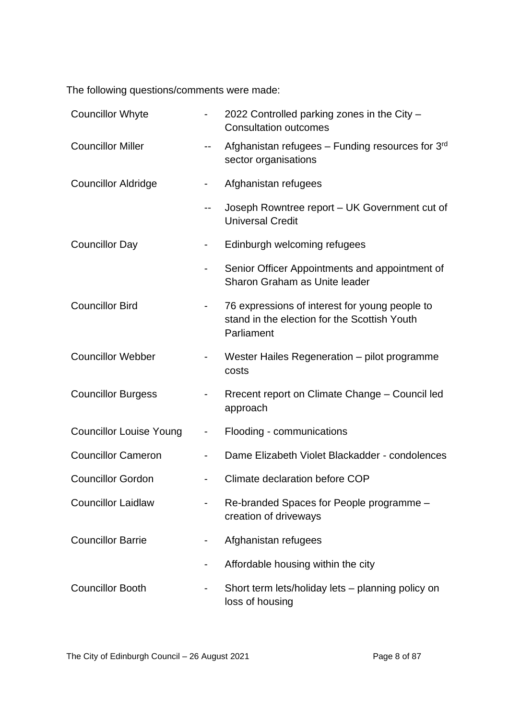The following questions/comments were made:

| <b>Councillor Whyte</b>        |                          | 2022 Controlled parking zones in the City -<br><b>Consultation outcomes</b>                                  |
|--------------------------------|--------------------------|--------------------------------------------------------------------------------------------------------------|
| <b>Councillor Miller</b>       |                          | Afghanistan refugees - Funding resources for 3rd<br>sector organisations                                     |
| <b>Councillor Aldridge</b>     |                          | Afghanistan refugees                                                                                         |
|                                | --                       | Joseph Rowntree report - UK Government cut of<br><b>Universal Credit</b>                                     |
| <b>Councillor Day</b>          |                          | Edinburgh welcoming refugees                                                                                 |
|                                |                          | Senior Officer Appointments and appointment of<br>Sharon Graham as Unite leader                              |
| <b>Councillor Bird</b>         |                          | 76 expressions of interest for young people to<br>stand in the election for the Scottish Youth<br>Parliament |
| <b>Councillor Webber</b>       |                          | Wester Hailes Regeneration – pilot programme<br>costs                                                        |
| <b>Councillor Burgess</b>      |                          | Rrecent report on Climate Change - Council led<br>approach                                                   |
| <b>Councillor Louise Young</b> | $\overline{\phantom{0}}$ | Flooding - communications                                                                                    |
| <b>Councillor Cameron</b>      |                          | Dame Elizabeth Violet Blackadder - condolences                                                               |
| <b>Councillor Gordon</b>       |                          | Climate declaration before COP                                                                               |
| <b>Councillor Laidlaw</b>      |                          | Re-branded Spaces for People programme -<br>creation of driveways                                            |
| <b>Councillor Barrie</b>       |                          | Afghanistan refugees                                                                                         |
|                                |                          | Affordable housing within the city                                                                           |
| <b>Councillor Booth</b>        |                          | Short term lets/holiday lets – planning policy on<br>loss of housing                                         |

The City of Edinburgh Council – 26 August 2021 Page 8 of 87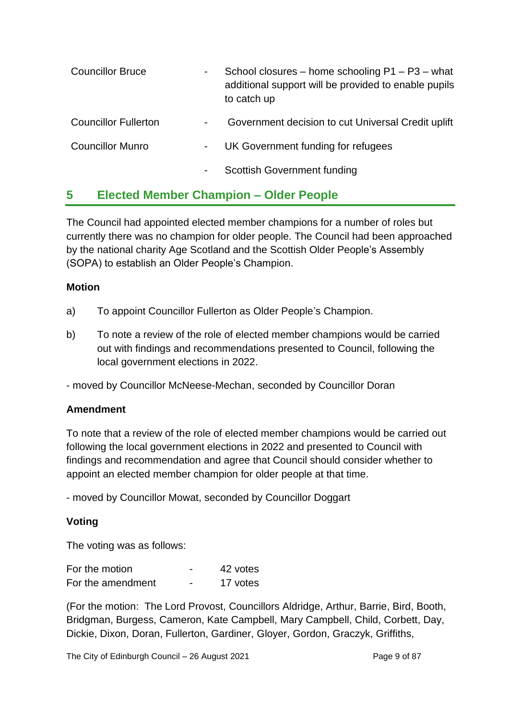| <b>Councillor Bruce</b>     | -              | School closures – home schooling $P1 - P3$ – what<br>additional support will be provided to enable pupils<br>to catch up |  |
|-----------------------------|----------------|--------------------------------------------------------------------------------------------------------------------------|--|
| <b>Councillor Fullerton</b> | $\blacksquare$ | Government decision to cut Universal Credit uplift                                                                       |  |
| <b>Councillor Munro</b>     | $\blacksquare$ | UK Government funding for refugees                                                                                       |  |
|                             | ٠              | <b>Scottish Government funding</b>                                                                                       |  |

# **5 Elected Member Champion – Older People**

The Council had appointed elected member champions for a number of roles but currently there was no champion for older people. The Council had been approached by the national charity Age Scotland and the Scottish Older People's Assembly (SOPA) to establish an Older People's Champion.

#### **Motion**

- a) To appoint Councillor Fullerton as Older People's Champion.
- b) To note a review of the role of elected member champions would be carried out with findings and recommendations presented to Council, following the local government elections in 2022.

- moved by Councillor McNeese-Mechan, seconded by Councillor Doran

# **Amendment**

To note that a review of the role of elected member champions would be carried out following the local government elections in 2022 and presented to Council with findings and recommendation and agree that Council should consider whether to appoint an elected member champion for older people at that time.

- moved by Councillor Mowat, seconded by Councillor Doggart

# **Voting**

The voting was as follows:

| For the motion    |   | 42 votes |
|-------------------|---|----------|
| For the amendment | - | 17 votes |

(For the motion: The Lord Provost, Councillors Aldridge, Arthur, Barrie, Bird, Booth, Bridgman, Burgess, Cameron, Kate Campbell, Mary Campbell, Child, Corbett, Day, Dickie, Dixon, Doran, Fullerton, Gardiner, Gloyer, Gordon, Graczyk, Griffiths,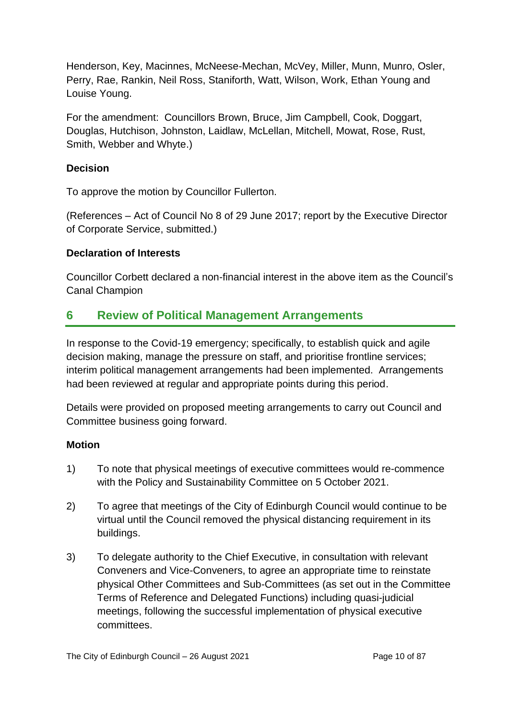Henderson, Key, Macinnes, McNeese-Mechan, McVey, Miller, Munn, Munro, Osler, Perry, Rae, Rankin, Neil Ross, Staniforth, Watt, Wilson, Work, Ethan Young and Louise Young.

For the amendment: Councillors Brown, Bruce, Jim Campbell, Cook, Doggart, Douglas, Hutchison, Johnston, Laidlaw, McLellan, Mitchell, Mowat, Rose, Rust, Smith, Webber and Whyte.)

### **Decision**

To approve the motion by Councillor Fullerton.

(References – Act of Council No 8 of 29 June 2017; report by the Executive Director of Corporate Service, submitted.)

#### **Declaration of Interests**

Councillor Corbett declared a non-financial interest in the above item as the Council's Canal Champion

# **6 Review of Political Management Arrangements**

In response to the Covid-19 emergency; specifically, to establish quick and agile decision making, manage the pressure on staff, and prioritise frontline services; interim political management arrangements had been implemented. Arrangements had been reviewed at regular and appropriate points during this period.

Details were provided on proposed meeting arrangements to carry out Council and Committee business going forward.

#### **Motion**

- 1) To note that physical meetings of executive committees would re-commence with the Policy and Sustainability Committee on 5 October 2021.
- 2) To agree that meetings of the City of Edinburgh Council would continue to be virtual until the Council removed the physical distancing requirement in its buildings.
- 3) To delegate authority to the Chief Executive, in consultation with relevant Conveners and Vice-Conveners, to agree an appropriate time to reinstate physical Other Committees and Sub-Committees (as set out in the Committee Terms of Reference and Delegated Functions) including quasi-judicial meetings, following the successful implementation of physical executive committees.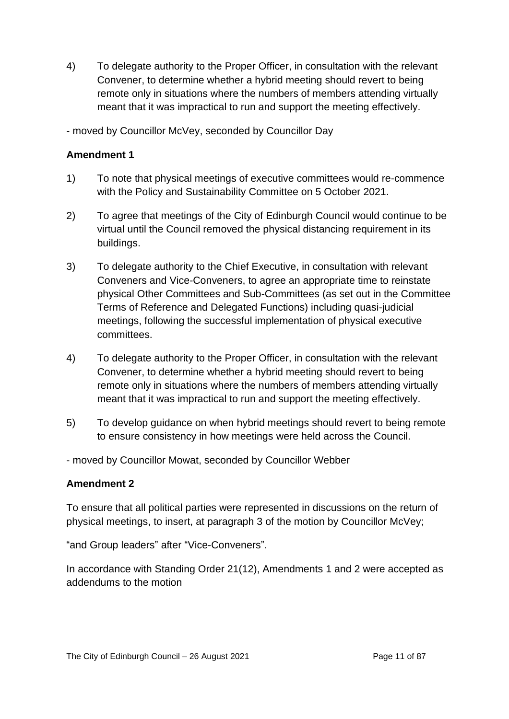4) To delegate authority to the Proper Officer, in consultation with the relevant Convener, to determine whether a hybrid meeting should revert to being remote only in situations where the numbers of members attending virtually meant that it was impractical to run and support the meeting effectively.

- moved by Councillor McVey, seconded by Councillor Day

#### **Amendment 1**

- 1) To note that physical meetings of executive committees would re-commence with the Policy and Sustainability Committee on 5 October 2021.
- 2) To agree that meetings of the City of Edinburgh Council would continue to be virtual until the Council removed the physical distancing requirement in its buildings.
- 3) To delegate authority to the Chief Executive, in consultation with relevant Conveners and Vice-Conveners, to agree an appropriate time to reinstate physical Other Committees and Sub-Committees (as set out in the Committee Terms of Reference and Delegated Functions) including quasi-judicial meetings, following the successful implementation of physical executive committees.
- 4) To delegate authority to the Proper Officer, in consultation with the relevant Convener, to determine whether a hybrid meeting should revert to being remote only in situations where the numbers of members attending virtually meant that it was impractical to run and support the meeting effectively.
- 5) To develop guidance on when hybrid meetings should revert to being remote to ensure consistency in how meetings were held across the Council.
- moved by Councillor Mowat, seconded by Councillor Webber

# **Amendment 2**

To ensure that all political parties were represented in discussions on the return of physical meetings, to insert, at paragraph 3 of the motion by Councillor McVey;

"and Group leaders" after "Vice-Conveners".

In accordance with Standing Order 21(12), Amendments 1 and 2 were accepted as addendums to the motion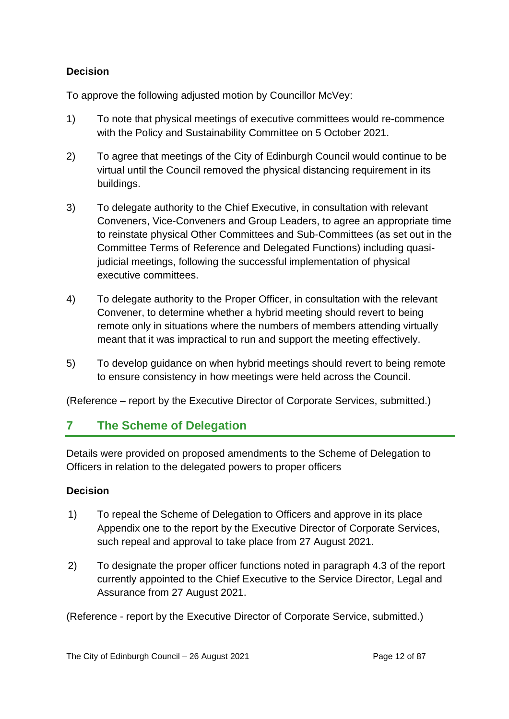# **Decision**

To approve the following adjusted motion by Councillor McVey:

- 1) To note that physical meetings of executive committees would re-commence with the Policy and Sustainability Committee on 5 October 2021.
- 2) To agree that meetings of the City of Edinburgh Council would continue to be virtual until the Council removed the physical distancing requirement in its buildings.
- 3) To delegate authority to the Chief Executive, in consultation with relevant Conveners, Vice-Conveners and Group Leaders, to agree an appropriate time to reinstate physical Other Committees and Sub-Committees (as set out in the Committee Terms of Reference and Delegated Functions) including quasijudicial meetings, following the successful implementation of physical executive committees.
- 4) To delegate authority to the Proper Officer, in consultation with the relevant Convener, to determine whether a hybrid meeting should revert to being remote only in situations where the numbers of members attending virtually meant that it was impractical to run and support the meeting effectively.
- 5) To develop guidance on when hybrid meetings should revert to being remote to ensure consistency in how meetings were held across the Council.

(Reference – report by the Executive Director of Corporate Services, submitted.)

# **7 The Scheme of Delegation**

Details were provided on proposed amendments to the Scheme of Delegation to Officers in relation to the delegated powers to proper officers

# **Decision**

- 1) To repeal the Scheme of Delegation to Officers and approve in its place Appendix one to the report by the Executive Director of Corporate Services, such repeal and approval to take place from 27 August 2021.
- 2) To designate the proper officer functions noted in paragraph 4.3 of the report currently appointed to the Chief Executive to the Service Director, Legal and Assurance from 27 August 2021.

(Reference - report by the Executive Director of Corporate Service, submitted.)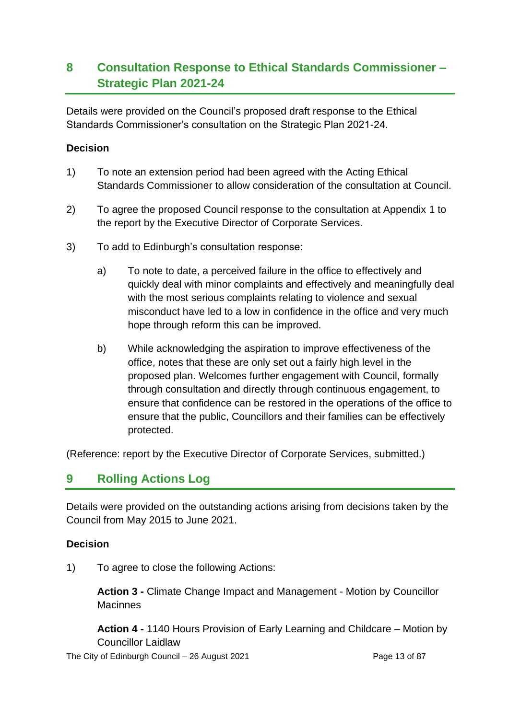# **8 Consultation Response to Ethical Standards Commissioner – Strategic Plan 2021-24**

Details were provided on the Council's proposed draft response to the Ethical Standards Commissioner's consultation on the Strategic Plan 2021-24.

### **Decision**

- 1) To note an extension period had been agreed with the Acting Ethical Standards Commissioner to allow consideration of the consultation at Council.
- 2) To agree the proposed Council response to the consultation at Appendix 1 to the report by the Executive Director of Corporate Services.
- 3) To add to Edinburgh's consultation response:
	- a) To note to date, a perceived failure in the office to effectively and quickly deal with minor complaints and effectively and meaningfully deal with the most serious complaints relating to violence and sexual misconduct have led to a low in confidence in the office and very much hope through reform this can be improved.
	- b) While acknowledging the aspiration to improve effectiveness of the office, notes that these are only set out a fairly high level in the proposed plan. Welcomes further engagement with Council, formally through consultation and directly through continuous engagement, to ensure that confidence can be restored in the operations of the office to ensure that the public, Councillors and their families can be effectively protected.

(Reference: report by the Executive Director of Corporate Services, submitted.)

# **9 Rolling Actions Log**

Details were provided on the outstanding actions arising from decisions taken by the Council from May 2015 to June 2021.

#### **Decision**

1) To agree to close the following Actions:

**Action 3 -** Climate Change Impact and Management - Motion by Councillor **Macinnes** 

**Action 4 -** 1140 Hours Provision of Early Learning and Childcare – Motion by Councillor Laidlaw

The City of Edinburgh Council – 26 August 2021 **Page 13 of 87** Page 13 of 87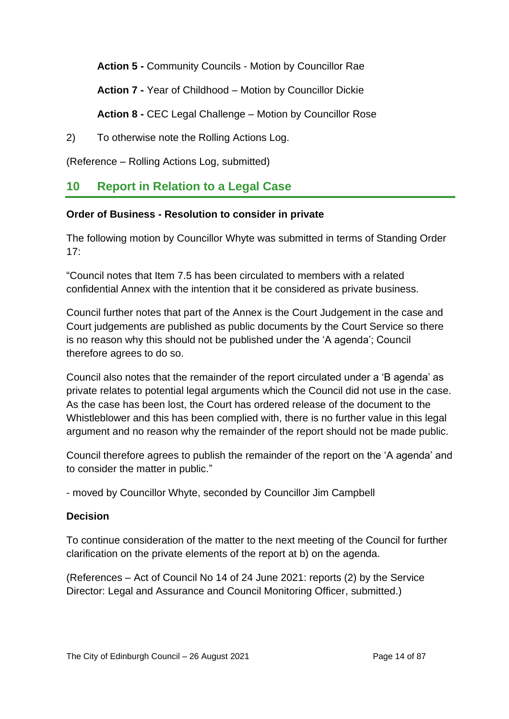**Action 5 -** Community Councils - Motion by Councillor Rae

**Action 7 -** Year of Childhood – Motion by Councillor Dickie

**Action 8 -** CEC Legal Challenge – Motion by Councillor Rose

2) To otherwise note the Rolling Actions Log.

(Reference – Rolling Actions Log, submitted)

# **10 Report in Relation to a Legal Case**

#### **Order of Business - Resolution to consider in private**

The following motion by Councillor Whyte was submitted in terms of Standing Order  $17<sup>1</sup>$ 

"Council notes that Item 7.5 has been circulated to members with a related confidential Annex with the intention that it be considered as private business.

Council further notes that part of the Annex is the Court Judgement in the case and Court judgements are published as public documents by the Court Service so there is no reason why this should not be published under the 'A agenda'; Council therefore agrees to do so.

Council also notes that the remainder of the report circulated under a 'B agenda' as private relates to potential legal arguments which the Council did not use in the case. As the case has been lost, the Court has ordered release of the document to the Whistleblower and this has been complied with, there is no further value in this legal argument and no reason why the remainder of the report should not be made public.

Council therefore agrees to publish the remainder of the report on the 'A agenda' and to consider the matter in public."

- moved by Councillor Whyte, seconded by Councillor Jim Campbell

# **Decision**

To continue consideration of the matter to the next meeting of the Council for further clarification on the private elements of the report at b) on the agenda.

(References – Act of Council No 14 of 24 June 2021: reports (2) by the Service Director: Legal and Assurance and Council Monitoring Officer, submitted.)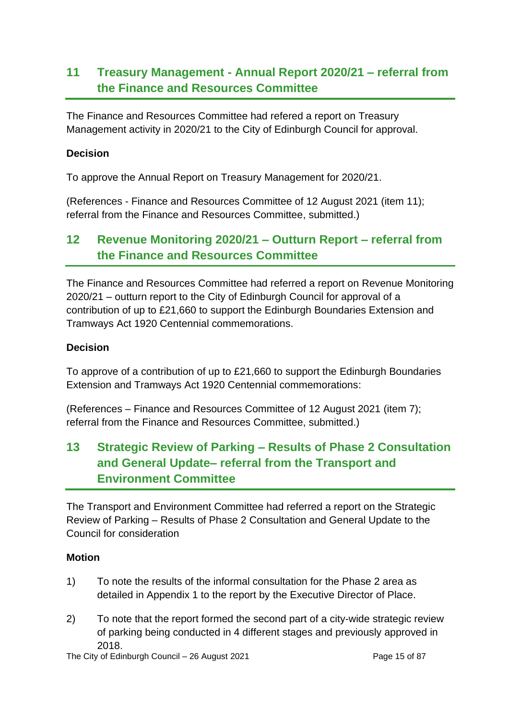# **11 Treasury Management - Annual Report 2020/21 – referral from the Finance and Resources Committee**

The Finance and Resources Committee had refered a report on Treasury Management activity in 2020/21 to the City of Edinburgh Council for approval.

#### **Decision**

To approve the Annual Report on Treasury Management for 2020/21.

(References - Finance and Resources Committee of 12 August 2021 (item 11); referral from the Finance and Resources Committee, submitted.)

# **12 Revenue Monitoring 2020/21 – Outturn Report – referral from the Finance and Resources Committee**

The Finance and Resources Committee had referred a report on Revenue Monitoring 2020/21 – outturn report to the City of Edinburgh Council for approval of a contribution of up to £21,660 to support the Edinburgh Boundaries Extension and Tramways Act 1920 Centennial commemorations.

#### **Decision**

To approve of a contribution of up to £21,660 to support the Edinburgh Boundaries Extension and Tramways Act 1920 Centennial commemorations:

(References – Finance and Resources Committee of 12 August 2021 (item 7); referral from the Finance and Resources Committee, submitted.)

# **13 Strategic Review of Parking – Results of Phase 2 Consultation and General Update– referral from the Transport and Environment Committee**

The Transport and Environment Committee had referred a report on the Strategic Review of Parking – Results of Phase 2 Consultation and General Update to the Council for consideration

#### **Motion**

- 1) To note the results of the informal consultation for the Phase 2 area as detailed in Appendix 1 to the report by the Executive Director of Place.
- 2) To note that the report formed the second part of a city-wide strategic review of parking being conducted in 4 different stages and previously approved in 2018.

The City of Edinburgh Council – 26 August 2021 **Page 15 of 87** Page 15 of 87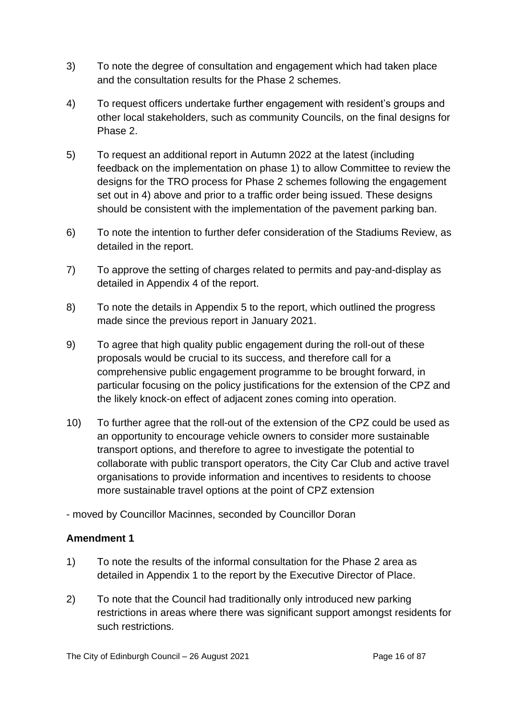- 3) To note the degree of consultation and engagement which had taken place and the consultation results for the Phase 2 schemes.
- 4) To request officers undertake further engagement with resident's groups and other local stakeholders, such as community Councils, on the final designs for Phase 2.
- 5) To request an additional report in Autumn 2022 at the latest (including feedback on the implementation on phase 1) to allow Committee to review the designs for the TRO process for Phase 2 schemes following the engagement set out in 4) above and prior to a traffic order being issued. These designs should be consistent with the implementation of the pavement parking ban.
- 6) To note the intention to further defer consideration of the Stadiums Review, as detailed in the report.
- 7) To approve the setting of charges related to permits and pay-and-display as detailed in Appendix 4 of the report.
- 8) To note the details in Appendix 5 to the report, which outlined the progress made since the previous report in January 2021.
- 9) To agree that high quality public engagement during the roll-out of these proposals would be crucial to its success, and therefore call for a comprehensive public engagement programme to be brought forward, in particular focusing on the policy justifications for the extension of the CPZ and the likely knock-on effect of adjacent zones coming into operation.
- 10) To further agree that the roll-out of the extension of the CPZ could be used as an opportunity to encourage vehicle owners to consider more sustainable transport options, and therefore to agree to investigate the potential to collaborate with public transport operators, the City Car Club and active travel organisations to provide information and incentives to residents to choose more sustainable travel options at the point of CPZ extension

- moved by Councillor Macinnes, seconded by Councillor Doran

# **Amendment 1**

- 1) To note the results of the informal consultation for the Phase 2 area as detailed in Appendix 1 to the report by the Executive Director of Place.
- 2) To note that the Council had traditionally only introduced new parking restrictions in areas where there was significant support amongst residents for such restrictions.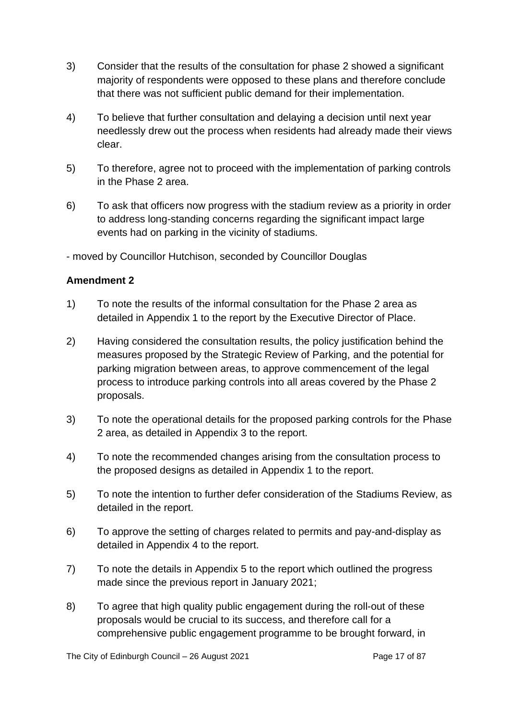- 3) Consider that the results of the consultation for phase 2 showed a significant majority of respondents were opposed to these plans and therefore conclude that there was not sufficient public demand for their implementation.
- 4) To believe that further consultation and delaying a decision until next year needlessly drew out the process when residents had already made their views clear.
- 5) To therefore, agree not to proceed with the implementation of parking controls in the Phase 2 area.
- 6) To ask that officers now progress with the stadium review as a priority in order to address long-standing concerns regarding the significant impact large events had on parking in the vicinity of stadiums.

- moved by Councillor Hutchison, seconded by Councillor Douglas

# **Amendment 2**

- 1) To note the results of the informal consultation for the Phase 2 area as detailed in Appendix 1 to the report by the Executive Director of Place.
- 2) Having considered the consultation results, the policy justification behind the measures proposed by the Strategic Review of Parking, and the potential for parking migration between areas, to approve commencement of the legal process to introduce parking controls into all areas covered by the Phase 2 proposals.
- 3) To note the operational details for the proposed parking controls for the Phase 2 area, as detailed in Appendix 3 to the report.
- 4) To note the recommended changes arising from the consultation process to the proposed designs as detailed in Appendix 1 to the report.
- 5) To note the intention to further defer consideration of the Stadiums Review, as detailed in the report.
- 6) To approve the setting of charges related to permits and pay-and-display as detailed in Appendix 4 to the report.
- 7) To note the details in Appendix 5 to the report which outlined the progress made since the previous report in January 2021;
- 8) To agree that high quality public engagement during the roll-out of these proposals would be crucial to its success, and therefore call for a comprehensive public engagement programme to be brought forward, in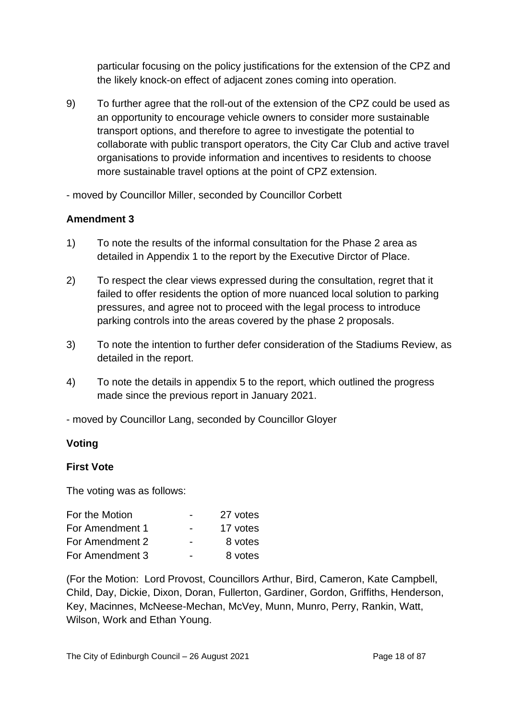particular focusing on the policy justifications for the extension of the CPZ and the likely knock-on effect of adjacent zones coming into operation.

9) To further agree that the roll-out of the extension of the CPZ could be used as an opportunity to encourage vehicle owners to consider more sustainable transport options, and therefore to agree to investigate the potential to collaborate with public transport operators, the City Car Club and active travel organisations to provide information and incentives to residents to choose more sustainable travel options at the point of CPZ extension.

- moved by Councillor Miller, seconded by Councillor Corbett

# **Amendment 3**

- 1) To note the results of the informal consultation for the Phase 2 area as detailed in Appendix 1 to the report by the Executive Dirctor of Place.
- 2) To respect the clear views expressed during the consultation, regret that it failed to offer residents the option of more nuanced local solution to parking pressures, and agree not to proceed with the legal process to introduce parking controls into the areas covered by the phase 2 proposals.
- 3) To note the intention to further defer consideration of the Stadiums Review, as detailed in the report.
- 4) To note the details in appendix 5 to the report, which outlined the progress made since the previous report in January 2021.
- moved by Councillor Lang, seconded by Councillor Gloyer

#### **Voting**

#### **First Vote**

The voting was as follows:

| For the Motion  |                          | 27 votes |
|-----------------|--------------------------|----------|
| For Amendment 1 |                          | 17 votes |
| For Amendment 2 | $\overline{\phantom{0}}$ | 8 votes  |
| For Amendment 3 |                          | 8 votes  |

(For the Motion: Lord Provost, Councillors Arthur, Bird, Cameron, Kate Campbell, Child, Day, Dickie, Dixon, Doran, Fullerton, Gardiner, Gordon, Griffiths, Henderson, Key, Macinnes, McNeese-Mechan, McVey, Munn, Munro, Perry, Rankin, Watt, Wilson, Work and Ethan Young.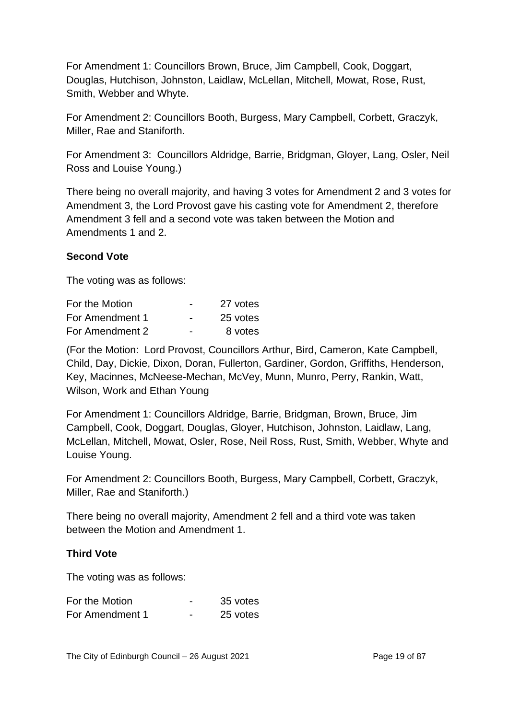For Amendment 1: Councillors Brown, Bruce, Jim Campbell, Cook, Doggart, Douglas, Hutchison, Johnston, Laidlaw, McLellan, Mitchell, Mowat, Rose, Rust, Smith, Webber and Whyte.

For Amendment 2: Councillors Booth, Burgess, Mary Campbell, Corbett, Graczyk, Miller, Rae and Staniforth.

For Amendment 3: Councillors Aldridge, Barrie, Bridgman, Gloyer, Lang, Osler, Neil Ross and Louise Young.)

There being no overall majority, and having 3 votes for Amendment 2 and 3 votes for Amendment 3, the Lord Provost gave his casting vote for Amendment 2, therefore Amendment 3 fell and a second vote was taken between the Motion and Amendments 1 and 2.

#### **Second Vote**

The voting was as follows:

| For the Motion  | $\overline{\phantom{0}}$ | 27 votes |
|-----------------|--------------------------|----------|
| For Amendment 1 | $\overline{\phantom{0}}$ | 25 votes |
| For Amendment 2 | $\overline{\phantom{0}}$ | 8 votes  |

(For the Motion: Lord Provost, Councillors Arthur, Bird, Cameron, Kate Campbell, Child, Day, Dickie, Dixon, Doran, Fullerton, Gardiner, Gordon, Griffiths, Henderson, Key, Macinnes, McNeese-Mechan, McVey, Munn, Munro, Perry, Rankin, Watt, Wilson, Work and Ethan Young

For Amendment 1: Councillors Aldridge, Barrie, Bridgman, Brown, Bruce, Jim Campbell, Cook, Doggart, Douglas, Gloyer, Hutchison, Johnston, Laidlaw, Lang, McLellan, Mitchell, Mowat, Osler, Rose, Neil Ross, Rust, Smith, Webber, Whyte and Louise Young.

For Amendment 2: Councillors Booth, Burgess, Mary Campbell, Corbett, Graczyk, Miller, Rae and Staniforth.)

There being no overall majority, Amendment 2 fell and a third vote was taken between the Motion and Amendment 1.

#### **Third Vote**

The voting was as follows:

| For the Motion  | -                        | 35 votes |
|-----------------|--------------------------|----------|
| For Amendment 1 | $\overline{\phantom{0}}$ | 25 votes |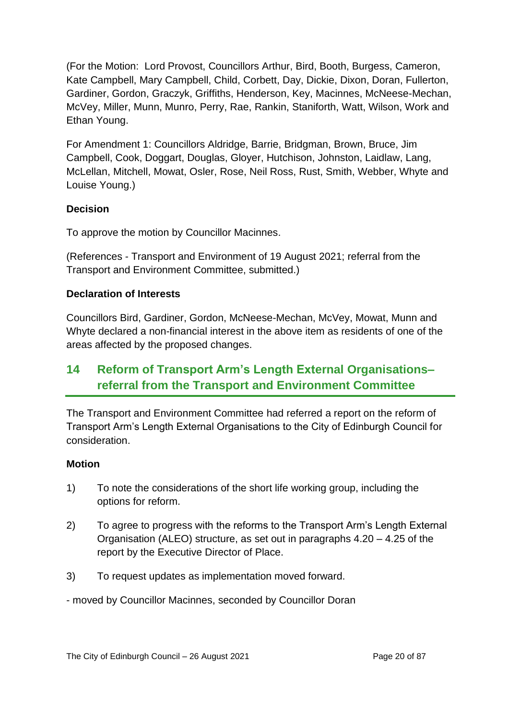(For the Motion: Lord Provost, Councillors Arthur, Bird, Booth, Burgess, Cameron, Kate Campbell, Mary Campbell, Child, Corbett, Day, Dickie, Dixon, Doran, Fullerton, Gardiner, Gordon, Graczyk, Griffiths, Henderson, Key, Macinnes, McNeese-Mechan, McVey, Miller, Munn, Munro, Perry, Rae, Rankin, Staniforth, Watt, Wilson, Work and Ethan Young.

For Amendment 1: Councillors Aldridge, Barrie, Bridgman, Brown, Bruce, Jim Campbell, Cook, Doggart, Douglas, Gloyer, Hutchison, Johnston, Laidlaw, Lang, McLellan, Mitchell, Mowat, Osler, Rose, Neil Ross, Rust, Smith, Webber, Whyte and Louise Young.)

# **Decision**

To approve the motion by Councillor Macinnes.

(References - Transport and Environment of 19 August 2021; referral from the Transport and Environment Committee, submitted.)

# **Declaration of Interests**

Councillors Bird, Gardiner, Gordon, McNeese-Mechan, McVey, Mowat, Munn and Whyte declared a non-financial interest in the above item as residents of one of the areas affected by the proposed changes.

# **14 Reform of Transport Arm's Length External Organisations– referral from the Transport and Environment Committee**

The Transport and Environment Committee had referred a report on the reform of Transport Arm's Length External Organisations to the City of Edinburgh Council for consideration.

# **Motion**

- 1) To note the considerations of the short life working group, including the options for reform.
- 2) To agree to progress with the reforms to the Transport Arm's Length External Organisation (ALEO) structure, as set out in paragraphs 4.20 – 4.25 of the report by the Executive Director of Place.
- 3) To request updates as implementation moved forward.

- moved by Councillor Macinnes, seconded by Councillor Doran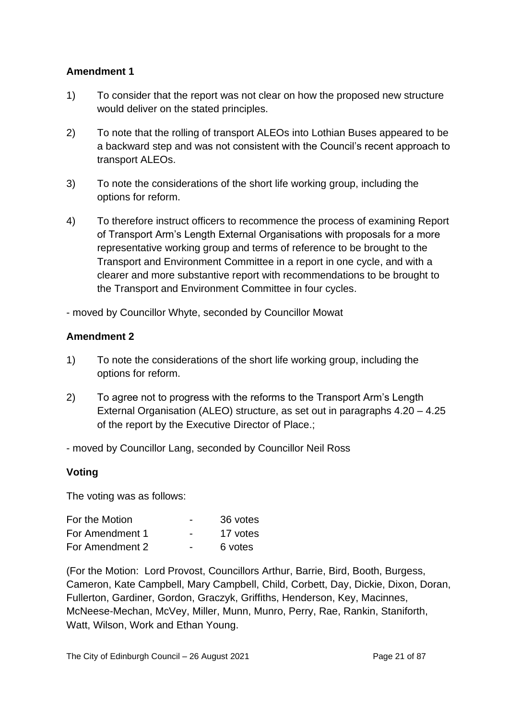# **Amendment 1**

- 1) To consider that the report was not clear on how the proposed new structure would deliver on the stated principles.
- 2) To note that the rolling of transport ALEOs into Lothian Buses appeared to be a backward step and was not consistent with the Council's recent approach to transport ALEOs.
- 3) To note the considerations of the short life working group, including the options for reform.
- 4) To therefore instruct officers to recommence the process of examining Report of Transport Arm's Length External Organisations with proposals for a more representative working group and terms of reference to be brought to the Transport and Environment Committee in a report in one cycle, and with a clearer and more substantive report with recommendations to be brought to the Transport and Environment Committee in four cycles.

- moved by Councillor Whyte, seconded by Councillor Mowat

#### **Amendment 2**

- 1) To note the considerations of the short life working group, including the options for reform.
- 2) To agree not to progress with the reforms to the Transport Arm's Length External Organisation (ALEO) structure, as set out in paragraphs 4.20 – 4.25 of the report by the Executive Director of Place.;
- moved by Councillor Lang, seconded by Councillor Neil Ross

#### **Voting**

The voting was as follows:

| For the Motion  | $\overline{\phantom{0}}$ | 36 votes |
|-----------------|--------------------------|----------|
| For Amendment 1 | $\overline{\phantom{0}}$ | 17 votes |
| For Amendment 2 | -                        | 6 votes  |

(For the Motion: Lord Provost, Councillors Arthur, Barrie, Bird, Booth, Burgess, Cameron, Kate Campbell, Mary Campbell, Child, Corbett, Day, Dickie, Dixon, Doran, Fullerton, Gardiner, Gordon, Graczyk, Griffiths, Henderson, Key, Macinnes, McNeese-Mechan, McVey, Miller, Munn, Munro, Perry, Rae, Rankin, Staniforth, Watt, Wilson, Work and Ethan Young.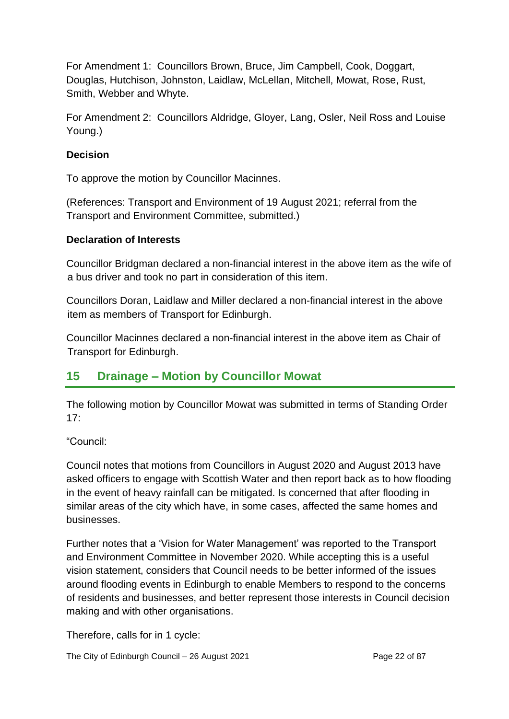For Amendment 1: Councillors Brown, Bruce, Jim Campbell, Cook, Doggart, Douglas, Hutchison, Johnston, Laidlaw, McLellan, Mitchell, Mowat, Rose, Rust, Smith, Webber and Whyte.

For Amendment 2: Councillors Aldridge, Gloyer, Lang, Osler, Neil Ross and Louise Young.)

### **Decision**

To approve the motion by Councillor Macinnes.

(References: Transport and Environment of 19 August 2021; referral from the Transport and Environment Committee, submitted.)

#### **Declaration of Interests**

Councillor Bridgman declared a non-financial interest in the above item as the wife of a bus driver and took no part in consideration of this item.

Councillors Doran, Laidlaw and Miller declared a non-financial interest in the above item as members of Transport for Edinburgh.

Councillor Macinnes declared a non-financial interest in the above item as Chair of Transport for Edinburgh.

# **15 Drainage – Motion by Councillor Mowat**

The following motion by Councillor Mowat was submitted in terms of Standing Order  $17<sup>°</sup>$ 

"Council:

Council notes that motions from Councillors in August 2020 and August 2013 have asked officers to engage with Scottish Water and then report back as to how flooding in the event of heavy rainfall can be mitigated. Is concerned that after flooding in similar areas of the city which have, in some cases, affected the same homes and businesses.

Further notes that a 'Vision for Water Management' was reported to the Transport and Environment Committee in November 2020. While accepting this is a useful vision statement, considers that Council needs to be better informed of the issues around flooding events in Edinburgh to enable Members to respond to the concerns of residents and businesses, and better represent those interests in Council decision making and with other organisations.

Therefore, calls for in 1 cycle:

The City of Edinburgh Council – 26 August 2021 **Page 22 of 87** Page 22 of 87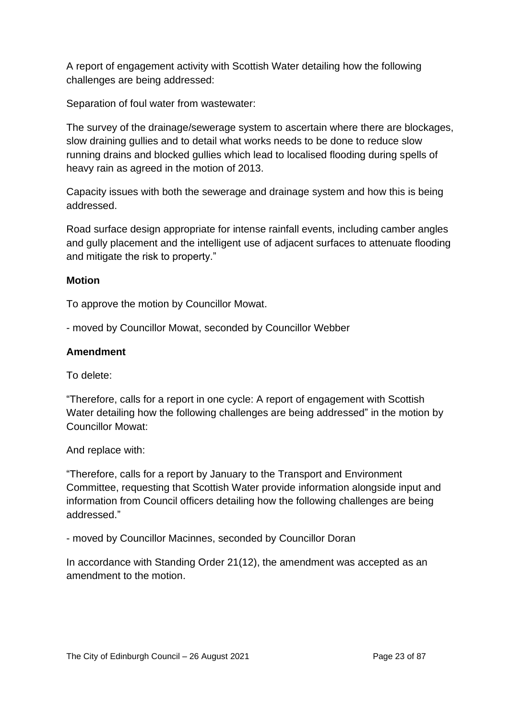A report of engagement activity with Scottish Water detailing how the following challenges are being addressed:

Separation of foul water from wastewater:

The survey of the drainage/sewerage system to ascertain where there are blockages, slow draining gullies and to detail what works needs to be done to reduce slow running drains and blocked gullies which lead to localised flooding during spells of heavy rain as agreed in the motion of 2013.

Capacity issues with both the sewerage and drainage system and how this is being addressed.

Road surface design appropriate for intense rainfall events, including camber angles and gully placement and the intelligent use of adjacent surfaces to attenuate flooding and mitigate the risk to property."

# **Motion**

To approve the motion by Councillor Mowat.

- moved by Councillor Mowat, seconded by Councillor Webber

# **Amendment**

To delete:

"Therefore, calls for a report in one cycle: A report of engagement with Scottish Water detailing how the following challenges are being addressed" in the motion by Councillor Mowat:

And replace with:

"Therefore, calls for a report by January to the Transport and Environment Committee, requesting that Scottish Water provide information alongside input and information from Council officers detailing how the following challenges are being addressed."

- moved by Councillor Macinnes, seconded by Councillor Doran

In accordance with Standing Order 21(12), the amendment was accepted as an amendment to the motion.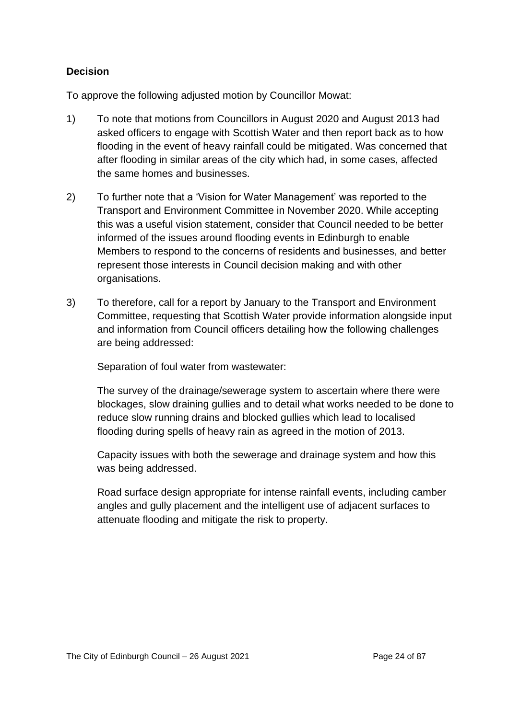# **Decision**

To approve the following adjusted motion by Councillor Mowat:

- 1) To note that motions from Councillors in August 2020 and August 2013 had asked officers to engage with Scottish Water and then report back as to how flooding in the event of heavy rainfall could be mitigated. Was concerned that after flooding in similar areas of the city which had, in some cases, affected the same homes and businesses.
- 2) To further note that a 'Vision for Water Management' was reported to the Transport and Environment Committee in November 2020. While accepting this was a useful vision statement, consider that Council needed to be better informed of the issues around flooding events in Edinburgh to enable Members to respond to the concerns of residents and businesses, and better represent those interests in Council decision making and with other organisations.
- 3) To therefore, call for a report by January to the Transport and Environment Committee, requesting that Scottish Water provide information alongside input and information from Council officers detailing how the following challenges are being addressed:

Separation of foul water from wastewater:

The survey of the drainage/sewerage system to ascertain where there were blockages, slow draining gullies and to detail what works needed to be done to reduce slow running drains and blocked gullies which lead to localised flooding during spells of heavy rain as agreed in the motion of 2013.

Capacity issues with both the sewerage and drainage system and how this was being addressed.

Road surface design appropriate for intense rainfall events, including camber angles and gully placement and the intelligent use of adjacent surfaces to attenuate flooding and mitigate the risk to property.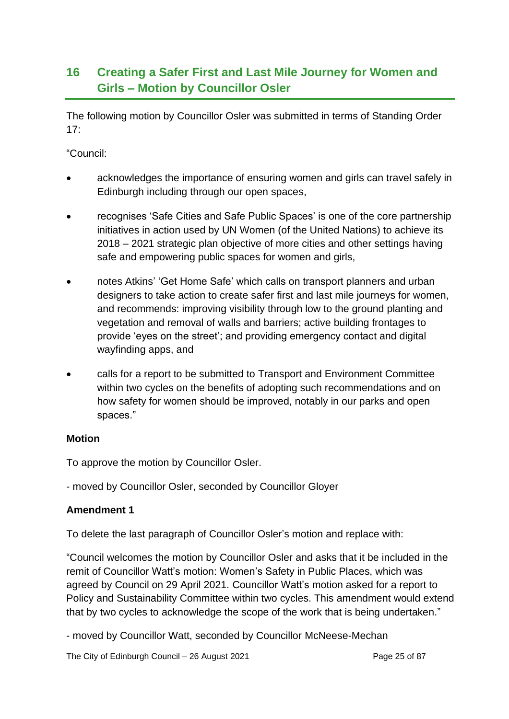# **16 Creating a Safer First and Last Mile Journey for Women and Girls – Motion by Councillor Osler**

The following motion by Councillor Osler was submitted in terms of Standing Order  $17:$ 

"Council:

- acknowledges the importance of ensuring women and girls can travel safely in Edinburgh including through our open spaces,
- recognises 'Safe Cities and Safe Public Spaces' is one of the core partnership initiatives in action used by UN Women (of the United Nations) to achieve its 2018 – 2021 strategic plan objective of more cities and other settings having safe and empowering public spaces for women and girls,
- notes Atkins' 'Get Home Safe' which calls on transport planners and urban designers to take action to create safer first and last mile journeys for women, and recommends: improving visibility through low to the ground planting and vegetation and removal of walls and barriers; active building frontages to provide 'eyes on the street'; and providing emergency contact and digital wayfinding apps, and
- calls for a report to be submitted to Transport and Environment Committee within two cycles on the benefits of adopting such recommendations and on how safety for women should be improved, notably in our parks and open spaces."

# **Motion**

To approve the motion by Councillor Osler.

- moved by Councillor Osler, seconded by Councillor Gloyer

# **Amendment 1**

To delete the last paragraph of Councillor Osler's motion and replace with:

"Council welcomes the motion by Councillor Osler and asks that it be included in the remit of Councillor Watt's motion: Women's Safety in Public Places, which was agreed by Council on 29 April 2021. Councillor Watt's motion asked for a report to Policy and Sustainability Committee within two cycles. This amendment would extend that by two cycles to acknowledge the scope of the work that is being undertaken."

- moved by Councillor Watt, seconded by Councillor McNeese-Mechan

The City of Edinburgh Council – 26 August 2021 **Page 25 of 87** Page 25 of 87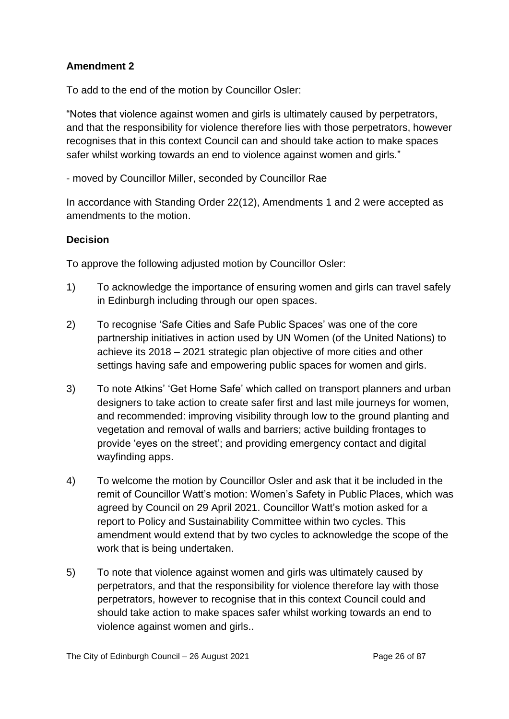# **Amendment 2**

To add to the end of the motion by Councillor Osler:

"Notes that violence against women and girls is ultimately caused by perpetrators, and that the responsibility for violence therefore lies with those perpetrators, however recognises that in this context Council can and should take action to make spaces safer whilst working towards an end to violence against women and girls."

- moved by Councillor Miller, seconded by Councillor Rae

In accordance with Standing Order 22(12), Amendments 1 and 2 were accepted as amendments to the motion.

# **Decision**

To approve the following adjusted motion by Councillor Osler:

- 1) To acknowledge the importance of ensuring women and girls can travel safely in Edinburgh including through our open spaces.
- 2) To recognise 'Safe Cities and Safe Public Spaces' was one of the core partnership initiatives in action used by UN Women (of the United Nations) to achieve its 2018 – 2021 strategic plan objective of more cities and other settings having safe and empowering public spaces for women and girls.
- 3) To note Atkins' 'Get Home Safe' which called on transport planners and urban designers to take action to create safer first and last mile journeys for women, and recommended: improving visibility through low to the ground planting and vegetation and removal of walls and barriers; active building frontages to provide 'eyes on the street'; and providing emergency contact and digital wayfinding apps.
- 4) To welcome the motion by Councillor Osler and ask that it be included in the remit of Councillor Watt's motion: Women's Safety in Public Places, which was agreed by Council on 29 April 2021. Councillor Watt's motion asked for a report to Policy and Sustainability Committee within two cycles. This amendment would extend that by two cycles to acknowledge the scope of the work that is being undertaken.
- 5) To note that violence against women and girls was ultimately caused by perpetrators, and that the responsibility for violence therefore lay with those perpetrators, however to recognise that in this context Council could and should take action to make spaces safer whilst working towards an end to violence against women and girls..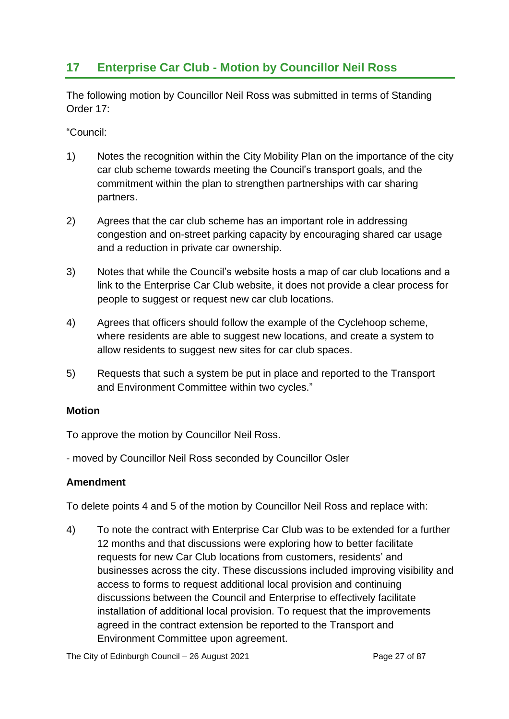# **17 Enterprise Car Club - Motion by Councillor Neil Ross**

The following motion by Councillor Neil Ross was submitted in terms of Standing Order 17:

"Council:

- 1) Notes the recognition within the City Mobility Plan on the importance of the city car club scheme towards meeting the Council's transport goals, and the commitment within the plan to strengthen partnerships with car sharing partners.
- 2) Agrees that the car club scheme has an important role in addressing congestion and on-street parking capacity by encouraging shared car usage and a reduction in private car ownership.
- 3) Notes that while the Council's website hosts a map of car club locations and a link to the Enterprise Car Club website, it does not provide a clear process for people to suggest or request new car club locations.
- 4) Agrees that officers should follow the example of the Cyclehoop scheme, where residents are able to suggest new locations, and create a system to allow residents to suggest new sites for car club spaces.
- 5) Requests that such a system be put in place and reported to the Transport and Environment Committee within two cycles."

# **Motion**

To approve the motion by Councillor Neil Ross.

- moved by Councillor Neil Ross seconded by Councillor Osler

# **Amendment**

To delete points 4 and 5 of the motion by Councillor Neil Ross and replace with:

4) To note the contract with Enterprise Car Club was to be extended for a further 12 months and that discussions were exploring how to better facilitate requests for new Car Club locations from customers, residents' and businesses across the city. These discussions included improving visibility and access to forms to request additional local provision and continuing discussions between the Council and Enterprise to effectively facilitate installation of additional local provision. To request that the improvements agreed in the contract extension be reported to the Transport and Environment Committee upon agreement.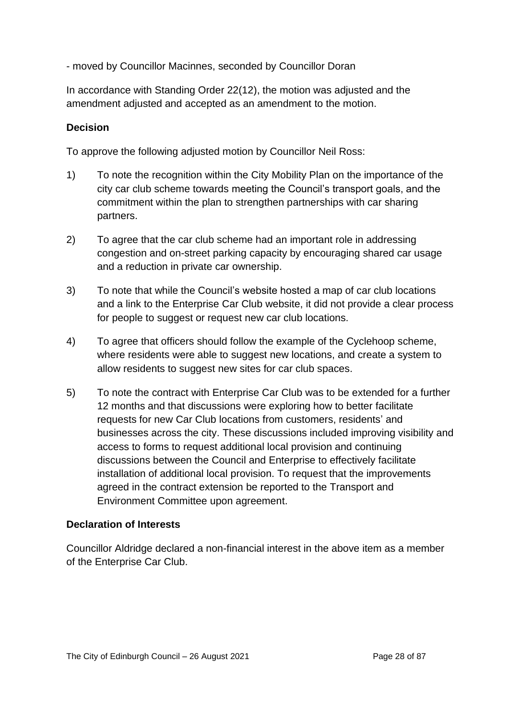- moved by Councillor Macinnes, seconded by Councillor Doran

In accordance with Standing Order 22(12), the motion was adjusted and the amendment adjusted and accepted as an amendment to the motion.

# **Decision**

To approve the following adjusted motion by Councillor Neil Ross:

- 1) To note the recognition within the City Mobility Plan on the importance of the city car club scheme towards meeting the Council's transport goals, and the commitment within the plan to strengthen partnerships with car sharing partners.
- 2) To agree that the car club scheme had an important role in addressing congestion and on-street parking capacity by encouraging shared car usage and a reduction in private car ownership.
- 3) To note that while the Council's website hosted a map of car club locations and a link to the Enterprise Car Club website, it did not provide a clear process for people to suggest or request new car club locations.
- 4) To agree that officers should follow the example of the Cyclehoop scheme, where residents were able to suggest new locations, and create a system to allow residents to suggest new sites for car club spaces.
- 5) To note the contract with Enterprise Car Club was to be extended for a further 12 months and that discussions were exploring how to better facilitate requests for new Car Club locations from customers, residents' and businesses across the city. These discussions included improving visibility and access to forms to request additional local provision and continuing discussions between the Council and Enterprise to effectively facilitate installation of additional local provision. To request that the improvements agreed in the contract extension be reported to the Transport and Environment Committee upon agreement.

# **Declaration of Interests**

Councillor Aldridge declared a non-financial interest in the above item as a member of the Enterprise Car Club.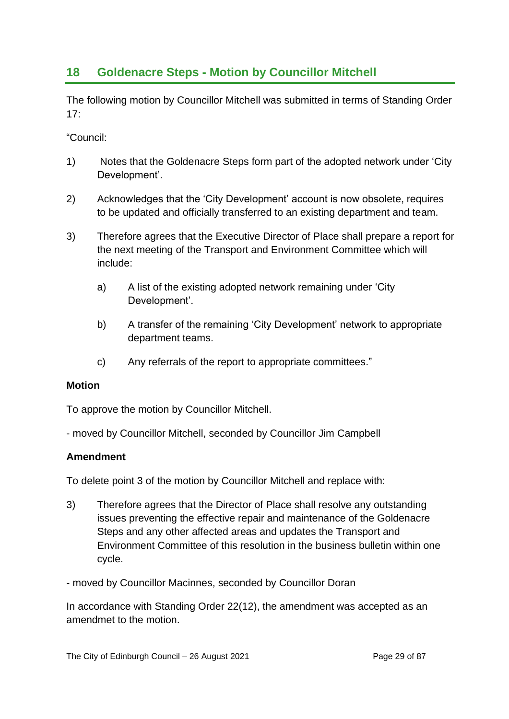# **18 Goldenacre Steps - Motion by Councillor Mitchell**

The following motion by Councillor Mitchell was submitted in terms of Standing Order  $17<sup>·</sup>$ 

"Council:

- 1) Notes that the Goldenacre Steps form part of the adopted network under 'City Development'.
- 2) Acknowledges that the 'City Development' account is now obsolete, requires to be updated and officially transferred to an existing department and team.
- 3) Therefore agrees that the Executive Director of Place shall prepare a report for the next meeting of the Transport and Environment Committee which will include:
	- a) A list of the existing adopted network remaining under 'City Development'.
	- b) A transfer of the remaining 'City Development' network to appropriate department teams.
	- c) Any referrals of the report to appropriate committees."

# **Motion**

To approve the motion by Councillor Mitchell.

- moved by Councillor Mitchell, seconded by Councillor Jim Campbell

# **Amendment**

To delete point 3 of the motion by Councillor Mitchell and replace with:

- 3) Therefore agrees that the Director of Place shall resolve any outstanding issues preventing the effective repair and maintenance of the Goldenacre Steps and any other affected areas and updates the Transport and Environment Committee of this resolution in the business bulletin within one cycle.
- moved by Councillor Macinnes, seconded by Councillor Doran

In accordance with Standing Order 22(12), the amendment was accepted as an amendmet to the motion.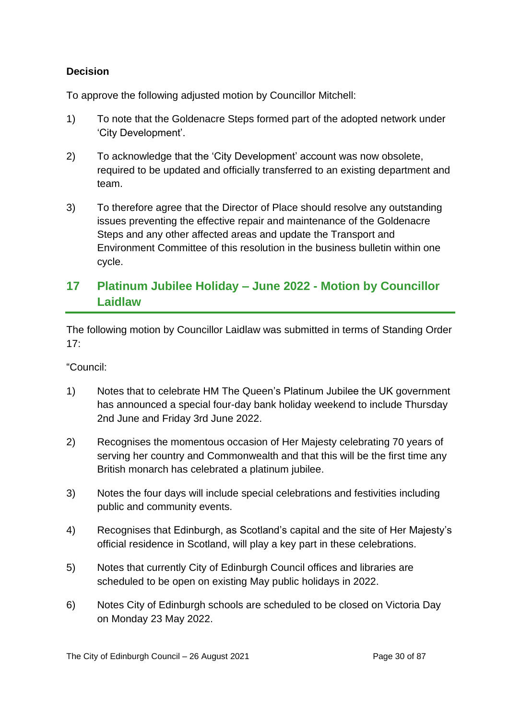# **Decision**

To approve the following adjusted motion by Councillor Mitchell:

- 1) To note that the Goldenacre Steps formed part of the adopted network under 'City Development'.
- 2) To acknowledge that the 'City Development' account was now obsolete, required to be updated and officially transferred to an existing department and team.
- 3) To therefore agree that the Director of Place should resolve any outstanding issues preventing the effective repair and maintenance of the Goldenacre Steps and any other affected areas and update the Transport and Environment Committee of this resolution in the business bulletin within one cycle.

# **17 Platinum Jubilee Holiday – June 2022 - Motion by Councillor Laidlaw**

The following motion by Councillor Laidlaw was submitted in terms of Standing Order  $17<sup>·</sup>$ 

"Council:

- 1) Notes that to celebrate HM The Queen's Platinum Jubilee the UK government has announced a special four-day bank holiday weekend to include Thursday 2nd June and Friday 3rd June 2022.
- 2) Recognises the momentous occasion of Her Majesty celebrating 70 years of serving her country and Commonwealth and that this will be the first time any British monarch has celebrated a platinum jubilee.
- 3) Notes the four days will include special celebrations and festivities including public and community events.
- 4) Recognises that Edinburgh, as Scotland's capital and the site of Her Majesty's official residence in Scotland, will play a key part in these celebrations.
- 5) Notes that currently City of Edinburgh Council offices and libraries are scheduled to be open on existing May public holidays in 2022.
- 6) Notes City of Edinburgh schools are scheduled to be closed on Victoria Day on Monday 23 May 2022.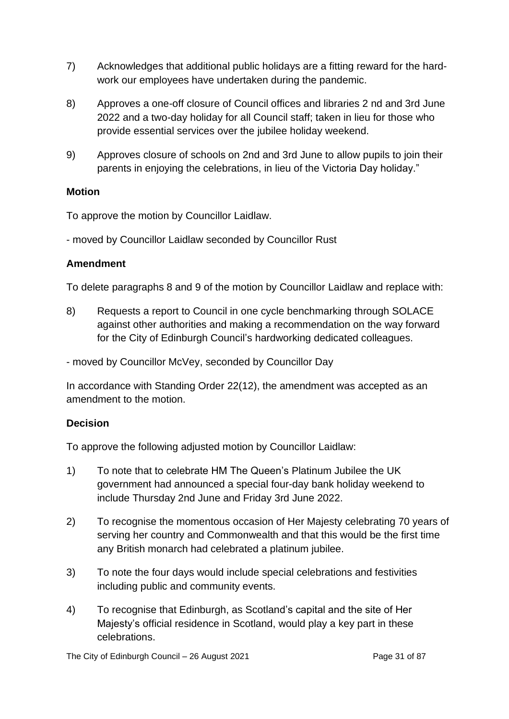- 7) Acknowledges that additional public holidays are a fitting reward for the hardwork our employees have undertaken during the pandemic.
- 8) Approves a one-off closure of Council offices and libraries 2 nd and 3rd June 2022 and a two-day holiday for all Council staff; taken in lieu for those who provide essential services over the jubilee holiday weekend.
- 9) Approves closure of schools on 2nd and 3rd June to allow pupils to join their parents in enjoying the celebrations, in lieu of the Victoria Day holiday."

#### **Motion**

To approve the motion by Councillor Laidlaw.

- moved by Councillor Laidlaw seconded by Councillor Rust

#### **Amendment**

To delete paragraphs 8 and 9 of the motion by Councillor Laidlaw and replace with:

8) Requests a report to Council in one cycle benchmarking through SOLACE against other authorities and making a recommendation on the way forward for the City of Edinburgh Council's hardworking dedicated colleagues.

- moved by Councillor McVey, seconded by Councillor Day

In accordance with Standing Order 22(12), the amendment was accepted as an amendment to the motion.

#### **Decision**

To approve the following adjusted motion by Councillor Laidlaw:

- 1) To note that to celebrate HM The Queen's Platinum Jubilee the UK government had announced a special four-day bank holiday weekend to include Thursday 2nd June and Friday 3rd June 2022.
- 2) To recognise the momentous occasion of Her Majesty celebrating 70 years of serving her country and Commonwealth and that this would be the first time any British monarch had celebrated a platinum jubilee.
- 3) To note the four days would include special celebrations and festivities including public and community events.
- 4) To recognise that Edinburgh, as Scotland's capital and the site of Her Majesty's official residence in Scotland, would play a key part in these celebrations.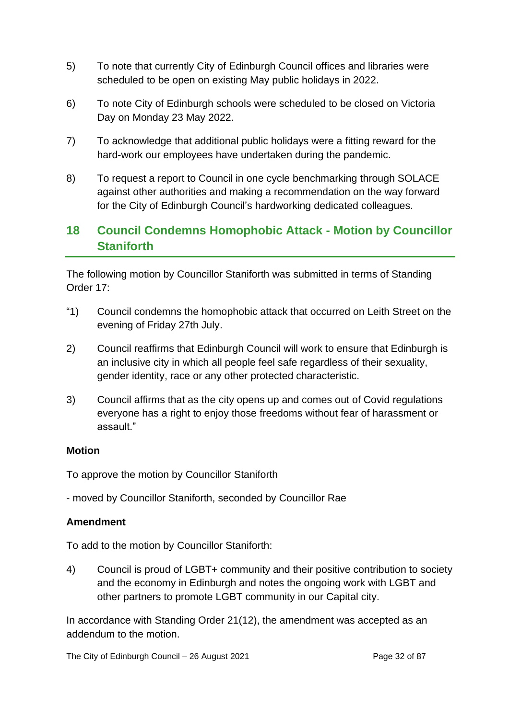- 5) To note that currently City of Edinburgh Council offices and libraries were scheduled to be open on existing May public holidays in 2022.
- 6) To note City of Edinburgh schools were scheduled to be closed on Victoria Day on Monday 23 May 2022.
- 7) To acknowledge that additional public holidays were a fitting reward for the hard-work our employees have undertaken during the pandemic.
- 8) To request a report to Council in one cycle benchmarking through SOLACE against other authorities and making a recommendation on the way forward for the City of Edinburgh Council's hardworking dedicated colleagues.

# **18 Council Condemns Homophobic Attack - Motion by Councillor Staniforth**

The following motion by Councillor Staniforth was submitted in terms of Standing Order 17:

- "1) Council condemns the homophobic attack that occurred on Leith Street on the evening of Friday 27th July.
- 2) Council reaffirms that Edinburgh Council will work to ensure that Edinburgh is an inclusive city in which all people feel safe regardless of their sexuality, gender identity, race or any other protected characteristic.
- 3) Council affirms that as the city opens up and comes out of Covid regulations everyone has a right to enjoy those freedoms without fear of harassment or assault."

# **Motion**

To approve the motion by Councillor Staniforth

- moved by Councillor Staniforth, seconded by Councillor Rae

# **Amendment**

To add to the motion by Councillor Staniforth:

4) Council is proud of LGBT+ community and their positive contribution to society and the economy in Edinburgh and notes the ongoing work with LGBT and other partners to promote LGBT community in our Capital city.

In accordance with Standing Order 21(12), the amendment was accepted as an addendum to the motion.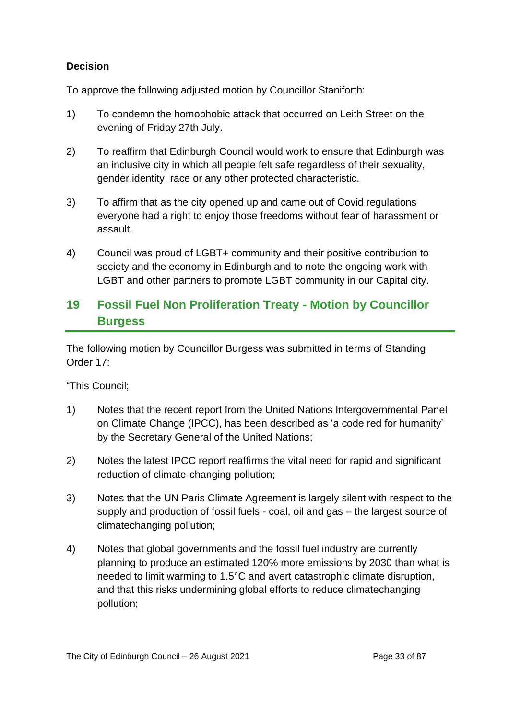# **Decision**

To approve the following adjusted motion by Councillor Staniforth:

- 1) To condemn the homophobic attack that occurred on Leith Street on the evening of Friday 27th July.
- 2) To reaffirm that Edinburgh Council would work to ensure that Edinburgh was an inclusive city in which all people felt safe regardless of their sexuality, gender identity, race or any other protected characteristic.
- 3) To affirm that as the city opened up and came out of Covid regulations everyone had a right to enjoy those freedoms without fear of harassment or assault.
- 4) Council was proud of LGBT+ community and their positive contribution to society and the economy in Edinburgh and to note the ongoing work with LGBT and other partners to promote LGBT community in our Capital city.

# **19 Fossil Fuel Non Proliferation Treaty - Motion by Councillor Burgess**

The following motion by Councillor Burgess was submitted in terms of Standing Order 17:

"This Council;

- 1) Notes that the recent report from the United Nations Intergovernmental Panel on Climate Change (IPCC), has been described as 'a code red for humanity' by the Secretary General of the United Nations;
- 2) Notes the latest IPCC report reaffirms the vital need for rapid and significant reduction of climate-changing pollution;
- 3) Notes that the UN Paris Climate Agreement is largely silent with respect to the supply and production of fossil fuels - coal, oil and gas – the largest source of climatechanging pollution;
- 4) Notes that global governments and the fossil fuel industry are currently planning to produce an estimated 120% more emissions by 2030 than what is needed to limit warming to 1.5°C and avert catastrophic climate disruption, and that this risks undermining global efforts to reduce climatechanging pollution;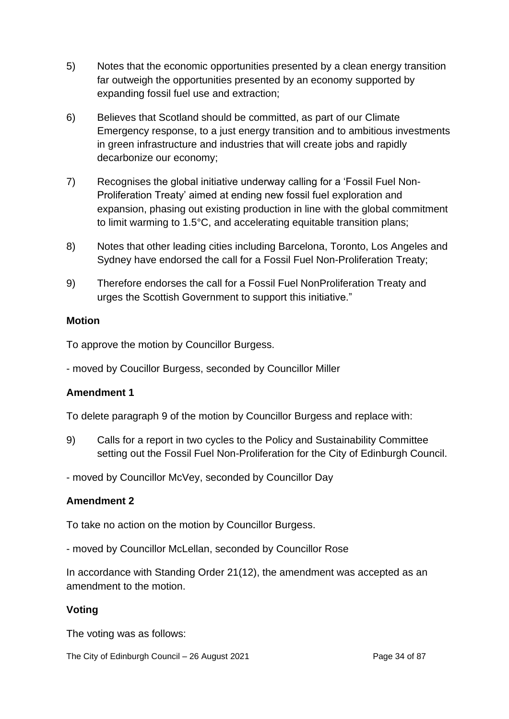- 5) Notes that the economic opportunities presented by a clean energy transition far outweigh the opportunities presented by an economy supported by expanding fossil fuel use and extraction;
- 6) Believes that Scotland should be committed, as part of our Climate Emergency response, to a just energy transition and to ambitious investments in green infrastructure and industries that will create jobs and rapidly decarbonize our economy;
- 7) Recognises the global initiative underway calling for a 'Fossil Fuel Non-Proliferation Treaty' aimed at ending new fossil fuel exploration and expansion, phasing out existing production in line with the global commitment to limit warming to 1.5°C, and accelerating equitable transition plans;
- 8) Notes that other leading cities including Barcelona, Toronto, Los Angeles and Sydney have endorsed the call for a Fossil Fuel Non-Proliferation Treaty;
- 9) Therefore endorses the call for a Fossil Fuel NonProliferation Treaty and urges the Scottish Government to support this initiative."

# **Motion**

To approve the motion by Councillor Burgess.

- moved by Coucillor Burgess, seconded by Councillor Miller

# **Amendment 1**

To delete paragraph 9 of the motion by Councillor Burgess and replace with:

9) Calls for a report in two cycles to the Policy and Sustainability Committee setting out the Fossil Fuel Non-Proliferation for the City of Edinburgh Council.

- moved by Councillor McVey, seconded by Councillor Day

# **Amendment 2**

To take no action on the motion by Councillor Burgess.

- moved by Councillor McLellan, seconded by Councillor Rose

In accordance with Standing Order 21(12), the amendment was accepted as an amendment to the motion.

# **Voting**

The voting was as follows:

The City of Edinburgh Council – 26 August 2021 **Page 34 of 87** Page 34 of 87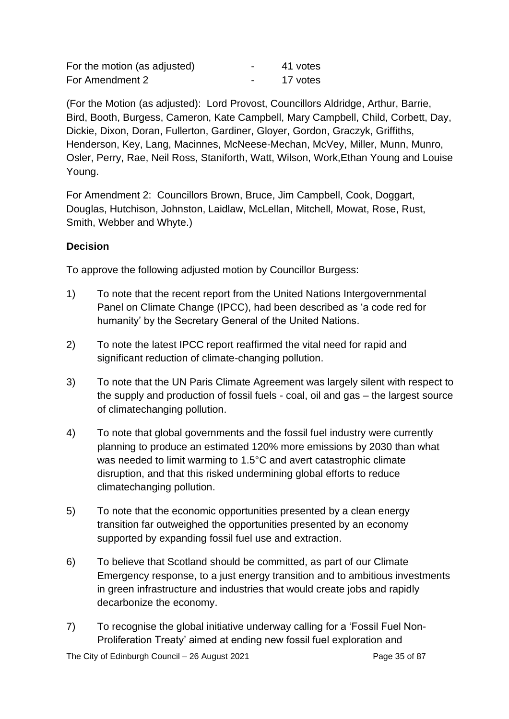| For the motion (as adjusted) | $\overline{\phantom{0}}$ | 41 votes |
|------------------------------|--------------------------|----------|
| For Amendment 2              |                          | 17 votes |

(For the Motion (as adjusted): Lord Provost, Councillors Aldridge, Arthur, Barrie, Bird, Booth, Burgess, Cameron, Kate Campbell, Mary Campbell, Child, Corbett, Day, Dickie, Dixon, Doran, Fullerton, Gardiner, Gloyer, Gordon, Graczyk, Griffiths, Henderson, Key, Lang, Macinnes, McNeese-Mechan, McVey, Miller, Munn, Munro, Osler, Perry, Rae, Neil Ross, Staniforth, Watt, Wilson, Work,Ethan Young and Louise Young.

For Amendment 2: Councillors Brown, Bruce, Jim Campbell, Cook, Doggart, Douglas, Hutchison, Johnston, Laidlaw, McLellan, Mitchell, Mowat, Rose, Rust, Smith, Webber and Whyte.)

# **Decision**

To approve the following adjusted motion by Councillor Burgess:

- 1) To note that the recent report from the United Nations Intergovernmental Panel on Climate Change (IPCC), had been described as 'a code red for humanity' by the Secretary General of the United Nations.
- 2) To note the latest IPCC report reaffirmed the vital need for rapid and significant reduction of climate-changing pollution.
- 3) To note that the UN Paris Climate Agreement was largely silent with respect to the supply and production of fossil fuels - coal, oil and gas – the largest source of climatechanging pollution.
- 4) To note that global governments and the fossil fuel industry were currently planning to produce an estimated 120% more emissions by 2030 than what was needed to limit warming to 1.5°C and avert catastrophic climate disruption, and that this risked undermining global efforts to reduce climatechanging pollution.
- 5) To note that the economic opportunities presented by a clean energy transition far outweighed the opportunities presented by an economy supported by expanding fossil fuel use and extraction.
- 6) To believe that Scotland should be committed, as part of our Climate Emergency response, to a just energy transition and to ambitious investments in green infrastructure and industries that would create jobs and rapidly decarbonize the economy.
- 7) To recognise the global initiative underway calling for a 'Fossil Fuel Non-Proliferation Treaty' aimed at ending new fossil fuel exploration and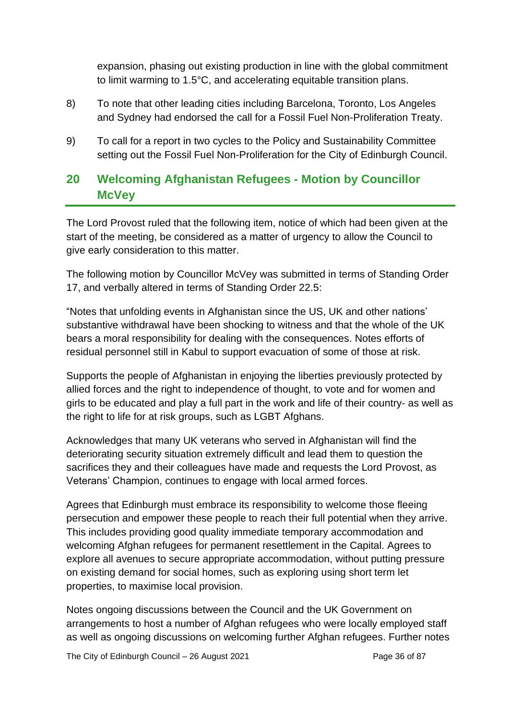expansion, phasing out existing production in line with the global commitment to limit warming to 1.5°C, and accelerating equitable transition plans.

- 8) To note that other leading cities including Barcelona, Toronto, Los Angeles and Sydney had endorsed the call for a Fossil Fuel Non-Proliferation Treaty.
- 9) To call for a report in two cycles to the Policy and Sustainability Committee setting out the Fossil Fuel Non-Proliferation for the City of Edinburgh Council.

# **20 Welcoming Afghanistan Refugees - Motion by Councillor McVey**

The Lord Provost ruled that the following item, notice of which had been given at the start of the meeting, be considered as a matter of urgency to allow the Council to give early consideration to this matter.

The following motion by Councillor McVey was submitted in terms of Standing Order 17, and verbally altered in terms of Standing Order 22.5:

"Notes that unfolding events in Afghanistan since the US, UK and other nations' substantive withdrawal have been shocking to witness and that the whole of the UK bears a moral responsibility for dealing with the consequences. Notes efforts of residual personnel still in Kabul to support evacuation of some of those at risk.

Supports the people of Afghanistan in enjoying the liberties previously protected by allied forces and the right to independence of thought, to vote and for women and girls to be educated and play a full part in the work and life of their country- as well as the right to life for at risk groups, such as LGBT Afghans.

Acknowledges that many UK veterans who served in Afghanistan will find the deteriorating security situation extremely difficult and lead them to question the sacrifices they and their colleagues have made and requests the Lord Provost, as Veterans' Champion, continues to engage with local armed forces.

Agrees that Edinburgh must embrace its responsibility to welcome those fleeing persecution and empower these people to reach their full potential when they arrive. This includes providing good quality immediate temporary accommodation and welcoming Afghan refugees for permanent resettlement in the Capital. Agrees to explore all avenues to secure appropriate accommodation, without putting pressure on existing demand for social homes, such as exploring using short term let properties, to maximise local provision.

Notes ongoing discussions between the Council and the UK Government on arrangements to host a number of Afghan refugees who were locally employed staff as well as ongoing discussions on welcoming further Afghan refugees. Further notes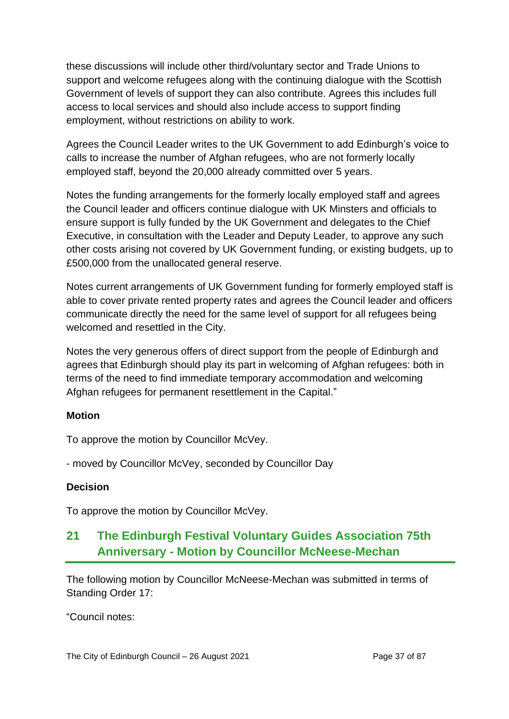these discussions will include other third/voluntary sector and Trade Unions to support and welcome refugees along with the continuing dialogue with the Scottish Government of levels of support they can also contribute. Agrees this includes full access to local services and should also include access to support finding employment, without restrictions on ability to work.

Agrees the Council Leader writes to the UK Government to add Edinburgh's voice to calls to increase the number of Afghan refugees, who are not formerly locally employed staff, beyond the 20,000 already committed over 5 years.

Notes the funding arrangements for the formerly locally employed staff and agrees the Council leader and officers continue dialogue with UK Minsters and officials to ensure support is fully funded by the UK Government and delegates to the Chief Executive, in consultation with the Leader and Deputy Leader, to approve any such other costs arising not covered by UK Government funding, or existing budgets, up to £500,000 from the unallocated general reserve.

Notes current arrangements of UK Government funding for formerly employed staff is able to cover private rented property rates and agrees the Council leader and officers communicate directly the need for the same level of support for all refugees being welcomed and resettled in the City.

Notes the very generous offers of direct support from the people of Edinburgh and agrees that Edinburgh should play its part in welcoming of Afghan refugees: both in terms of the need to find immediate temporary accommodation and welcoming Afghan refugees for permanent resettlement in the Capital."

# **Motion**

To approve the motion by Councillor McVey.

- moved by Councillor McVey, seconded by Councillor Day

# **Decision**

To approve the motion by Councillor McVey.

# **21 The Edinburgh Festival Voluntary Guides Association 75th Anniversary - Motion by Councillor McNeese-Mechan**

The following motion by Councillor McNeese-Mechan was submitted in terms of Standing Order 17:

"Council notes: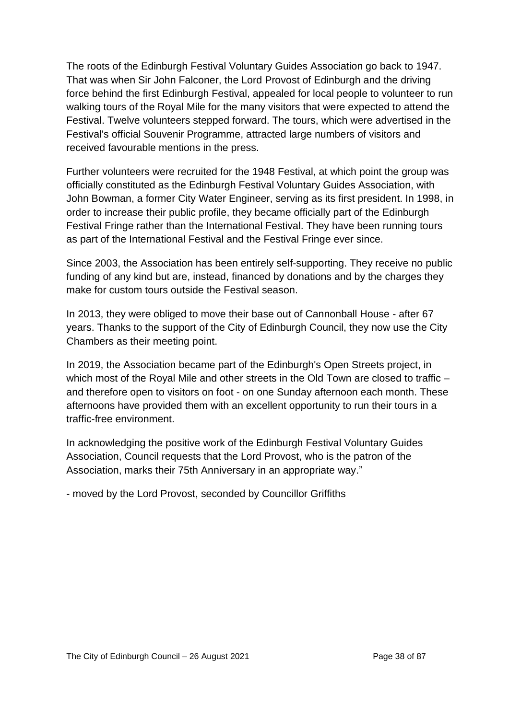The roots of the Edinburgh Festival Voluntary Guides Association go back to 1947. That was when Sir John Falconer, the Lord Provost of Edinburgh and the driving force behind the first Edinburgh Festival, appealed for local people to volunteer to run walking tours of the Royal Mile for the many visitors that were expected to attend the Festival. Twelve volunteers stepped forward. The tours, which were advertised in the Festival's official Souvenir Programme, attracted large numbers of visitors and received favourable mentions in the press.

Further volunteers were recruited for the 1948 Festival, at which point the group was officially constituted as the Edinburgh Festival Voluntary Guides Association, with John Bowman, a former City Water Engineer, serving as its first president. In 1998, in order to increase their public profile, they became officially part of the Edinburgh Festival Fringe rather than the International Festival. They have been running tours as part of the International Festival and the Festival Fringe ever since.

Since 2003, the Association has been entirely self-supporting. They receive no public funding of any kind but are, instead, financed by donations and by the charges they make for custom tours outside the Festival season.

In 2013, they were obliged to move their base out of Cannonball House - after 67 years. Thanks to the support of the City of Edinburgh Council, they now use the City Chambers as their meeting point.

In 2019, the Association became part of the Edinburgh's Open Streets project, in which most of the Royal Mile and other streets in the Old Town are closed to traffic – and therefore open to visitors on foot - on one Sunday afternoon each month. These afternoons have provided them with an excellent opportunity to run their tours in a traffic-free environment.

In acknowledging the positive work of the Edinburgh Festival Voluntary Guides Association, Council requests that the Lord Provost, who is the patron of the Association, marks their 75th Anniversary in an appropriate way."

- moved by the Lord Provost, seconded by Councillor Griffiths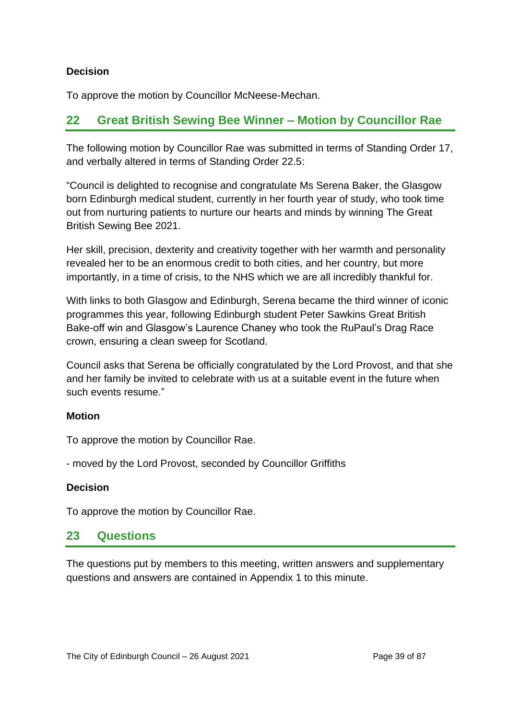### **Decision**

To approve the motion by Councillor McNeese-Mechan.

# **22 Great British Sewing Bee Winner – Motion by Councillor Rae**

The following motion by Councillor Rae was submitted in terms of Standing Order 17, and verbally altered in terms of Standing Order 22.5:

"Council is delighted to recognise and congratulate Ms Serena Baker, the Glasgow born Edinburgh medical student, currently in her fourth year of study, who took time out from nurturing patients to nurture our hearts and minds by winning The Great British Sewing Bee 2021.

Her skill, precision, dexterity and creativity together with her warmth and personality revealed her to be an enormous credit to both cities, and her country, but more importantly, in a time of crisis, to the NHS which we are all incredibly thankful for.

With links to both Glasgow and Edinburgh, Serena became the third winner of iconic programmes this year, following Edinburgh student Peter Sawkins Great British Bake-off win and Glasgow's Laurence Chaney who took the RuPaul's Drag Race crown, ensuring a clean sweep for Scotland.

Council asks that Serena be officially congratulated by the Lord Provost, and that she and her family be invited to celebrate with us at a suitable event in the future when such events resume."

# **Motion**

To approve the motion by Councillor Rae.

- moved by the Lord Provost, seconded by Councillor Griffiths

### **Decision**

To approve the motion by Councillor Rae.

# **23 Questions**

The questions put by members to this meeting, written answers and supplementary questions and answers are contained in Appendix 1 to this minute.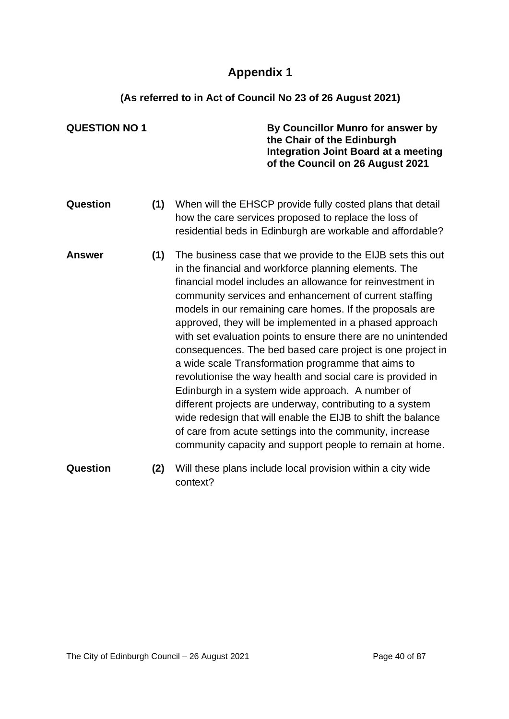# **Appendix 1**

# **(As referred to in Act of Council No 23 of 26 August 2021)**

| <b>QUESTION NO 1</b> |     | By Councillor Munro for answer by<br>the Chair of the Edinburgh<br>Integration Joint Board at a meeting<br>of the Council on 26 August 2021                                                                                                                                                                                                                                                                                                                                                                                                                                                                                                                                                                                                                                                                                                                                                                                    |
|----------------------|-----|--------------------------------------------------------------------------------------------------------------------------------------------------------------------------------------------------------------------------------------------------------------------------------------------------------------------------------------------------------------------------------------------------------------------------------------------------------------------------------------------------------------------------------------------------------------------------------------------------------------------------------------------------------------------------------------------------------------------------------------------------------------------------------------------------------------------------------------------------------------------------------------------------------------------------------|
| Question             | (1) | When will the EHSCP provide fully costed plans that detail<br>how the care services proposed to replace the loss of<br>residential beds in Edinburgh are workable and affordable?                                                                                                                                                                                                                                                                                                                                                                                                                                                                                                                                                                                                                                                                                                                                              |
| <b>Answer</b>        | (1) | The business case that we provide to the EIJB sets this out<br>in the financial and workforce planning elements. The<br>financial model includes an allowance for reinvestment in<br>community services and enhancement of current staffing<br>models in our remaining care homes. If the proposals are<br>approved, they will be implemented in a phased approach<br>with set evaluation points to ensure there are no unintended<br>consequences. The bed based care project is one project in<br>a wide scale Transformation programme that aims to<br>revolutionise the way health and social care is provided in<br>Edinburgh in a system wide approach. A number of<br>different projects are underway, contributing to a system<br>wide redesign that will enable the EIJB to shift the balance<br>of care from acute settings into the community, increase<br>community capacity and support people to remain at home. |
| Question             | (2) | Will these plans include local provision within a city wide<br>context?                                                                                                                                                                                                                                                                                                                                                                                                                                                                                                                                                                                                                                                                                                                                                                                                                                                        |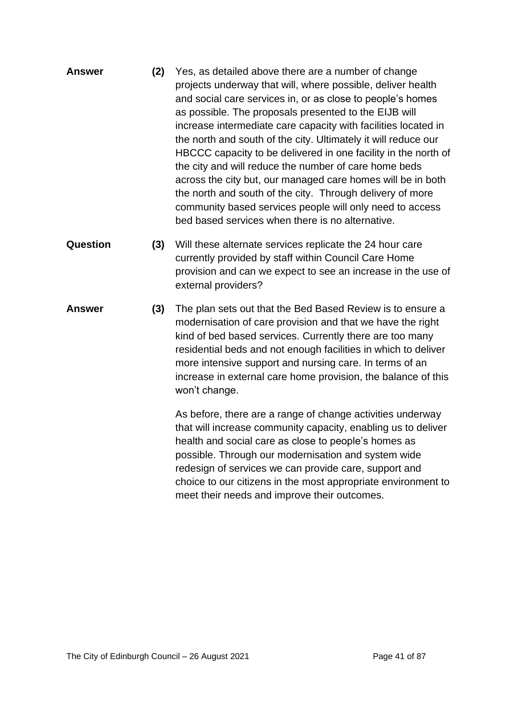| <b>Answer</b> | (2) | Yes, as detailed above there are a number of change            |
|---------------|-----|----------------------------------------------------------------|
|               |     | projects underway that will, where possible, deliver health    |
|               |     | and social care services in, or as close to people's homes     |
|               |     | as possible. The proposals presented to the EIJB will          |
|               |     | increase intermediate care capacity with facilities located in |
|               |     | the north and south of the city. Ultimately it will reduce our |
|               |     | HBCCC capacity to be delivered in one facility in the north of |
|               |     | the city and will reduce the number of care home beds          |
|               |     | across the city but, our managed care homes will be in both    |
|               |     | the north and south of the city. Through delivery of more      |
|               |     | community based services people will only need to access       |
|               |     | bed based services when there is no alternative.               |

- **Question (3)** Will these alternate services replicate the 24 hour care currently provided by staff within Council Care Home provision and can we expect to see an increase in the use of external providers?
- **Answer (3)** The plan sets out that the Bed Based Review is to ensure a modernisation of care provision and that we have the right kind of bed based services. Currently there are too many residential beds and not enough facilities in which to deliver more intensive support and nursing care. In terms of an increase in external care home provision, the balance of this won't change.

As before, there are a range of change activities underway that will increase community capacity, enabling us to deliver health and social care as close to people's homes as possible. Through our modernisation and system wide redesign of services we can provide care, support and choice to our citizens in the most appropriate environment to meet their needs and improve their outcomes.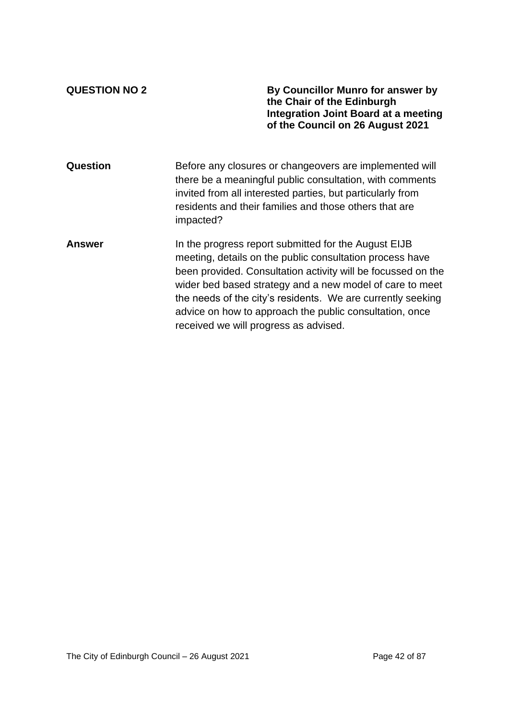**QUESTION NO 2 By Councillor Munro for answer by the Chair of the Edinburgh Integration Joint Board at a meeting of the Council on 26 August 2021**

| Question      | Before any closures or changeovers are implemented will<br>there be a meaningful public consultation, with comments<br>invited from all interested parties, but particularly from<br>residents and their families and those others that are<br>impacted?                                                                                                                                                        |
|---------------|-----------------------------------------------------------------------------------------------------------------------------------------------------------------------------------------------------------------------------------------------------------------------------------------------------------------------------------------------------------------------------------------------------------------|
| <b>Answer</b> | In the progress report submitted for the August EIJB<br>meeting, details on the public consultation process have<br>been provided. Consultation activity will be focussed on the<br>wider bed based strategy and a new model of care to meet<br>the needs of the city's residents. We are currently seeking<br>advice on how to approach the public consultation, once<br>received we will progress as advised. |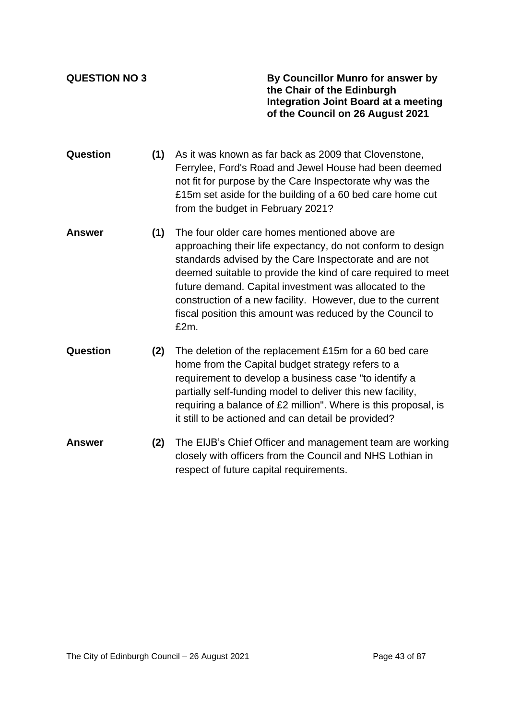**QUESTION NO 3 By Councillor Munro for answer by the Chair of the Edinburgh Integration Joint Board at a meeting of the Council on 26 August 2021**

- **Question (1)** As it was known as far back as 2009 that Clovenstone, Ferrylee, Ford's Road and Jewel House had been deemed not fit for purpose by the Care Inspectorate why was the £15m set aside for the building of a 60 bed care home cut from the budget in February 2021?
- **Answer (1)** The four older care homes mentioned above are approaching their life expectancy, do not conform to design standards advised by the Care Inspectorate and are not deemed suitable to provide the kind of care required to meet future demand. Capital investment was allocated to the construction of a new facility. However, due to the current fiscal position this amount was reduced by the Council to  $f2m$
- **Question (2)** The deletion of the replacement £15m for a 60 bed care home from the Capital budget strategy refers to a requirement to develop a business case "to identify a partially self-funding model to deliver this new facility, requiring a balance of £2 million". Where is this proposal, is it still to be actioned and can detail be provided?
- **Answer (2)** The EIJB's Chief Officer and management team are working closely with officers from the Council and NHS Lothian in respect of future capital requirements.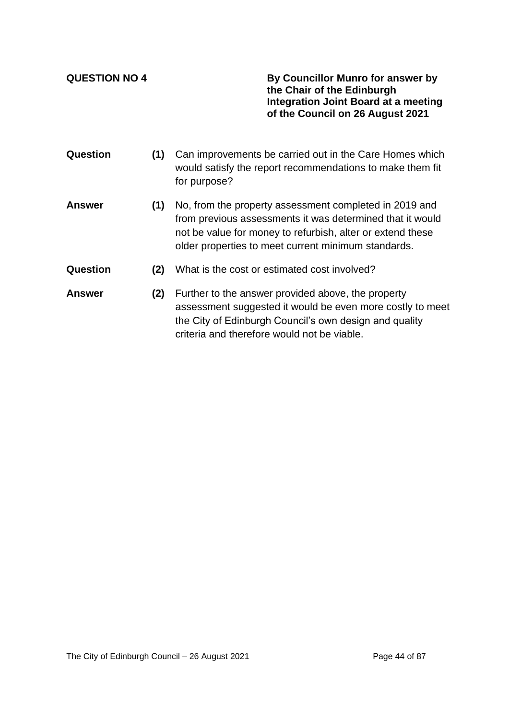**QUESTION NO 4 By Councillor Munro for answer by the Chair of the Edinburgh Integration Joint Board at a meeting of the Council on 26 August 2021**

- **Question (1)** Can improvements be carried out in the Care Homes which would satisfy the report recommendations to make them fit for purpose?
- **Answer (1)** No, from the property assessment completed in 2019 and from previous assessments it was determined that it would not be value for money to refurbish, alter or extend these older properties to meet current minimum standards.
- **Question (2)** What is the cost or estimated cost involved?
- **Answer (2)** Further to the answer provided above, the property assessment suggested it would be even more costly to meet the City of Edinburgh Council's own design and quality criteria and therefore would not be viable.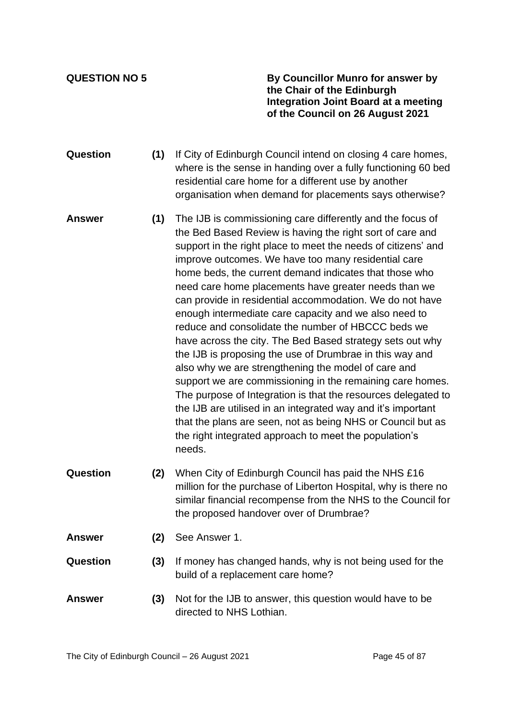**QUESTION NO 5 By Councillor Munro for answer by the Chair of the Edinburgh Integration Joint Board at a meeting of the Council on 26 August 2021**

- **Question (1)** If City of Edinburgh Council intend on closing 4 care homes, where is the sense in handing over a fully functioning 60 bed residential care home for a different use by another organisation when demand for placements says otherwise?
- **Answer (1)** The IJB is commissioning care differently and the focus of the Bed Based Review is having the right sort of care and support in the right place to meet the needs of citizens' and improve outcomes. We have too many residential care home beds, the current demand indicates that those who need care home placements have greater needs than we can provide in residential accommodation. We do not have enough intermediate care capacity and we also need to reduce and consolidate the number of HBCCC beds we have across the city. The Bed Based strategy sets out why the IJB is proposing the use of Drumbrae in this way and also why we are strengthening the model of care and support we are commissioning in the remaining care homes. The purpose of Integration is that the resources delegated to the IJB are utilised in an integrated way and it's important that the plans are seen, not as being NHS or Council but as the right integrated approach to meet the population's needs.
- **Question (2)** When City of Edinburgh Council has paid the NHS £16 million for the purchase of Liberton Hospital, why is there no similar financial recompense from the NHS to the Council for the proposed handover over of Drumbrae?
- **Answer (2)** See Answer 1.
- **Question (3)** If money has changed hands, why is not being used for the build of a replacement care home?
- **Answer (3)** Not for the IJB to answer, this question would have to be directed to NHS Lothian.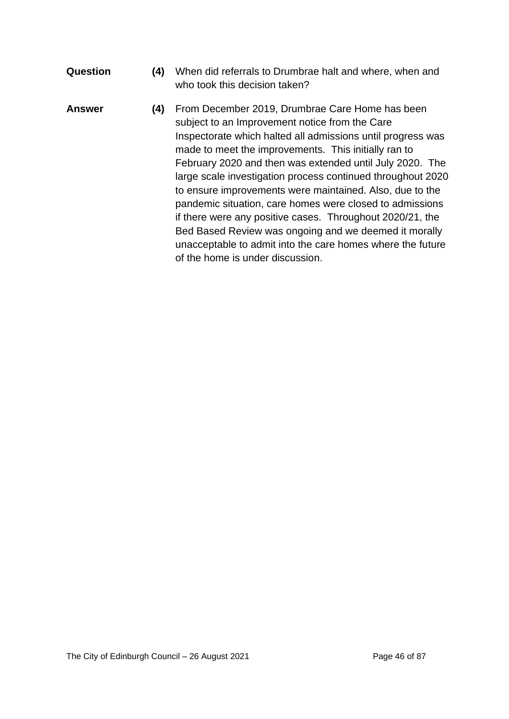- **Question (4)** When did referrals to Drumbrae halt and where, when and who took this decision taken?
- **Answer (4)** From December 2019, Drumbrae Care Home has been subject to an Improvement notice from the Care Inspectorate which halted all admissions until progress was made to meet the improvements. This initially ran to February 2020 and then was extended until July 2020. The large scale investigation process continued throughout 2020 to ensure improvements were maintained. Also, due to the pandemic situation, care homes were closed to admissions if there were any positive cases. Throughout 2020/21, the Bed Based Review was ongoing and we deemed it morally unacceptable to admit into the care homes where the future of the home is under discussion.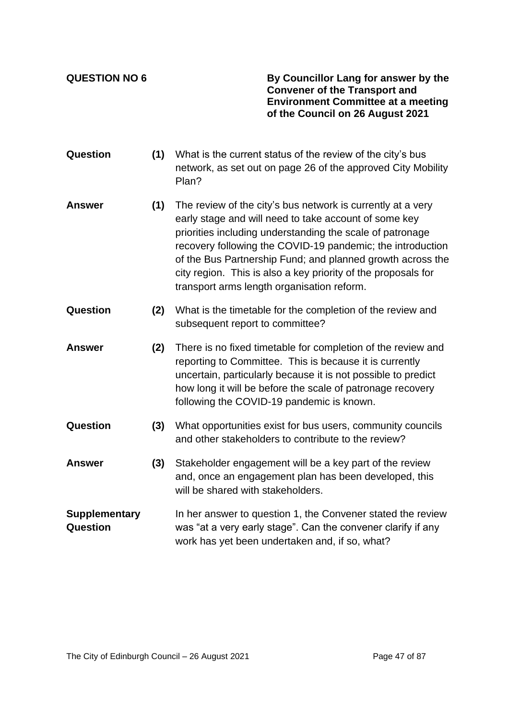**QUESTION NO 6 By Councillor Lang for answer by the Convener of the Transport and Environment Committee at a meeting of the Council on 26 August 2021**

- **Question (1)** What is the current status of the review of the city's bus network, as set out on page 26 of the approved City Mobility Plan?
- **Answer (1)** The review of the city's bus network is currently at a very early stage and will need to take account of some key priorities including understanding the scale of patronage recovery following the COVID-19 pandemic; the introduction of the Bus Partnership Fund; and planned growth across the city region. This is also a key priority of the proposals for transport arms length organisation reform.
- **Question (2)** What is the timetable for the completion of the review and subsequent report to committee?
- **Answer (2)** There is no fixed timetable for completion of the review and reporting to Committee. This is because it is currently uncertain, particularly because it is not possible to predict how long it will be before the scale of patronage recovery following the COVID-19 pandemic is known.
- **Question (3)** What opportunities exist for bus users, community councils and other stakeholders to contribute to the review?
- **Answer (3)** Stakeholder engagement will be a key part of the review and, once an engagement plan has been developed, this will be shared with stakeholders.
- **Supplementary Question** In her answer to question 1, the Convener stated the review was "at a very early stage". Can the convener clarify if any work has yet been undertaken and, if so, what?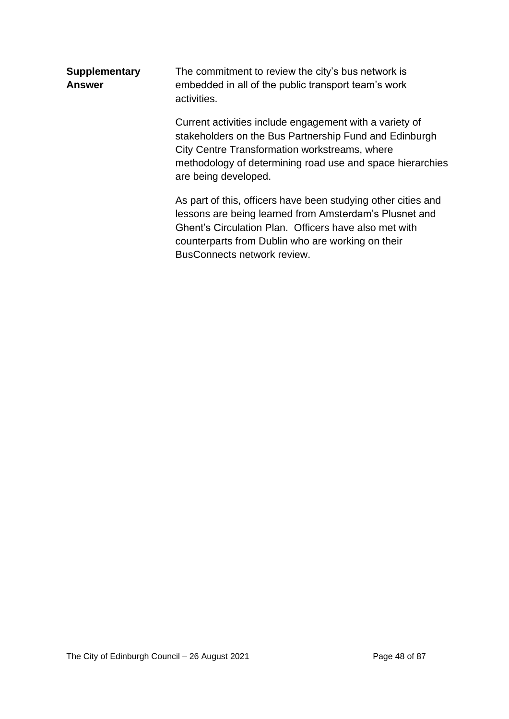| <b>Supplementary</b><br><b>Answer</b> | The commitment to review the city's bus network is<br>embedded in all of the public transport team's work<br>activities.                                                                                                                                             |  |  |
|---------------------------------------|----------------------------------------------------------------------------------------------------------------------------------------------------------------------------------------------------------------------------------------------------------------------|--|--|
|                                       | Current activities include engagement with a variety of<br>stakeholders on the Bus Partnership Fund and Edinburgh<br>City Centre Transformation workstreams, where<br>methodology of determining road use and space hierarchies<br>are being developed.              |  |  |
|                                       | As part of this, officers have been studying other cities and<br>lessons are being learned from Amsterdam's Plusnet and<br>Ghent's Circulation Plan. Officers have also met with<br>counterparts from Dublin who are working on their<br>BusConnects network review. |  |  |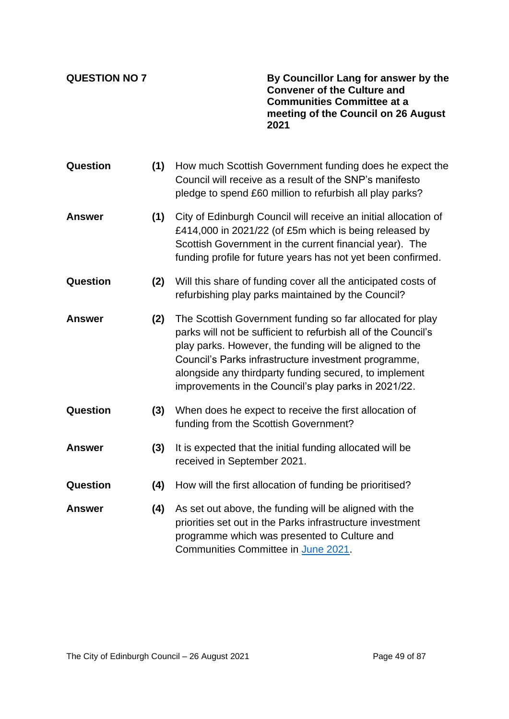**QUESTION NO 7 By Councillor Lang for answer by the Convener of the Culture and Communities Committee at a meeting of the Council on 26 August 2021**

| <b>Question</b> | (1) | How much Scottish Government funding does he expect the<br>Council will receive as a result of the SNP's manifesto<br>pledge to spend £60 million to refurbish all play parks?                                                                                                                                                                                   |
|-----------------|-----|------------------------------------------------------------------------------------------------------------------------------------------------------------------------------------------------------------------------------------------------------------------------------------------------------------------------------------------------------------------|
| <b>Answer</b>   | (1) | City of Edinburgh Council will receive an initial allocation of<br>£414,000 in 2021/22 (of £5m which is being released by<br>Scottish Government in the current financial year). The<br>funding profile for future years has not yet been confirmed.                                                                                                             |
| Question        | (2) | Will this share of funding cover all the anticipated costs of<br>refurbishing play parks maintained by the Council?                                                                                                                                                                                                                                              |
| <b>Answer</b>   | (2) | The Scottish Government funding so far allocated for play<br>parks will not be sufficient to refurbish all of the Council's<br>play parks. However, the funding will be aligned to the<br>Council's Parks infrastructure investment programme,<br>alongside any thirdparty funding secured, to implement<br>improvements in the Council's play parks in 2021/22. |
| Question        | (3) | When does he expect to receive the first allocation of<br>funding from the Scottish Government?                                                                                                                                                                                                                                                                  |
| <b>Answer</b>   | (3) | It is expected that the initial funding allocated will be<br>received in September 2021.                                                                                                                                                                                                                                                                         |
| Question        | (4) | How will the first allocation of funding be prioritised?                                                                                                                                                                                                                                                                                                         |
| Answer          | (4) | As set out above, the funding will be aligned with the<br>priorities set out in the Parks infrastructure investment<br>programme which was presented to Culture and<br>Communities Committee in June 2021.                                                                                                                                                       |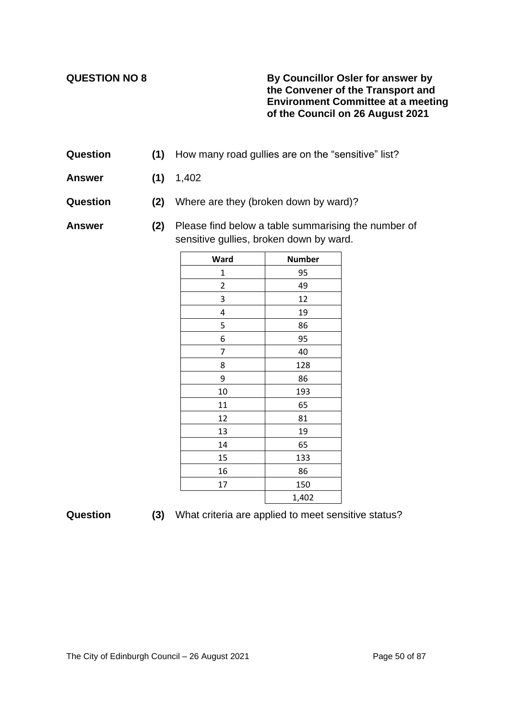### **QUESTION NO 8 By Councillor Osler for answer by the Convener of the Transport and Environment Committee at a meeting of the Council on 26 August 2021**

- **Question** (1) How many road gullies are on the "sensitive" list?
- **Answer (1)** 1,402
- **Question (2)** Where are they (broken down by ward)?

**Answer (2)** Please find below a table summarising the number of sensitive gullies, broken down by ward.

| Ward                    | <b>Number</b> |
|-------------------------|---------------|
| $\mathbf 1$             | 95            |
| $\overline{\mathbf{c}}$ | 49            |
| 3                       | 12            |
| 4                       | 19            |
| 5                       | 86            |
| 6                       | 95            |
| 7                       | 40            |
| 8                       | 128           |
| 9                       | 86            |
| 10                      | 193           |
| 11                      | 65            |
| 12                      | 81            |
| 13                      | 19            |
| 14                      | 65            |
| 15                      | 133           |
| 16                      | 86            |
| 17                      | 150           |
|                         | 1,402         |

| Question |  |  |  | (3) What criteria are applied to meet sensitive status? |  |
|----------|--|--|--|---------------------------------------------------------|--|
|----------|--|--|--|---------------------------------------------------------|--|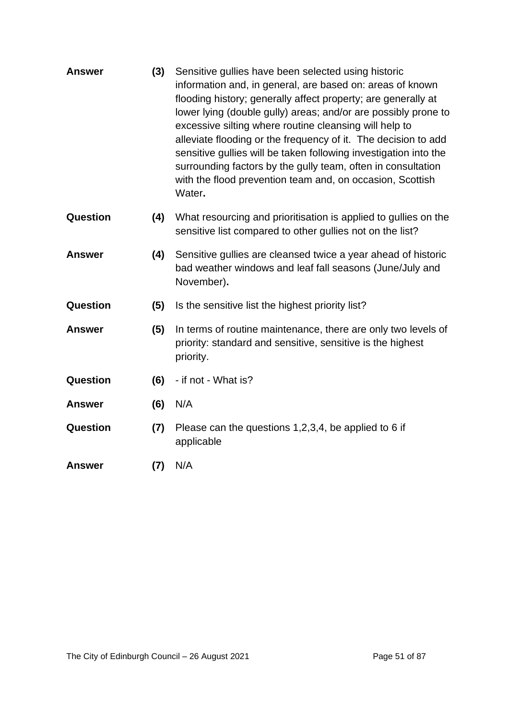| <b>Answer</b> | (3) | Sensitive gullies have been selected using historic<br>information and, in general, are based on: areas of known<br>flooding history; generally affect property; are generally at<br>lower lying (double gully) areas; and/or are possibly prone to<br>excessive silting where routine cleansing will help to<br>alleviate flooding or the frequency of it. The decision to add<br>sensitive gullies will be taken following investigation into the<br>surrounding factors by the gully team, often in consultation<br>with the flood prevention team and, on occasion, Scottish<br>Water. |
|---------------|-----|--------------------------------------------------------------------------------------------------------------------------------------------------------------------------------------------------------------------------------------------------------------------------------------------------------------------------------------------------------------------------------------------------------------------------------------------------------------------------------------------------------------------------------------------------------------------------------------------|
| Question      | (4) | What resourcing and prioritisation is applied to gullies on the<br>sensitive list compared to other gullies not on the list?                                                                                                                                                                                                                                                                                                                                                                                                                                                               |
| <b>Answer</b> | (4) | Sensitive gullies are cleansed twice a year ahead of historic<br>bad weather windows and leaf fall seasons (June/July and<br>November).                                                                                                                                                                                                                                                                                                                                                                                                                                                    |
| Question      | (5) | Is the sensitive list the highest priority list?                                                                                                                                                                                                                                                                                                                                                                                                                                                                                                                                           |
| <b>Answer</b> | (5) | In terms of routine maintenance, there are only two levels of<br>priority: standard and sensitive, sensitive is the highest<br>priority.                                                                                                                                                                                                                                                                                                                                                                                                                                                   |
| Question      | (6) | - if not - What is?                                                                                                                                                                                                                                                                                                                                                                                                                                                                                                                                                                        |
| <b>Answer</b> | (6) | N/A                                                                                                                                                                                                                                                                                                                                                                                                                                                                                                                                                                                        |
| Question      | (7) | Please can the questions 1,2,3,4, be applied to 6 if<br>applicable                                                                                                                                                                                                                                                                                                                                                                                                                                                                                                                         |
| <b>Answer</b> | (7) | N/A                                                                                                                                                                                                                                                                                                                                                                                                                                                                                                                                                                                        |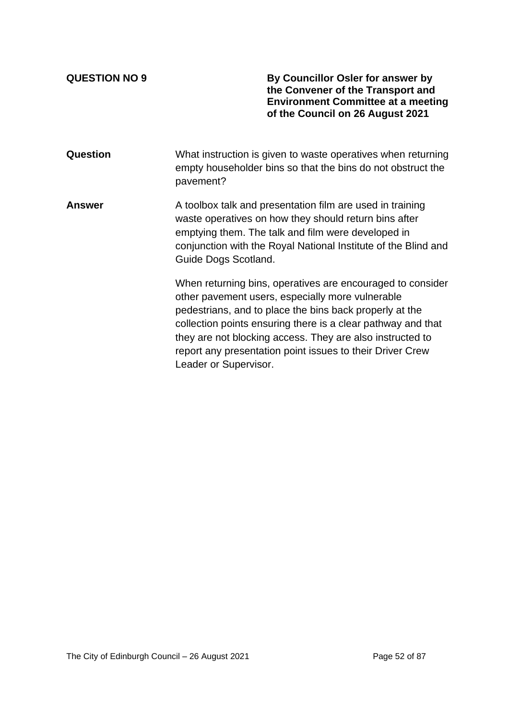**QUESTION NO 9 By Councillor Osler for answer by the Convener of the Transport and Environment Committee at a meeting of the Council on 26 August 2021**

**Question** What instruction is given to waste operatives when returning empty householder bins so that the bins do not obstruct the pavement?

**Answer** A toolbox talk and presentation film are used in training waste operatives on how they should return bins after emptying them. The talk and film were developed in conjunction with the Royal National Institute of the Blind and Guide Dogs Scotland.

> When returning bins, operatives are encouraged to consider other pavement users, especially more vulnerable pedestrians, and to place the bins back properly at the collection points ensuring there is a clear pathway and that they are not blocking access. They are also instructed to report any presentation point issues to their Driver Crew Leader or Supervisor.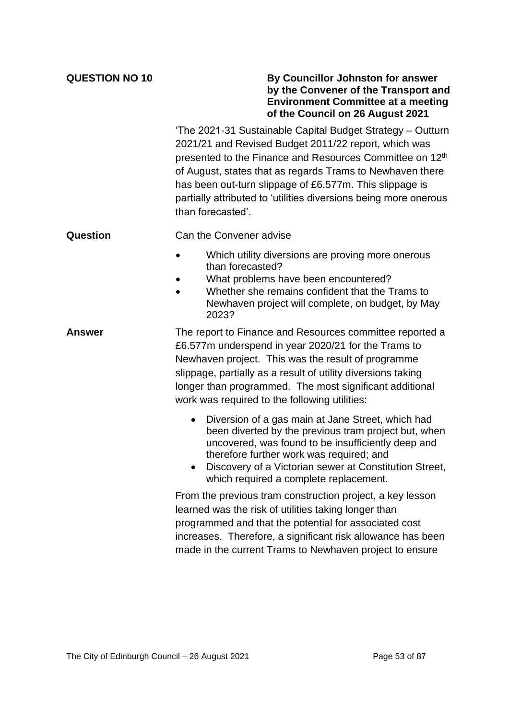| <b>QUESTION NO 10</b> | By Councillor Johnston for answer<br>by the Convener of the Transport and<br><b>Environment Committee at a meeting</b><br>of the Council on 26 August 2021                                                                                                                                                                                                                                      |  |  |  |
|-----------------------|-------------------------------------------------------------------------------------------------------------------------------------------------------------------------------------------------------------------------------------------------------------------------------------------------------------------------------------------------------------------------------------------------|--|--|--|
|                       | 'The 2021-31 Sustainable Capital Budget Strategy - Outturn<br>2021/21 and Revised Budget 2011/22 report, which was<br>presented to the Finance and Resources Committee on 12th<br>of August, states that as regards Trams to Newhaven there<br>has been out-turn slippage of £6.577m. This slippage is<br>partially attributed to 'utilities diversions being more onerous<br>than forecasted'. |  |  |  |
| Question              | Can the Convener advise                                                                                                                                                                                                                                                                                                                                                                         |  |  |  |
|                       | Which utility diversions are proving more onerous<br>than forecasted?<br>What problems have been encountered?<br>Whether she remains confident that the Trams to<br>Newhaven project will complete, on budget, by May<br>2023?                                                                                                                                                                  |  |  |  |
| <b>Answer</b>         | The report to Finance and Resources committee reported a<br>£6.577m underspend in year 2020/21 for the Trams to<br>Newhaven project. This was the result of programme<br>slippage, partially as a result of utility diversions taking<br>longer than programmed. The most significant additional<br>work was required to the following utilities:                                               |  |  |  |
|                       | Diversion of a gas main at Jane Street, which had<br>been diverted by the previous tram project but, when<br>uncovered, was found to be insufficiently deep and<br>therefore further work was required; and<br>Discovery of a Victorian sewer at Constitution Street,<br>which required a complete replacement.                                                                                 |  |  |  |
|                       | From the previous tram construction project, a key lesson<br>learned was the risk of utilities taking longer than<br>programmed and that the potential for associated cost<br>increases. Therefore, a significant risk allowance has been<br>made in the current Trams to Newhaven project to ensure                                                                                            |  |  |  |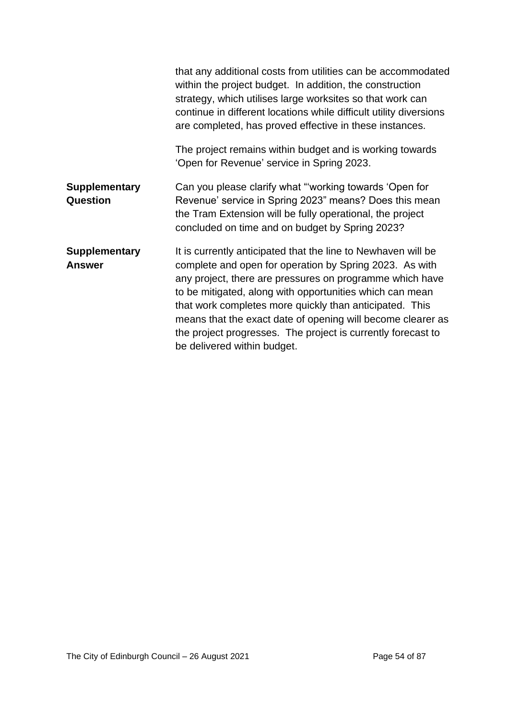|                                         | that any additional costs from utilities can be accommodated<br>within the project budget. In addition, the construction<br>strategy, which utilises large worksites so that work can<br>continue in different locations while difficult utility diversions<br>are completed, has proved effective in these instances.                                                                                                                                                    |
|-----------------------------------------|---------------------------------------------------------------------------------------------------------------------------------------------------------------------------------------------------------------------------------------------------------------------------------------------------------------------------------------------------------------------------------------------------------------------------------------------------------------------------|
|                                         | The project remains within budget and is working towards<br>'Open for Revenue' service in Spring 2023.                                                                                                                                                                                                                                                                                                                                                                    |
| <b>Supplementary</b><br><b>Question</b> | Can you please clarify what "working towards 'Open for<br>Revenue' service in Spring 2023" means? Does this mean<br>the Tram Extension will be fully operational, the project<br>concluded on time and on budget by Spring 2023?                                                                                                                                                                                                                                          |
| <b>Supplementary</b><br><b>Answer</b>   | It is currently anticipated that the line to Newhaven will be<br>complete and open for operation by Spring 2023. As with<br>any project, there are pressures on programme which have<br>to be mitigated, along with opportunities which can mean<br>that work completes more quickly than anticipated. This<br>means that the exact date of opening will become clearer as<br>the project progresses. The project is currently forecast to<br>be delivered within budget. |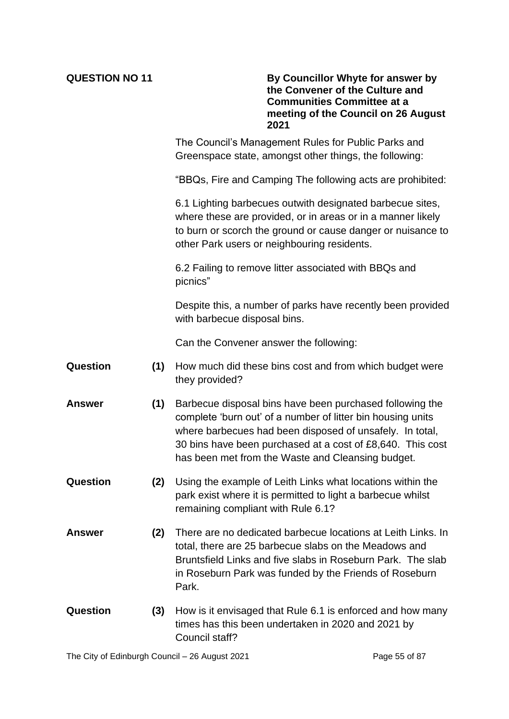**QUESTION NO 11 By Councillor Whyte for answer by the Convener of the Culture and Communities Committee at a meeting of the Council on 26 August 2021**

> The Council's Management Rules for Public Parks and Greenspace state, amongst other things, the following:

"BBQs, Fire and Camping The following acts are prohibited:

6.1 Lighting barbecues outwith designated barbecue sites, where these are provided, or in areas or in a manner likely to burn or scorch the ground or cause danger or nuisance to other Park users or neighbouring residents.

6.2 Failing to remove litter associated with BBQs and picnics"

Despite this, a number of parks have recently been provided with barbecue disposal bins.

Can the Convener answer the following:

- **Question (1)** How much did these bins cost and from which budget were they provided?
- **Answer (1)** Barbecue disposal bins have been purchased following the complete 'burn out' of a number of litter bin housing units where barbecues had been disposed of unsafely. In total, 30 bins have been purchased at a cost of £8,640. This cost has been met from the Waste and Cleansing budget.
- **Question (2)** Using the example of Leith Links what locations within the park exist where it is permitted to light a barbecue whilst remaining compliant with Rule 6.1?
- **Answer (2)** There are no dedicated barbecue locations at Leith Links. In total, there are 25 barbecue slabs on the Meadows and Bruntsfield Links and five slabs in Roseburn Park. The slab in Roseburn Park was funded by the Friends of Roseburn Park.
- **Question (3)** How is it envisaged that Rule 6.1 is enforced and how many times has this been undertaken in 2020 and 2021 by Council staff?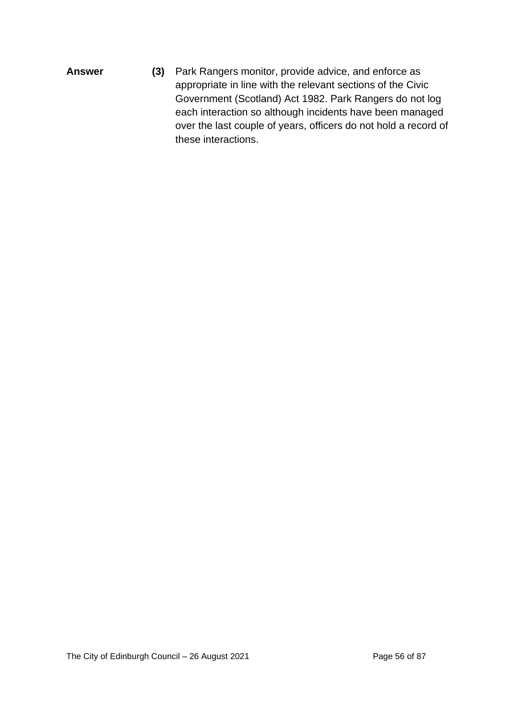**Answer (3)** Park Rangers monitor, provide advice, and enforce as appropriate in line with the relevant sections of the Civic Government (Scotland) Act 1982. Park Rangers do not log each interaction so although incidents have been managed over the last couple of years, officers do not hold a record of these interactions.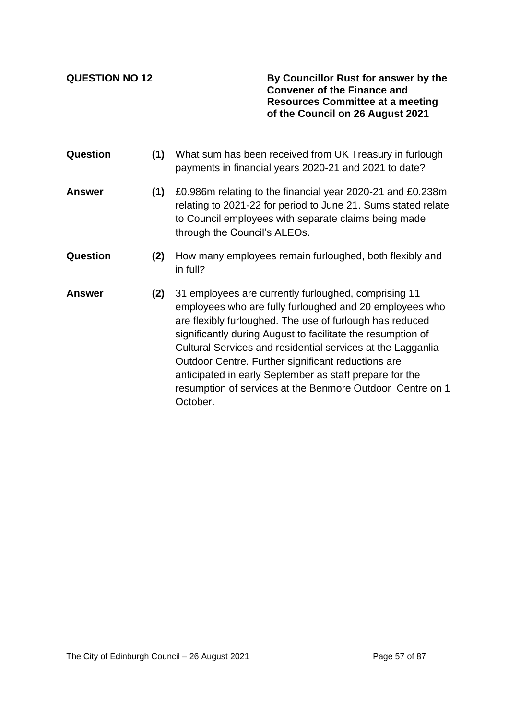**QUESTION NO 12 By Councillor Rust for answer by the Convener of the Finance and Resources Committee at a meeting of the Council on 26 August 2021**

**Question (1)** What sum has been received from UK Treasury in furlough payments in financial years 2020-21 and 2021 to date? **Answer (1)** £0.986m relating to the financial year 2020-21 and £0.238m relating to 2021-22 for period to June 21. Sums stated relate to Council employees with separate claims being made through the Council's ALEOs. **Question (2)** How many employees remain furloughed, both flexibly and in full? **Answer (2)** 31 employees are currently furloughed, comprising 11 employees who are fully furloughed and 20 employees who are flexibly furloughed. The use of furlough has reduced significantly during August to facilitate the resumption of Cultural Services and residential services at the Lagganlia Outdoor Centre. Further significant reductions are anticipated in early September as staff prepare for the resumption of services at the Benmore Outdoor Centre on 1

October.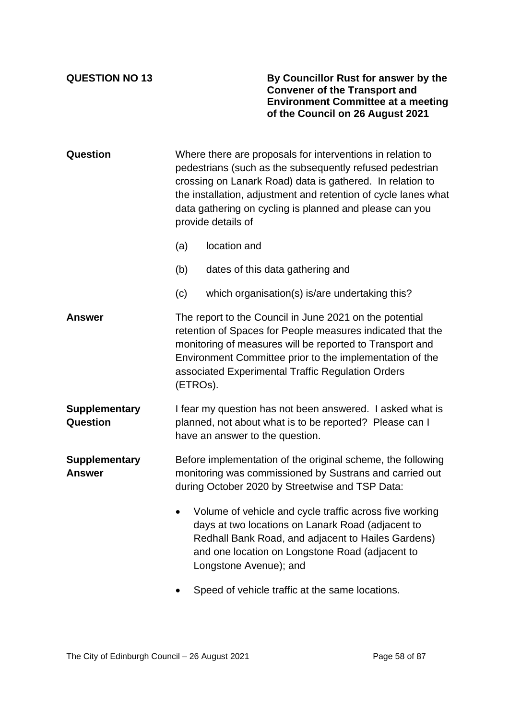### **QUESTION NO 13 By Councillor Rust for answer by the Convener of the Transport and Environment Committee at a meeting of the Council on 26 August 2021**

| Question                              | Where there are proposals for interventions in relation to<br>pedestrians (such as the subsequently refused pedestrian<br>crossing on Lanark Road) data is gathered. In relation to<br>the installation, adjustment and retention of cycle lanes what<br>data gathering on cycling is planned and please can you<br>provide details of |                                                                                                                                                                           |  |  |  |
|---------------------------------------|----------------------------------------------------------------------------------------------------------------------------------------------------------------------------------------------------------------------------------------------------------------------------------------------------------------------------------------|---------------------------------------------------------------------------------------------------------------------------------------------------------------------------|--|--|--|
|                                       | (a)                                                                                                                                                                                                                                                                                                                                    | location and                                                                                                                                                              |  |  |  |
|                                       | (b)                                                                                                                                                                                                                                                                                                                                    | dates of this data gathering and                                                                                                                                          |  |  |  |
|                                       | (c)                                                                                                                                                                                                                                                                                                                                    | which organisation(s) is/are undertaking this?                                                                                                                            |  |  |  |
| <b>Answer</b>                         | The report to the Council in June 2021 on the potential<br>retention of Spaces for People measures indicated that the<br>monitoring of measures will be reported to Transport and<br>Environment Committee prior to the implementation of the<br>associated Experimental Traffic Regulation Orders<br>(ETROs).                         |                                                                                                                                                                           |  |  |  |
| <b>Supplementary</b><br>Question      | I fear my question has not been answered. I asked what is<br>planned, not about what is to be reported? Please can I<br>have an answer to the question.                                                                                                                                                                                |                                                                                                                                                                           |  |  |  |
| <b>Supplementary</b><br><b>Answer</b> |                                                                                                                                                                                                                                                                                                                                        | Before implementation of the original scheme, the following<br>monitoring was commissioned by Sustrans and carried out<br>during October 2020 by Streetwise and TSP Data: |  |  |  |
|                                       | Volume of vehicle and cycle traffic across five working<br>days at two locations on Lanark Road (adjacent to<br>Redhall Bank Road, and adjacent to Hailes Gardens)<br>and one location on Longstone Road (adjacent to<br>Longstone Avenue); and                                                                                        |                                                                                                                                                                           |  |  |  |
|                                       | Speed of vehicle traffic at the same locations.                                                                                                                                                                                                                                                                                        |                                                                                                                                                                           |  |  |  |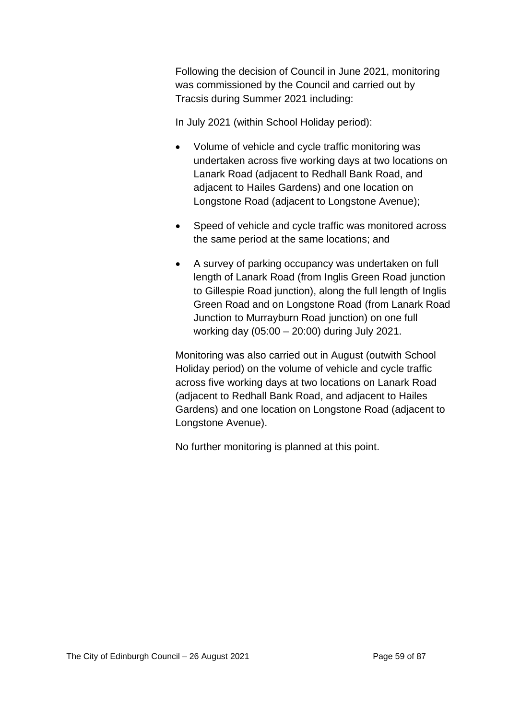Following the decision of Council in June 2021, monitoring was commissioned by the Council and carried out by Tracsis during Summer 2021 including:

In July 2021 (within School Holiday period):

- Volume of vehicle and cycle traffic monitoring was undertaken across five working days at two locations on Lanark Road (adjacent to Redhall Bank Road, and adjacent to Hailes Gardens) and one location on Longstone Road (adjacent to Longstone Avenue);
- Speed of vehicle and cycle traffic was monitored across the same period at the same locations; and
- A survey of parking occupancy was undertaken on full length of Lanark Road (from Inglis Green Road junction to Gillespie Road junction), along the full length of Inglis Green Road and on Longstone Road (from Lanark Road Junction to Murrayburn Road junction) on one full working day (05:00 – 20:00) during July 2021.

Monitoring was also carried out in August (outwith School Holiday period) on the volume of vehicle and cycle traffic across five working days at two locations on Lanark Road (adjacent to Redhall Bank Road, and adjacent to Hailes Gardens) and one location on Longstone Road (adjacent to Longstone Avenue).

No further monitoring is planned at this point.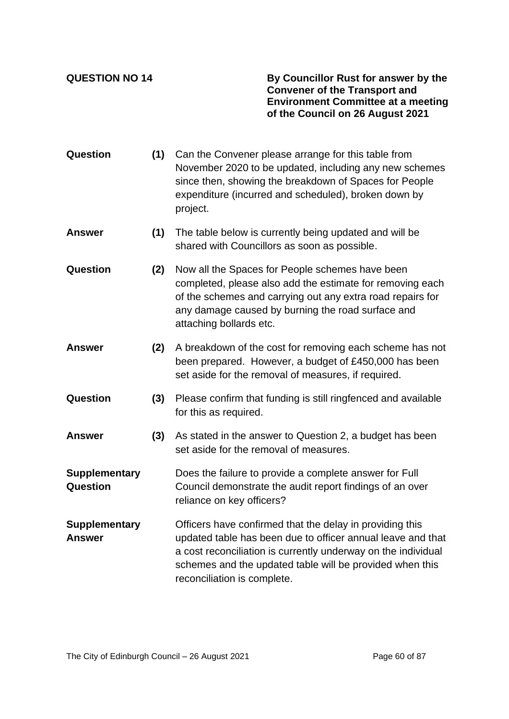**QUESTION NO 14 By Councillor Rust for answer by the Convener of the Transport and Environment Committee at a meeting of the Council on 26 August 2021**

- **Question (1)** Can the Convener please arrange for this table from November 2020 to be updated, including any new schemes since then, showing the breakdown of Spaces for People expenditure (incurred and scheduled), broken down by project.
- **Answer (1)** The table below is currently being updated and will be shared with Councillors as soon as possible.
- **Question (2)** Now all the Spaces for People schemes have been completed, please also add the estimate for removing each of the schemes and carrying out any extra road repairs for any damage caused by burning the road surface and attaching bollards etc.
- **Answer (2)** A breakdown of the cost for removing each scheme has not been prepared. However, a budget of £450,000 has been set aside for the removal of measures, if required.
- **Question (3)** Please confirm that funding is still ringfenced and available for this as required.
- **Answer (3)** As stated in the answer to Question 2, a budget has been set aside for the removal of measures.
- **Supplementary Question** Does the failure to provide a complete answer for Full Council demonstrate the audit report findings of an over reliance on key officers?
- **Supplementary Answer** Officers have confirmed that the delay in providing this updated table has been due to officer annual leave and that a cost reconciliation is currently underway on the individual schemes and the updated table will be provided when this reconciliation is complete.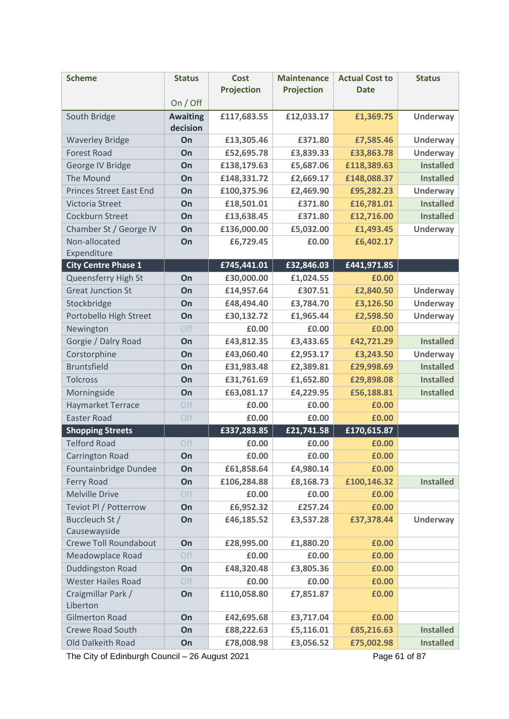| <b>Scheme</b>                  | <b>Status</b>               | <b>Cost</b>       | <b>Maintenance</b> | <b>Actual Cost to</b> | <b>Status</b>    |
|--------------------------------|-----------------------------|-------------------|--------------------|-----------------------|------------------|
|                                |                             | <b>Projection</b> | <b>Projection</b>  | <b>Date</b>           |                  |
|                                | On / Off                    |                   |                    |                       |                  |
| South Bridge                   | <b>Awaiting</b><br>decision | £117,683.55       | £12,033.17         | £1,369.75             | <b>Underway</b>  |
| <b>Waverley Bridge</b>         | On                          | £13,305.46        | £371.80            | £7,585.46             | <b>Underway</b>  |
| <b>Forest Road</b>             | On                          | £52,695.78        | £3,839.33          | £33,863.78            | <b>Underway</b>  |
| George IV Bridge               | On                          | £138,179.63       | £5,687.06          | £118,389.63           | <b>Installed</b> |
| The Mound                      | On                          | £148,331.72       | £2,669.17          | £148,088.37           | <b>Installed</b> |
| <b>Princes Street East End</b> | On                          | £100,375.96       | £2,469.90          | £95,282.23            | <b>Underway</b>  |
| <b>Victoria Street</b>         | On                          | £18,501.01        | £371.80            | £16,781.01            | <b>Installed</b> |
| Cockburn Street                | On                          | £13,638.45        | £371.80            | £12,716.00            | <b>Installed</b> |
| Chamber St / George IV         | On                          | £136,000.00       | £5,032.00          | £1,493.45             | <b>Underway</b>  |
| Non-allocated                  | On                          | £6,729.45         | £0.00              | £6,402.17             |                  |
| Expenditure                    |                             |                   |                    |                       |                  |
| <b>City Centre Phase 1</b>     |                             | £745,441.01       | £32,846.03         | £441,971.85           |                  |
| Queensferry High St            | On                          | £30,000.00        | £1,024.55          | £0.00                 |                  |
| <b>Great Junction St</b>       | On                          | £14,957.64        | £307.51            | £2,840.50             | Underway         |
| Stockbridge                    | On                          | £48,494.40        | £3,784.70          | £3,126.50             | <b>Underway</b>  |
| Portobello High Street         | On                          | £30,132.72        | £1,965.44          | £2,598.50             | <b>Underway</b>  |
| Newington                      | Off                         | £0.00             | £0.00              | £0.00                 |                  |
| Gorgie / Dalry Road            | On                          | £43,812.35        | £3,433.65          | £42,721.29            | <b>Installed</b> |
| Corstorphine                   | On                          | £43,060.40        | £2,953.17          | £3,243.50             | <b>Underway</b>  |
| <b>Bruntsfield</b>             | On                          | £31,983.48        | £2,389.81          | £29,998.69            | <b>Installed</b> |
| <b>Tolcross</b>                | On                          | £31,761.69        | £1,652.80          | £29,898.08            | <b>Installed</b> |
| Morningside                    | On                          | £63,081.17        | £4,229.95          | £56,188.81            | <b>Installed</b> |
| <b>Haymarket Terrace</b>       | Off                         | £0.00             | £0.00              | £0.00                 |                  |
| <b>Easter Road</b>             | Off                         | £0.00             | £0.00              | £0.00                 |                  |
| <b>Shopping Streets</b>        |                             | £337,283.85       | £21,741.58         | £170,615.87           |                  |
| <b>Telford Road</b>            | Off                         | £0.00             | £0.00              | £0.00                 |                  |
| <b>Carrington Road</b>         | On                          | £0.00             | £0.00              | £0.00                 |                  |
| Fountainbridge Dundee          | On                          | £61,858.64        | £4,980.14          | £0.00                 |                  |
| Ferry Road                     | On                          | £106,284.88       | £8,168.73          | £100,146.32           | <b>Installed</b> |
| <b>Melville Drive</b>          | Off                         | £0.00             | £0.00              | £0.00                 |                  |
| Teviot Pl / Potterrow          | On                          | £6,952.32         | £257.24            | £0.00                 |                  |
| Buccleuch St /                 | On                          | £46,185.52        | £3,537.28          | £37,378.44            | <b>Underway</b>  |
| Causewayside                   |                             |                   |                    |                       |                  |
| Crewe Toll Roundabout          | On                          | £28,995.00        | £1,880.20          | £0.00                 |                  |
| Meadowplace Road               | Off                         | £0.00             | £0.00              | £0.00                 |                  |
| <b>Duddingston Road</b>        | On                          | £48,320.48        | £3,805.36          | £0.00                 |                  |
| <b>Wester Hailes Road</b>      | Off                         | £0.00             | £0.00              | £0.00                 |                  |
| Craigmillar Park /<br>Liberton | On                          | £110,058.80       | £7,851.87          | £0.00                 |                  |
| <b>Gilmerton Road</b>          | On                          | £42,695.68        | £3,717.04          | £0.00                 |                  |
| <b>Crewe Road South</b>        | On                          | £88,222.63        | £5,116.01          | £85,216.63            | <b>Installed</b> |
| Old Dalkeith Road              | On                          | £78,008.98        | £3,056.52          | £75,002.98            | <b>Installed</b> |

The City of Edinburgh Council – 26 August 2021 Page 61 of 87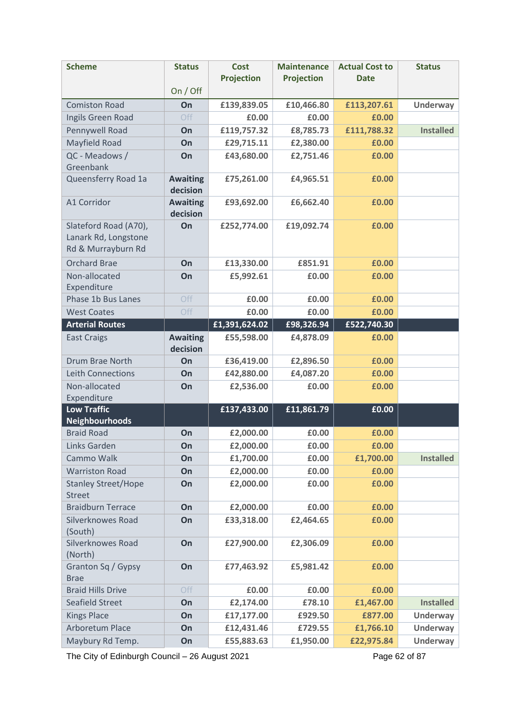The City of Edinburgh Council – 26 August 2021 Page 62 of 87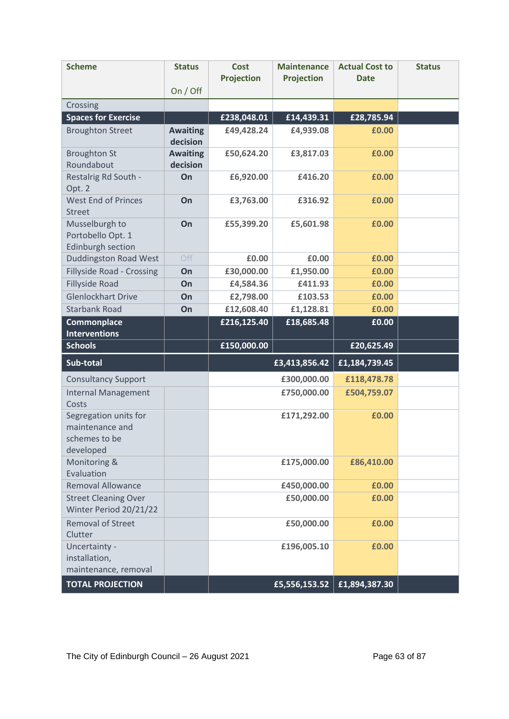| <b>Scheme</b>                                                          | <b>Status</b>               | <b>Cost</b><br><b>Projection</b> | <b>Maintenance</b><br><b>Projection</b> | <b>Actual Cost to</b><br><b>Date</b> | <b>Status</b> |
|------------------------------------------------------------------------|-----------------------------|----------------------------------|-----------------------------------------|--------------------------------------|---------------|
|                                                                        | On / Off                    |                                  |                                         |                                      |               |
| Crossing                                                               |                             |                                  |                                         |                                      |               |
| <b>Spaces for Exercise</b>                                             |                             | £238,048.01                      | £14,439.31                              | £28,785.94                           |               |
| <b>Broughton Street</b>                                                | <b>Awaiting</b><br>decision | £49,428.24                       | £4,939.08                               | £0.00                                |               |
| <b>Broughton St</b><br>Roundabout                                      | <b>Awaiting</b><br>decision | £50,624.20                       | £3,817.03                               | £0.00                                |               |
| Restalrig Rd South -<br>Opt. 2                                         | On                          | £6,920.00                        | £416.20                                 | £0.00                                |               |
| <b>West End of Princes</b><br><b>Street</b>                            | On                          | £3,763.00                        | £316.92                                 | £0.00                                |               |
| Musselburgh to<br>Portobello Opt. 1<br>Edinburgh section               | On                          | £55,399.20                       | £5,601.98                               | £0.00                                |               |
| <b>Duddingston Road West</b>                                           | Off                         | £0.00                            | £0.00                                   | £0.00                                |               |
| <b>Fillyside Road - Crossing</b>                                       | On                          | £30,000.00                       | £1,950.00                               | £0.00                                |               |
| <b>Fillyside Road</b>                                                  | On                          | £4,584.36                        | £411.93                                 | £0.00                                |               |
| <b>Glenlockhart Drive</b>                                              | On                          | £2,798.00                        | £103.53                                 | £0.00                                |               |
| <b>Starbank Road</b>                                                   | On                          | £12,608.40                       | £1,128.81                               | £0.00                                |               |
| Commonplace<br><b>Interventions</b>                                    |                             | £216,125.40                      | £18,685.48                              | £0.00                                |               |
| <b>Schools</b>                                                         |                             | £150,000.00                      |                                         | £20,625.49                           |               |
| Sub-total                                                              |                             |                                  | £3,413,856.42                           | £1,184,739.45                        |               |
| <b>Consultancy Support</b>                                             |                             |                                  | £300,000.00                             | £118,478.78                          |               |
| <b>Internal Management</b><br>Costs                                    |                             |                                  | £750,000.00                             | £504,759.07                          |               |
| Segregation units for<br>maintenance and<br>schemes to be<br>developed |                             |                                  | £171,292.00                             | £0.00                                |               |
| Monitoring &<br>Evaluation                                             |                             |                                  | £175,000.00                             | £86,410.00                           |               |
| <b>Removal Allowance</b>                                               |                             |                                  | £450,000.00                             | £0.00                                |               |
| <b>Street Cleaning Over</b><br>Winter Period 20/21/22                  |                             |                                  | £50,000.00                              | £0.00                                |               |
| <b>Removal of Street</b><br>Clutter                                    |                             |                                  | £50,000.00                              | £0.00                                |               |
| Uncertainty -<br>installation,<br>maintenance, removal                 |                             |                                  | £196,005.10                             | £0.00                                |               |
| <b>TOTAL PROJECTION</b>                                                |                             |                                  | £5,556,153.52                           | £1,894,387.30                        |               |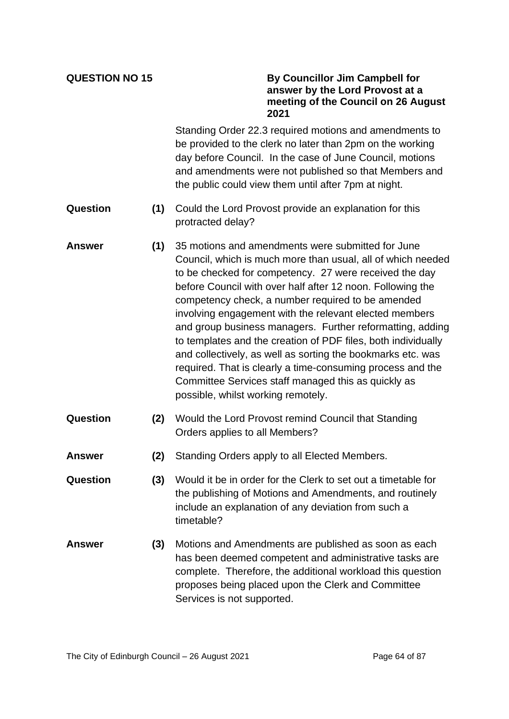### **QUESTION NO 15 By Councillor Jim Campbell for answer by the Lord Provost at a meeting of the Council on 26 August 2021**

Standing Order 22.3 required motions and amendments to be provided to the clerk no later than 2pm on the working day before Council. In the case of June Council, motions and amendments were not published so that Members and the public could view them until after 7pm at night.

- **Question (1)** Could the Lord Provost provide an explanation for this protracted delay?
- **Answer (1)** 35 motions and amendments were submitted for June Council, which is much more than usual, all of which needed to be checked for competency. 27 were received the day before Council with over half after 12 noon. Following the competency check, a number required to be amended involving engagement with the relevant elected members and group business managers. Further reformatting, adding to templates and the creation of PDF files, both individually and collectively, as well as sorting the bookmarks etc. was required. That is clearly a time-consuming process and the Committee Services staff managed this as quickly as possible, whilst working remotely.
- **Question (2)** Would the Lord Provost remind Council that Standing Orders applies to all Members?
- **Answer (2)** Standing Orders apply to all Elected Members.
- **Question (3)** Would it be in order for the Clerk to set out a timetable for the publishing of Motions and Amendments, and routinely include an explanation of any deviation from such a timetable?
- **Answer (3)** Motions and Amendments are published as soon as each has been deemed competent and administrative tasks are complete. Therefore, the additional workload this question proposes being placed upon the Clerk and Committee Services is not supported.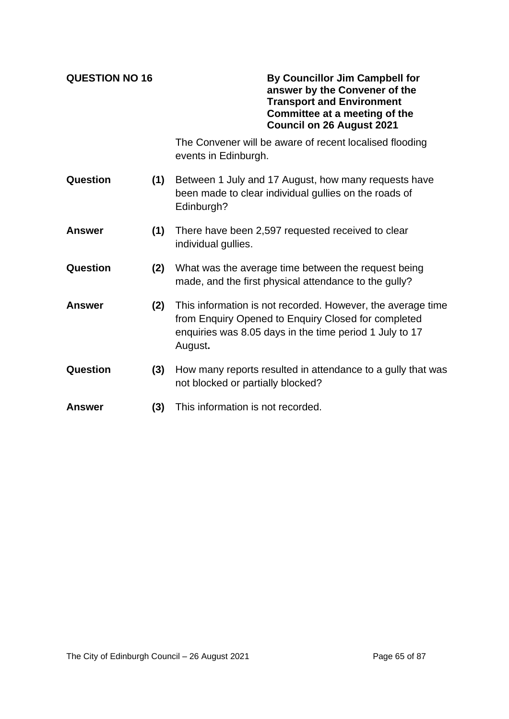**QUESTION NO 16 By Councillor Jim Campbell for answer by the Convener of the Transport and Environment Committee at a meeting of the Council on 26 August 2021**

> The Convener will be aware of recent localised flooding events in Edinburgh.

- **Question (1)** Between 1 July and 17 August, how many requests have been made to clear individual gullies on the roads of Edinburgh?
- **Answer (1)** There have been 2,597 requested received to clear individual gullies.
- **Question (2)** What was the average time between the request being made, and the first physical attendance to the gully?
- **Answer (2)** This information is not recorded. However, the average time from Enquiry Opened to Enquiry Closed for completed enquiries was 8.05 days in the time period 1 July to 17 August**.**
- **Question (3)** How many reports resulted in attendance to a gully that was not blocked or partially blocked?
- **Answer (3)** This information is not recorded.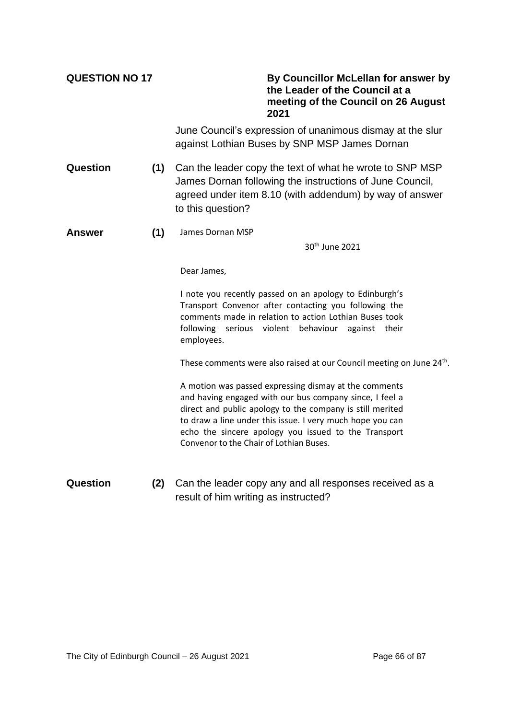| <b>QUESTION NO 17</b> |     | By Councillor McLellan for answer by<br>the Leader of the Council at a<br>meeting of the Council on 26 August<br>2021                                                                                                                                                                                                                         |
|-----------------------|-----|-----------------------------------------------------------------------------------------------------------------------------------------------------------------------------------------------------------------------------------------------------------------------------------------------------------------------------------------------|
|                       |     | June Council's expression of unanimous dismay at the slur<br>against Lothian Buses by SNP MSP James Dornan                                                                                                                                                                                                                                    |
| Question              | (1) | Can the leader copy the text of what he wrote to SNP MSP<br>James Dornan following the instructions of June Council,<br>agreed under item 8.10 (with addendum) by way of answer<br>to this question?                                                                                                                                          |
| Answer                | (1) | James Dornan MSP                                                                                                                                                                                                                                                                                                                              |
|                       |     | 30 <sup>th</sup> June 2021                                                                                                                                                                                                                                                                                                                    |
|                       |     | Dear James,                                                                                                                                                                                                                                                                                                                                   |
|                       |     | I note you recently passed on an apology to Edinburgh's<br>Transport Convenor after contacting you following the<br>comments made in relation to action Lothian Buses took<br>following serious violent<br>behaviour<br>against their<br>employees.                                                                                           |
|                       |     | These comments were also raised at our Council meeting on June 24 <sup>th</sup> .                                                                                                                                                                                                                                                             |
|                       |     | A motion was passed expressing dismay at the comments<br>and having engaged with our bus company since, I feel a<br>direct and public apology to the company is still merited<br>to draw a line under this issue. I very much hope you can<br>echo the sincere apology you issued to the Transport<br>Convenor to the Chair of Lothian Buses. |
| Question              | (2) | Can the leader copy any and all responses received as a<br>result of him writing as instructed?                                                                                                                                                                                                                                               |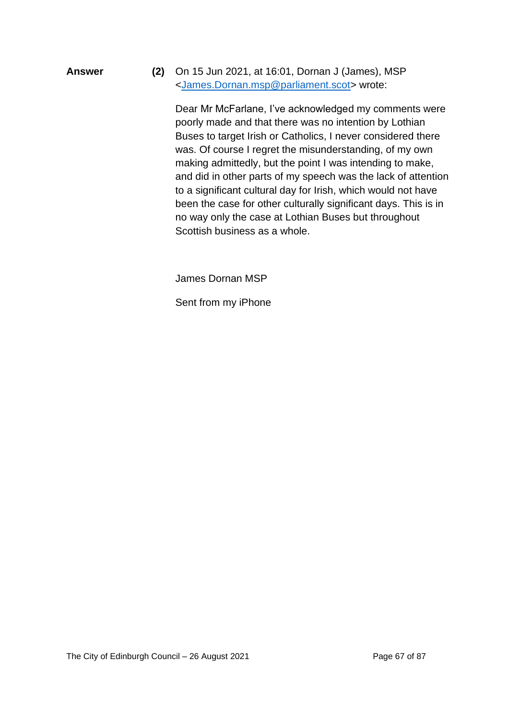**Answer (2)** On 15 Jun 2021, at 16:01, Dornan J (James), MSP [<James.Dornan.msp@parliament.scot>](mailto:James.Dornan.msp@parliament.scot) wrote:

> Dear Mr McFarlane, I've acknowledged my comments were poorly made and that there was no intention by Lothian Buses to target Irish or Catholics, I never considered there was. Of course I regret the misunderstanding, of my own making admittedly, but the point I was intending to make, and did in other parts of my speech was the lack of attention to a significant cultural day for Irish, which would not have been the case for other culturally significant days. This is in no way only the case at Lothian Buses but throughout Scottish business as a whole.

James Dornan MSP

Sent from my iPhone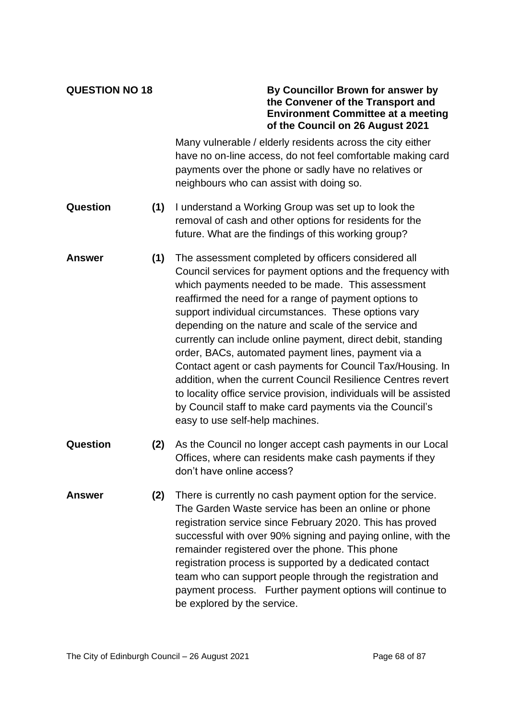### **QUESTION NO 18 By Councillor Brown for answer by the Convener of the Transport and Environment Committee at a meeting of the Council on 26 August 2021**

Many vulnerable / elderly residents across the city either have no on-line access, do not feel comfortable making card payments over the phone or sadly have no relatives or neighbours who can assist with doing so.

- **Question (1)** I understand a Working Group was set up to look the removal of cash and other options for residents for the future. What are the findings of this working group?
- **Answer (1)** The assessment completed by officers considered all Council services for payment options and the frequency with which payments needed to be made. This assessment reaffirmed the need for a range of payment options to support individual circumstances. These options vary depending on the nature and scale of the service and currently can include online payment, direct debit, standing order, BACs, automated payment lines, payment via a Contact agent or cash payments for Council Tax/Housing. In addition, when the current Council Resilience Centres revert to locality office service provision, individuals will be assisted by Council staff to make card payments via the Council's easy to use self-help machines.
- **Question (2)** As the Council no longer accept cash payments in our Local Offices, where can residents make cash payments if they don't have online access?
- **Answer (2)** There is currently no cash payment option for the service. The Garden Waste service has been an online or phone registration service since February 2020. This has proved successful with over 90% signing and paying online, with the remainder registered over the phone. This phone registration process is supported by a dedicated contact team who can support people through the registration and payment process. Further payment options will continue to be explored by the service.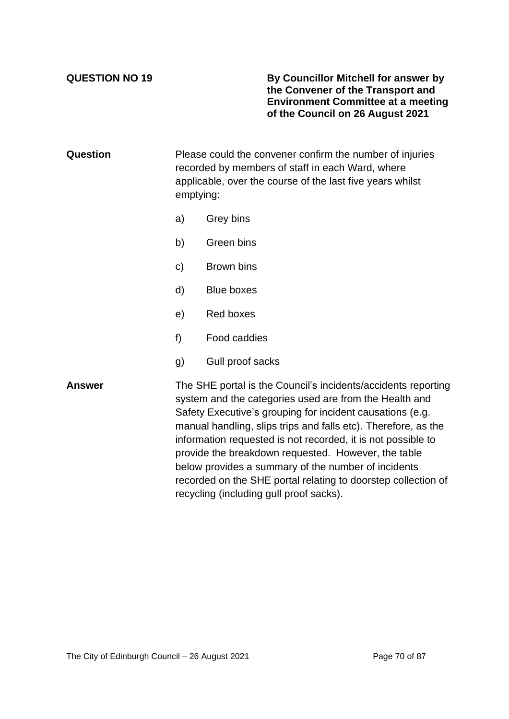**QUESTION NO 19 By Councillor Mitchell for answer by the Convener of the Transport and Environment Committee at a meeting of the Council on 26 August 2021**

**Question** Please could the convener confirm the number of injuries recorded by members of staff in each Ward, where applicable, over the course of the last five years whilst emptying:

- a) Grey bins
- b) Green bins
- c) Brown bins
- d) Blue boxes
- e) Red boxes
- f) Food caddies
- g) Gull proof sacks

**Answer** The SHE portal is the Council's incidents/accidents reporting system and the categories used are from the Health and Safety Executive's grouping for incident causations (e.g. manual handling, slips trips and falls etc). Therefore, as the information requested is not recorded, it is not possible to provide the breakdown requested. However, the table below provides a summary of the number of incidents recorded on the SHE portal relating to doorstep collection of recycling (including gull proof sacks).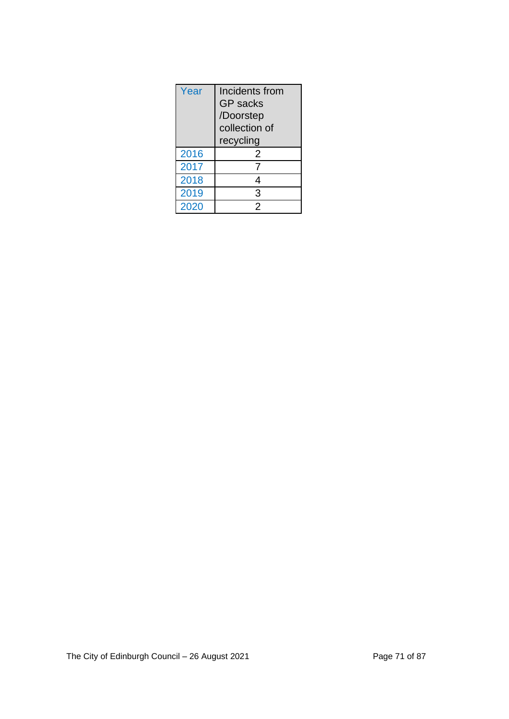| Year | Incidents from<br><b>GP</b> sacks<br>/Doorstep<br>collection of<br>recycling |  |
|------|------------------------------------------------------------------------------|--|
| 2016 | 2                                                                            |  |
| 2017 |                                                                              |  |
| 2018 | 4                                                                            |  |
| 2019 | 3                                                                            |  |
| 2020 | $\boldsymbol{\mathcal{P}}$                                                   |  |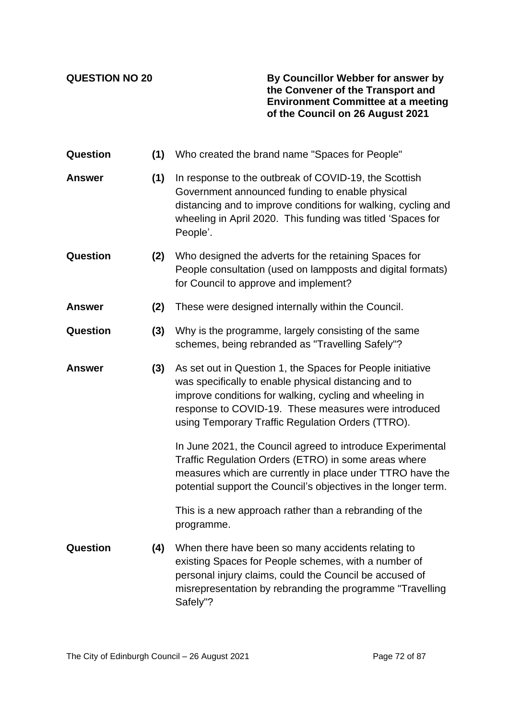**QUESTION NO 20 By Councillor Webber for answer by the Convener of the Transport and Environment Committee at a meeting of the Council on 26 August 2021**

| Question        | (1) | Who created the brand name "Spaces for People"                                                                                                                                                                                                                                              |
|-----------------|-----|---------------------------------------------------------------------------------------------------------------------------------------------------------------------------------------------------------------------------------------------------------------------------------------------|
| <b>Answer</b>   | (1) | In response to the outbreak of COVID-19, the Scottish<br>Government announced funding to enable physical<br>distancing and to improve conditions for walking, cycling and<br>wheeling in April 2020. This funding was titled 'Spaces for<br>People'.                                        |
| <b>Question</b> | (2) | Who designed the adverts for the retaining Spaces for<br>People consultation (used on lampposts and digital formats)<br>for Council to approve and implement?                                                                                                                               |
| <b>Answer</b>   | (2) | These were designed internally within the Council.                                                                                                                                                                                                                                          |
| Question        | (3) | Why is the programme, largely consisting of the same<br>schemes, being rebranded as "Travelling Safely"?                                                                                                                                                                                    |
| <b>Answer</b>   | (3) | As set out in Question 1, the Spaces for People initiative<br>was specifically to enable physical distancing and to<br>improve conditions for walking, cycling and wheeling in<br>response to COVID-19. These measures were introduced<br>using Temporary Traffic Regulation Orders (TTRO). |
|                 |     | In June 2021, the Council agreed to introduce Experimental<br>Traffic Regulation Orders (ETRO) in some areas where<br>measures which are currently in place under TTRO have the<br>potential support the Council's objectives in the longer term.                                           |
|                 |     | This is a new approach rather than a rebranding of the<br>programme.                                                                                                                                                                                                                        |
| Question        | (4) | When there have been so many accidents relating to<br>existing Spaces for People schemes, with a number of<br>personal injury claims, could the Council be accused of<br>misrepresentation by rebranding the programme "Travelling<br>Safely"?                                              |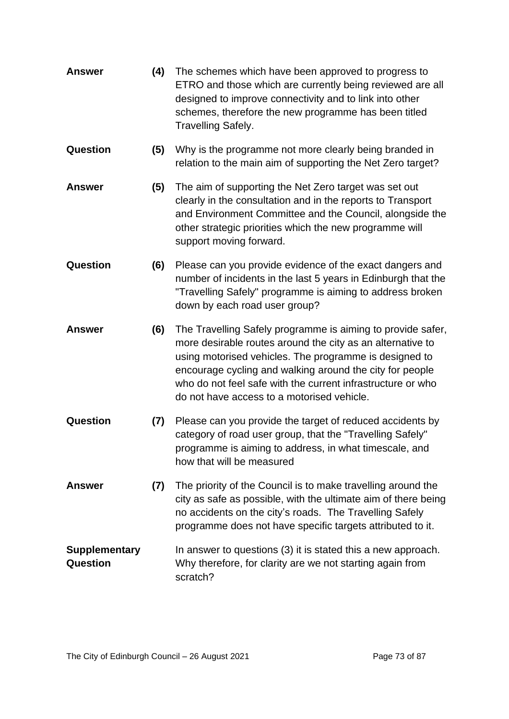| <b>Answer</b>                           | (4) | The schemes which have been approved to progress to<br>ETRO and those which are currently being reviewed are all<br>designed to improve connectivity and to link into other<br>schemes, therefore the new programme has been titled<br><b>Travelling Safely.</b>                                                                                             |  |
|-----------------------------------------|-----|--------------------------------------------------------------------------------------------------------------------------------------------------------------------------------------------------------------------------------------------------------------------------------------------------------------------------------------------------------------|--|
| <b>Question</b>                         | (5) | Why is the programme not more clearly being branded in<br>relation to the main aim of supporting the Net Zero target?                                                                                                                                                                                                                                        |  |
| <b>Answer</b>                           | (5) | The aim of supporting the Net Zero target was set out<br>clearly in the consultation and in the reports to Transport<br>and Environment Committee and the Council, alongside the<br>other strategic priorities which the new programme will<br>support moving forward.                                                                                       |  |
| Question                                | (6) | Please can you provide evidence of the exact dangers and<br>number of incidents in the last 5 years in Edinburgh that the<br>"Travelling Safely" programme is aiming to address broken<br>down by each road user group?                                                                                                                                      |  |
| <b>Answer</b>                           | (6) | The Travelling Safely programme is aiming to provide safer,<br>more desirable routes around the city as an alternative to<br>using motorised vehicles. The programme is designed to<br>encourage cycling and walking around the city for people<br>who do not feel safe with the current infrastructure or who<br>do not have access to a motorised vehicle. |  |
| <b>Question</b>                         | (7) | Please can you provide the target of reduced accidents by<br>category of road user group, that the "Travelling Safely"<br>programme is aiming to address, in what timescale, and<br>how that will be measured                                                                                                                                                |  |
| <b>Answer</b>                           | (7) | The priority of the Council is to make travelling around the<br>city as safe as possible, with the ultimate aim of there being<br>no accidents on the city's roads. The Travelling Safely<br>programme does not have specific targets attributed to it.                                                                                                      |  |
| <b>Supplementary</b><br><b>Question</b> |     | In answer to questions (3) it is stated this a new approach.<br>Why therefore, for clarity are we not starting again from<br>scratch?                                                                                                                                                                                                                        |  |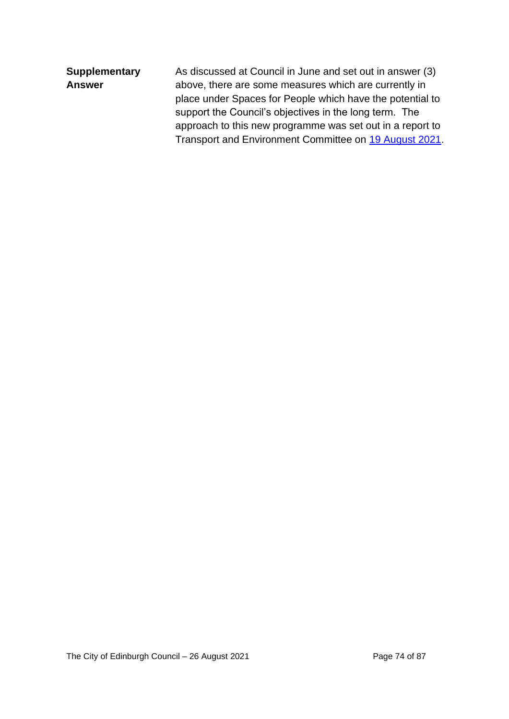| <b>Supplementary</b> | As discussed at Council in June and set out in answer (3) |
|----------------------|-----------------------------------------------------------|
| <b>Answer</b>        | above, there are some measures which are currently in     |
|                      | place under Spaces for People which have the potential to |
|                      | support the Council's objectives in the long term. The    |
|                      | approach to this new programme was set out in a report to |
|                      | Transport and Environment Committee on 19 August 2021.    |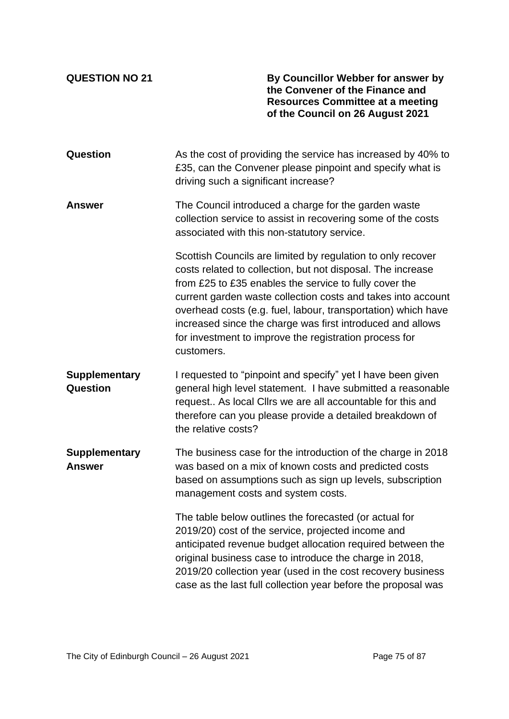**QUESTION NO 21 By Councillor Webber for answer by the Convener of the Finance and Resources Committee at a meeting of the Council on 26 August 2021**

| Question                              | As the cost of providing the service has increased by 40% to<br>£35, can the Convener please pinpoint and specify what is<br>driving such a significant increase?                                                                                                                                                                                                                                                                                           |  |  |  |
|---------------------------------------|-------------------------------------------------------------------------------------------------------------------------------------------------------------------------------------------------------------------------------------------------------------------------------------------------------------------------------------------------------------------------------------------------------------------------------------------------------------|--|--|--|
| <b>Answer</b>                         | The Council introduced a charge for the garden waste<br>collection service to assist in recovering some of the costs<br>associated with this non-statutory service.                                                                                                                                                                                                                                                                                         |  |  |  |
|                                       | Scottish Councils are limited by regulation to only recover<br>costs related to collection, but not disposal. The increase<br>from £25 to £35 enables the service to fully cover the<br>current garden waste collection costs and takes into account<br>overhead costs (e.g. fuel, labour, transportation) which have<br>increased since the charge was first introduced and allows<br>for investment to improve the registration process for<br>customers. |  |  |  |
| <b>Supplementary</b><br>Question      | I requested to "pinpoint and specify" yet I have been given<br>general high level statement. I have submitted a reasonable<br>request As local Clirs we are all accountable for this and<br>therefore can you please provide a detailed breakdown of<br>the relative costs?                                                                                                                                                                                 |  |  |  |
| <b>Supplementary</b><br><b>Answer</b> | The business case for the introduction of the charge in 2018<br>was based on a mix of known costs and predicted costs<br>based on assumptions such as sign up levels, subscription<br>management costs and system costs.                                                                                                                                                                                                                                    |  |  |  |
|                                       | The table below outlines the forecasted (or actual for<br>2019/20) cost of the service, projected income and<br>anticipated revenue budget allocation required between the<br>original business case to introduce the charge in 2018,<br>2019/20 collection year (used in the cost recovery business<br>case as the last full collection year before the proposal was                                                                                       |  |  |  |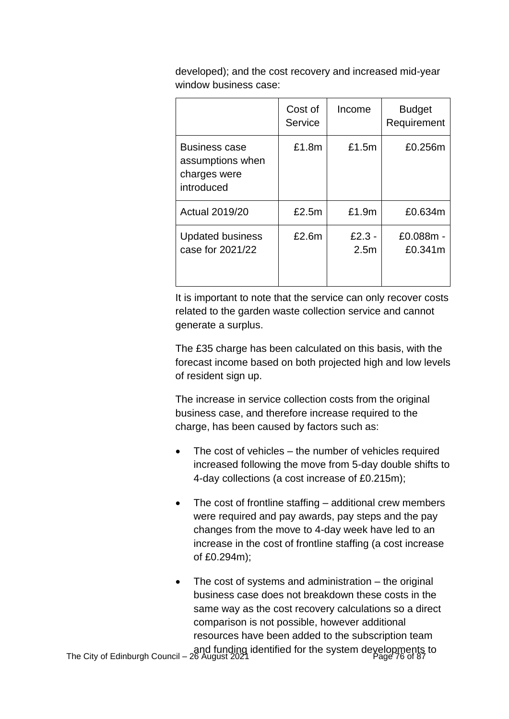developed); and the cost recovery and increased mid-year window business case:

|                                                                        | Cost of<br>Service | Income                       | <b>Budget</b><br>Requirement |
|------------------------------------------------------------------------|--------------------|------------------------------|------------------------------|
| <b>Business case</b><br>assumptions when<br>charges were<br>introduced | £1.8m              | £1.5m                        | £0.256m                      |
| <b>Actual 2019/20</b>                                                  | £2.5m              | £1.9m                        | £0.634m                      |
| <b>Updated business</b><br>case for 2021/22                            | £2.6m              | $£2.3 -$<br>2.5 <sub>m</sub> | £0.088m -<br>£0.341m         |

It is important to note that the service can only recover costs related to the garden waste collection service and cannot generate a surplus.

The £35 charge has been calculated on this basis, with the forecast income based on both projected high and low levels of resident sign up.

The increase in service collection costs from the original business case, and therefore increase required to the charge, has been caused by factors such as:

- The cost of vehicles  $-$  the number of vehicles required increased following the move from 5-day double shifts to 4-day collections (a cost increase of £0.215m);
- The cost of frontline staffing additional crew members were required and pay awards, pay steps and the pay changes from the move to 4-day week have led to an increase in the cost of frontline staffing (a cost increase of £0.294m);
- The cost of systems and administration  $-$  the original business case does not breakdown these costs in the same way as the cost recovery calculations so a direct comparison is not possible, however additional resources have been added to the subscription team

and funding identified for the system developments to<br>Page 76 of 87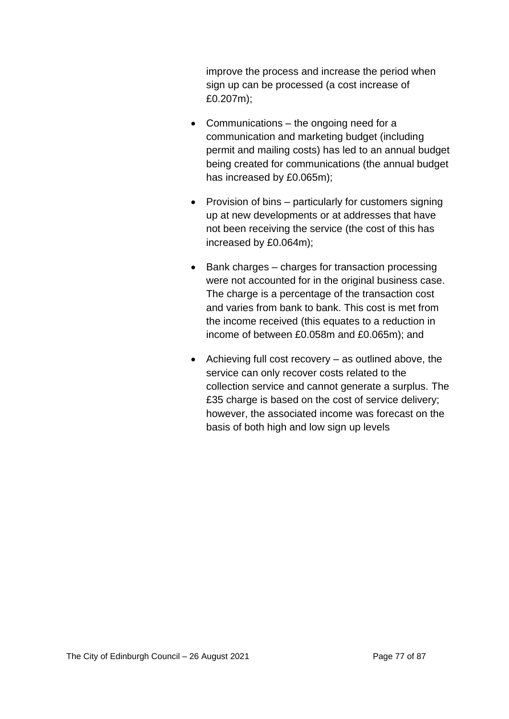improve the process and increase the period when sign up can be processed (a cost increase of £0.207m);

- Communications the ongoing need for a communication and marketing budget (including permit and mailing costs) has led to an annual budget being created for communications (the annual budget has increased by £0.065m);
- Provision of bins particularly for customers signing up at new developments or at addresses that have not been receiving the service (the cost of this has increased by £0.064m);
- Bank charges charges for transaction processing were not accounted for in the original business case. The charge is a percentage of the transaction cost and varies from bank to bank. This cost is met from the income received (this equates to a reduction in income of between £0.058m and £0.065m); and
- Achieving full cost recovery as outlined above, the service can only recover costs related to the collection service and cannot generate a surplus. The £35 charge is based on the cost of service delivery; however, the associated income was forecast on the basis of both high and low sign up levels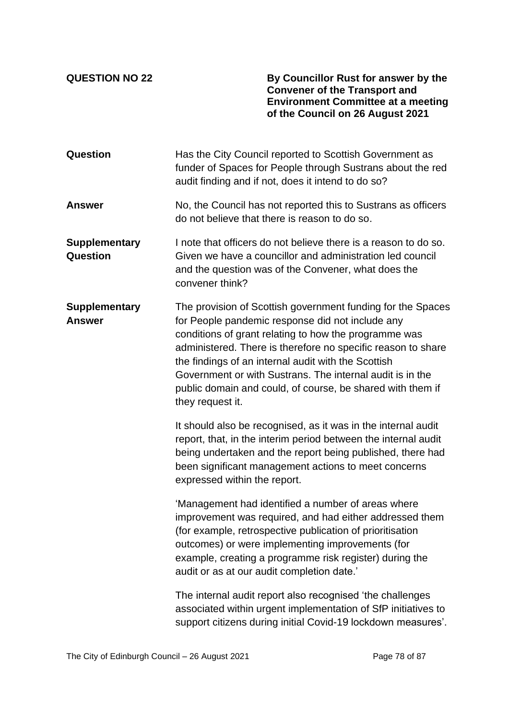**QUESTION NO 22 By Councillor Rust for answer by the Convener of the Transport and Environment Committee at a meeting of the Council on 26 August 2021**

| <b>Question</b>                         | Has the City Council reported to Scottish Government as<br>funder of Spaces for People through Sustrans about the red<br>audit finding and if not, does it intend to do so?                                                                                                                                                                                                                                                                    |  |  |  |
|-----------------------------------------|------------------------------------------------------------------------------------------------------------------------------------------------------------------------------------------------------------------------------------------------------------------------------------------------------------------------------------------------------------------------------------------------------------------------------------------------|--|--|--|
| <b>Answer</b>                           | No, the Council has not reported this to Sustrans as officers<br>do not believe that there is reason to do so.                                                                                                                                                                                                                                                                                                                                 |  |  |  |
| <b>Supplementary</b><br><b>Question</b> | I note that officers do not believe there is a reason to do so.<br>Given we have a councillor and administration led council<br>and the question was of the Convener, what does the<br>convener think?                                                                                                                                                                                                                                         |  |  |  |
| <b>Supplementary</b><br><b>Answer</b>   | The provision of Scottish government funding for the Spaces<br>for People pandemic response did not include any<br>conditions of grant relating to how the programme was<br>administered. There is therefore no specific reason to share<br>the findings of an internal audit with the Scottish<br>Government or with Sustrans. The internal audit is in the<br>public domain and could, of course, be shared with them if<br>they request it. |  |  |  |
|                                         | It should also be recognised, as it was in the internal audit<br>report, that, in the interim period between the internal audit<br>being undertaken and the report being published, there had<br>been significant management actions to meet concerns<br>expressed within the report.                                                                                                                                                          |  |  |  |
|                                         | 'Management had identified a number of areas where<br>improvement was required, and had either addressed them<br>(for example, retrospective publication of prioritisation<br>outcomes) or were implementing improvements (for<br>example, creating a programme risk register) during the<br>audit or as at our audit completion date.'                                                                                                        |  |  |  |
|                                         | The internal audit report also recognised 'the challenges<br>associated within urgent implementation of SfP initiatives to<br>support citizens during initial Covid-19 lockdown measures'.                                                                                                                                                                                                                                                     |  |  |  |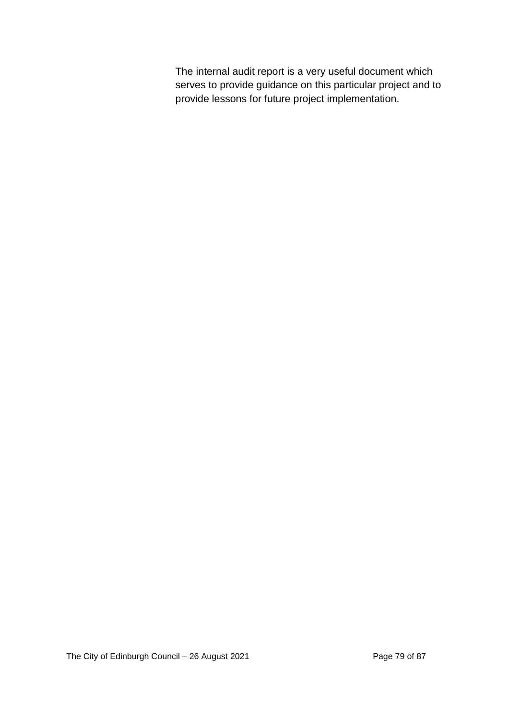The internal audit report is a very useful document which serves to provide guidance on this particular project and to provide lessons for future project implementation.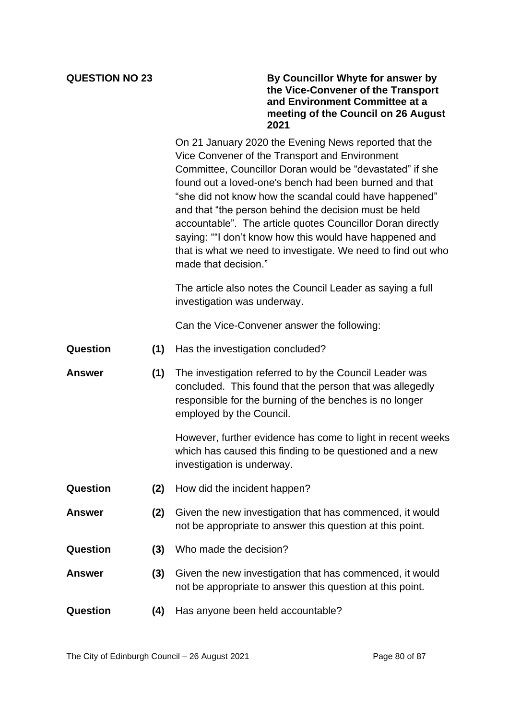## **QUESTION NO 23 By Councillor Whyte for answer by the Vice-Convener of the Transport and Environment Committee at a meeting of the Council on 26 August 2021**

On 21 January 2020 the Evening News reported that the Vice Convener of the Transport and Environment Committee, Councillor Doran would be "devastated" if she found out a loved-one's bench had been burned and that "she did not know how the scandal could have happened" and that "the person behind the decision must be held accountable". The article quotes Councillor Doran directly saying: ""I don't know how this would have happened and that is what we need to investigate. We need to find out who made that decision."

The article also notes the Council Leader as saying a full investigation was underway.

Can the Vice-Convener answer the following:

- **Question (1)** Has the investigation concluded?
- **Answer (1)** The investigation referred to by the Council Leader was concluded. This found that the person that was allegedly responsible for the burning of the benches is no longer employed by the Council.

However, further evidence has come to light in recent weeks which has caused this finding to be questioned and a new investigation is underway.

- **Question (2)** How did the incident happen?
- **Answer (2)** Given the new investigation that has commenced, it would not be appropriate to answer this question at this point.
- **Question (3)** Who made the decision?
- **Answer (3)** Given the new investigation that has commenced, it would not be appropriate to answer this question at this point.
- **Question (4)** Has anyone been held accountable?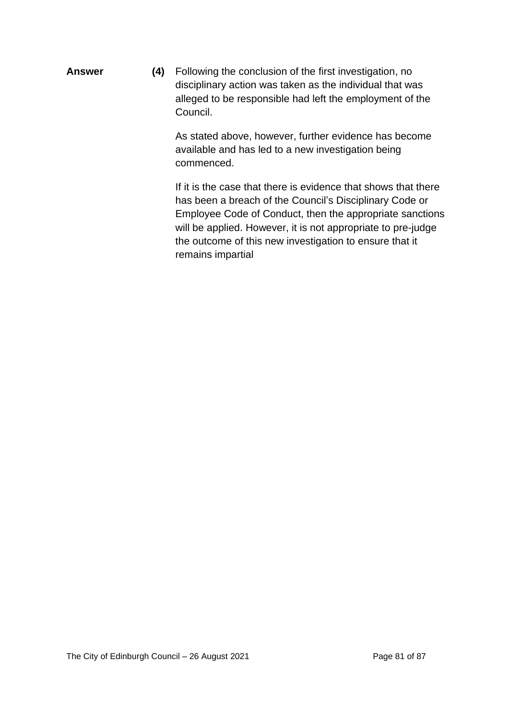**Answer (4)** Following the conclusion of the first investigation, no disciplinary action was taken as the individual that was alleged to be responsible had left the employment of the Council.

> As stated above, however, further evidence has become available and has led to a new investigation being commenced.

If it is the case that there is evidence that shows that there has been a breach of the Council's Disciplinary Code or Employee Code of Conduct, then the appropriate sanctions will be applied. However, it is not appropriate to pre-judge the outcome of this new investigation to ensure that it remains impartial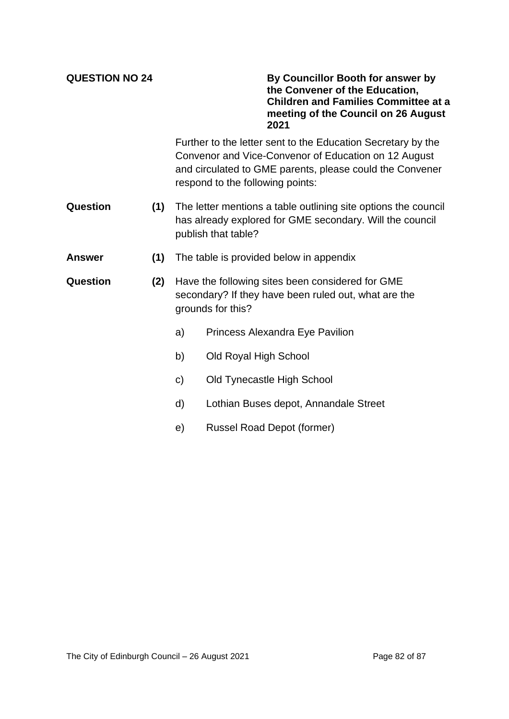**QUESTION NO 24 By Councillor Booth for answer by the Convener of the Education, Children and Families Committee at a meeting of the Council on 26 August 2021**

> Further to the letter sent to the Education Secretary by the Convenor and Vice-Convenor of Education on 12 August and circulated to GME parents, please could the Convener respond to the following points:

- **Question (1)** The letter mentions a table outlining site options the council has already explored for GME secondary. Will the council publish that table?
- **Answer (1)** The table is provided below in appendix
- **Question (2)** Have the following sites been considered for GME secondary? If they have been ruled out, what are the grounds for this?
	- a) Princess Alexandra Eye Pavilion
	- b) Old Royal High School
	- c) Old Tynecastle High School
	- d) Lothian Buses depot, Annandale Street
	- e) Russel Road Depot (former)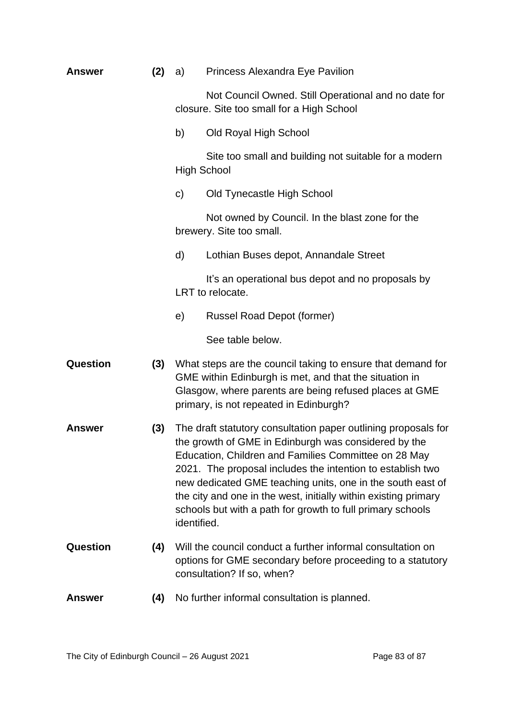| <b>Answer</b>   | (2) | Princess Alexandra Eye Pavilion<br>a)                                                                                                                                                                                                                                                                                                                                                                                                                      |                                                                                                                                                                                                                           |  |  |
|-----------------|-----|------------------------------------------------------------------------------------------------------------------------------------------------------------------------------------------------------------------------------------------------------------------------------------------------------------------------------------------------------------------------------------------------------------------------------------------------------------|---------------------------------------------------------------------------------------------------------------------------------------------------------------------------------------------------------------------------|--|--|
|                 |     | Not Council Owned. Still Operational and no date for<br>closure. Site too small for a High School                                                                                                                                                                                                                                                                                                                                                          |                                                                                                                                                                                                                           |  |  |
|                 |     | b)<br>Old Royal High School                                                                                                                                                                                                                                                                                                                                                                                                                                |                                                                                                                                                                                                                           |  |  |
|                 |     | Site too small and building not suitable for a modern<br><b>High School</b>                                                                                                                                                                                                                                                                                                                                                                                |                                                                                                                                                                                                                           |  |  |
|                 |     | $\mathsf{C}$                                                                                                                                                                                                                                                                                                                                                                                                                                               | Old Tynecastle High School                                                                                                                                                                                                |  |  |
|                 |     |                                                                                                                                                                                                                                                                                                                                                                                                                                                            | Not owned by Council. In the blast zone for the<br>brewery. Site too small.                                                                                                                                               |  |  |
|                 |     | d)                                                                                                                                                                                                                                                                                                                                                                                                                                                         | Lothian Buses depot, Annandale Street                                                                                                                                                                                     |  |  |
|                 |     |                                                                                                                                                                                                                                                                                                                                                                                                                                                            | It's an operational bus depot and no proposals by<br>LRT to relocate.                                                                                                                                                     |  |  |
|                 |     | e)                                                                                                                                                                                                                                                                                                                                                                                                                                                         | <b>Russel Road Depot (former)</b>                                                                                                                                                                                         |  |  |
|                 |     |                                                                                                                                                                                                                                                                                                                                                                                                                                                            | See table below.                                                                                                                                                                                                          |  |  |
| <b>Question</b> | (3) |                                                                                                                                                                                                                                                                                                                                                                                                                                                            | What steps are the council taking to ensure that demand for<br>GME within Edinburgh is met, and that the situation in<br>Glasgow, where parents are being refused places at GME<br>primary, is not repeated in Edinburgh? |  |  |
| <b>Answer</b>   | (3) | The draft statutory consultation paper outlining proposals for<br>the growth of GME in Edinburgh was considered by the<br>Education, Children and Families Committee on 28 May<br>2021. The proposal includes the intention to establish two<br>new dedicated GME teaching units, one in the south east of<br>the city and one in the west, initially within existing primary<br>schools but with a path for growth to full primary schools<br>identified. |                                                                                                                                                                                                                           |  |  |
| <b>Question</b> | (4) |                                                                                                                                                                                                                                                                                                                                                                                                                                                            | Will the council conduct a further informal consultation on<br>options for GME secondary before proceeding to a statutory<br>consultation? If so, when?                                                                   |  |  |
| <b>Answer</b>   | (4) |                                                                                                                                                                                                                                                                                                                                                                                                                                                            | No further informal consultation is planned.                                                                                                                                                                              |  |  |
|                 |     |                                                                                                                                                                                                                                                                                                                                                                                                                                                            |                                                                                                                                                                                                                           |  |  |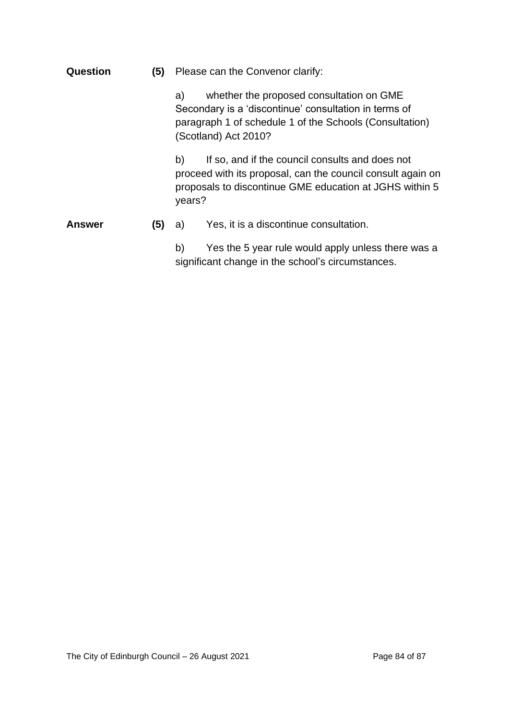| Question | (5) | Please can the Convenor clarify:                                                                                                                                                           |                                                                                                                                                                           |  |
|----------|-----|--------------------------------------------------------------------------------------------------------------------------------------------------------------------------------------------|---------------------------------------------------------------------------------------------------------------------------------------------------------------------------|--|
|          |     | whether the proposed consultation on GME<br>a)<br>Secondary is a 'discontinue' consultation in terms of<br>paragraph 1 of schedule 1 of the Schools (Consultation)<br>(Scotland) Act 2010? |                                                                                                                                                                           |  |
|          |     | b)<br>years?                                                                                                                                                                               | If so, and if the council consults and does not<br>proceed with its proposal, can the council consult again on<br>proposals to discontinue GME education at JGHS within 5 |  |
| Answer   | (5) | a)                                                                                                                                                                                         | Yes, it is a discontinue consultation.                                                                                                                                    |  |
|          |     | b)                                                                                                                                                                                         | Yes the 5 year rule would apply unless there was a<br>significant change in the school's circumstances.                                                                   |  |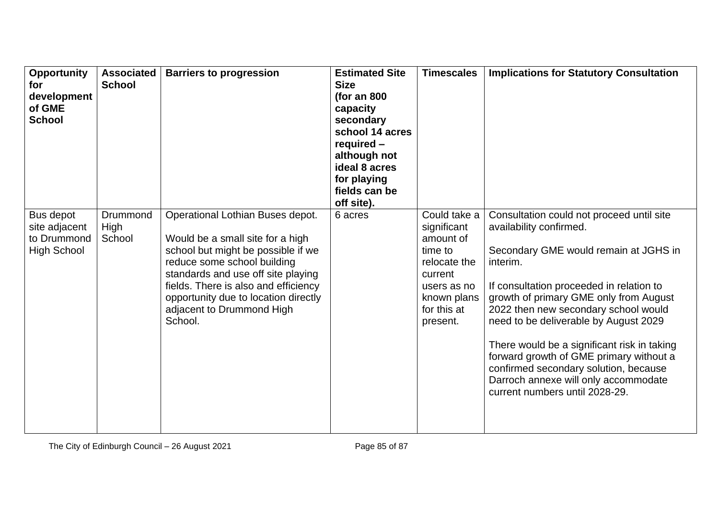| Opportunity<br>for<br>development<br>of GME<br><b>School</b>    | <b>Associated</b><br><b>School</b> | <b>Barriers to progression</b>                                                                                                                                                                                                                                                                          | <b>Estimated Site</b><br><b>Size</b><br>(for an $800$<br>capacity<br>secondary<br>school 14 acres<br>required -<br>although not<br>ideal 8 acres<br>for playing<br>fields can be<br>off site). | <b>Timescales</b>                                                                                                                       | <b>Implications for Statutory Consultation</b>                                                                                                                                                                                                                                                                                                                                                                                                                                                                |
|-----------------------------------------------------------------|------------------------------------|---------------------------------------------------------------------------------------------------------------------------------------------------------------------------------------------------------------------------------------------------------------------------------------------------------|------------------------------------------------------------------------------------------------------------------------------------------------------------------------------------------------|-----------------------------------------------------------------------------------------------------------------------------------------|---------------------------------------------------------------------------------------------------------------------------------------------------------------------------------------------------------------------------------------------------------------------------------------------------------------------------------------------------------------------------------------------------------------------------------------------------------------------------------------------------------------|
| Bus depot<br>site adjacent<br>to Drummond<br><b>High School</b> | Drummond<br>High<br>School         | Operational Lothian Buses depot.<br>Would be a small site for a high<br>school but might be possible if we<br>reduce some school building<br>standards and use off site playing<br>fields. There is also and efficiency<br>opportunity due to location directly<br>adjacent to Drummond High<br>School. | 6 acres                                                                                                                                                                                        | Could take a<br>significant<br>amount of<br>time to<br>relocate the<br>current<br>users as no<br>known plans<br>for this at<br>present. | Consultation could not proceed until site<br>availability confirmed.<br>Secondary GME would remain at JGHS in<br>interim.<br>If consultation proceeded in relation to<br>growth of primary GME only from August<br>2022 then new secondary school would<br>need to be deliverable by August 2029<br>There would be a significant risk in taking<br>forward growth of GME primary without a<br>confirmed secondary solution, because<br>Darroch annexe will only accommodate<br>current numbers until 2028-29. |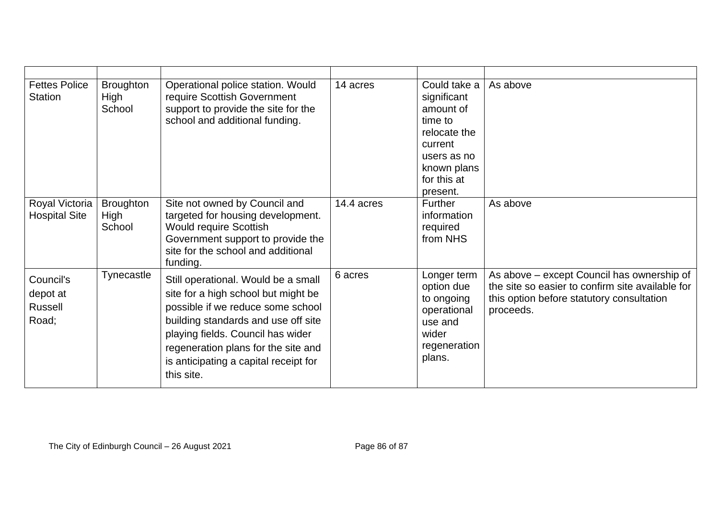| <b>Fettes Police</b><br><b>Station</b>           | <b>Broughton</b><br>High<br>School | Operational police station. Would<br>require Scottish Government<br>support to provide the site for the<br>school and additional funding.                                                                                                                                                 | 14 acres   | Could take a<br>significant<br>amount of<br>time to<br>relocate the<br>current<br>users as no<br>known plans<br>for this at<br>present. | As above                                                                                                                                                 |
|--------------------------------------------------|------------------------------------|-------------------------------------------------------------------------------------------------------------------------------------------------------------------------------------------------------------------------------------------------------------------------------------------|------------|-----------------------------------------------------------------------------------------------------------------------------------------|----------------------------------------------------------------------------------------------------------------------------------------------------------|
| Royal Victoria<br><b>Hospital Site</b>           | <b>Broughton</b><br>High<br>School | Site not owned by Council and<br>targeted for housing development.<br><b>Would require Scottish</b><br>Government support to provide the<br>site for the school and additional<br>funding.                                                                                                | 14.4 acres | Further<br>information<br>required<br>from NHS                                                                                          | As above                                                                                                                                                 |
| Council's<br>depot at<br><b>Russell</b><br>Road; | Tynecastle                         | Still operational. Would be a small<br>site for a high school but might be<br>possible if we reduce some school<br>building standards and use off site<br>playing fields. Council has wider<br>regeneration plans for the site and<br>is anticipating a capital receipt for<br>this site. | 6 acres    | Longer term<br>option due<br>to ongoing<br>operational<br>use and<br>wider<br>regeneration<br>plans.                                    | As above – except Council has ownership of<br>the site so easier to confirm site available for<br>this option before statutory consultation<br>proceeds. |